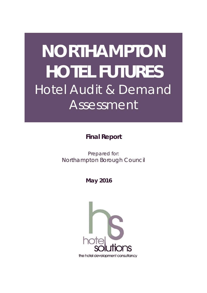# **NORTHAMPTON HOTEL FUTURES** Hotel Audit & Demand Assessment

**Final Report** 

Prepared for: Northampton Borough Council

 **May 2016**

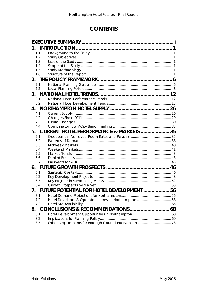## **CONTENTS**

| 1.          |                                                    |  |
|-------------|----------------------------------------------------|--|
| 1.1         |                                                    |  |
| 1.2         |                                                    |  |
| 1.3         |                                                    |  |
| 1.4         |                                                    |  |
| 1.5         |                                                    |  |
| 1.6         |                                                    |  |
|             |                                                    |  |
| 2.1.        |                                                    |  |
| 2.2         |                                                    |  |
| 3.          |                                                    |  |
| 3.1.        |                                                    |  |
| 3.2.        |                                                    |  |
|             |                                                    |  |
| 4.1.        |                                                    |  |
| 4.2.        |                                                    |  |
| 4.3.        |                                                    |  |
| 4.4.        |                                                    |  |
| 5.          | <b>CURRENT HOTEL PERFORMANCE &amp; MARKETS  35</b> |  |
| 5.1.        |                                                    |  |
| 5.2         |                                                    |  |
| 5.3.        |                                                    |  |
| 5.4.        |                                                    |  |
| 5.5.        |                                                    |  |
| 5.6<br>5.7. |                                                    |  |
|             |                                                    |  |
| 6.          |                                                    |  |
| 6.1<br>6.2  |                                                    |  |
| 6.3.        |                                                    |  |
| 6.4.        |                                                    |  |
| 7.          | FUTURE POTENTIAL FOR HOTEL DEVELOPMENT  56         |  |
| 7.1         |                                                    |  |
| 7.2         |                                                    |  |
| 7.3         |                                                    |  |
| 8.          |                                                    |  |
| 8.1.        |                                                    |  |
| 8.2.        |                                                    |  |
| 8.3.        |                                                    |  |
|             |                                                    |  |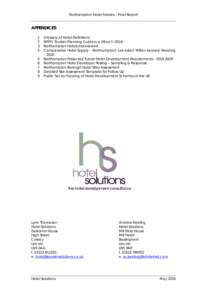#### **APPENDICES**

- 1 Glossary of Hotel Definitions
- 2 NPPG Tourism Planning Guidance (March 2014)
- 3 Northampton Hotels Interviewed
- 4 Comparative Hotel Supply Northampton/ Leicester/ Milton Keynes/ Reading – 2016
- 5 Northampton Projected Future Hotel Development Requirements 2019-2029
- 6 Northampton Hotel Developer Testing Sampling & Response
- 7 Northampton Borough Hotel Sites Assessment
- 8 Detailed Site Assessment Template for Follow Up
- 9 Public Sector Funding of Hotel Development Schemes in the UK



Lynn Thomason **Andrew Keeling** Hotel Solutions Hotel Solutions Deleanor House **Mill Field House** Mill Field House High Street Mill Fields Coleby **Bassingham** Lincoln Lincoln LN5 0AG LN5 9NP t. 01522 811255 t. 01522 789702 e. [hotel@tourismsolutions.co.uk](mailto:hotel@tourismsolutions.co.uk) e. [ackeeling@btinternet.com](mailto:ackeeling@btinternet.com)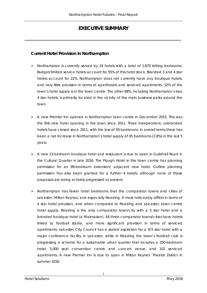## **EXECUTIVE SUMMARY**

<span id="page-3-0"></span>*\_\_\_\_\_\_\_\_\_\_\_\_\_\_\_\_\_\_\_\_\_\_\_\_\_\_\_\_\_\_\_\_\_\_\_\_\_\_\_\_\_\_\_\_\_\_\_\_\_\_\_\_\_\_\_\_\_\_\_\_\_\_\_\_\_\_\_\_\_\_\_\_\_\_\_*

### **Current Hotel Provision in Northampton**

- Northampton is currently served by 24 hotels with a total of 1,670 letting bedrooms. Budget/limited service hotels account for 55% of this hotel stock. Branded 3 and 4 star hotels account for 22%. Northampton does not currently have any boutique hotels, and very little provision in terms of aparthotels and serviced apartments. 32% of the town's hotel supply is in the town centre. The other 68%, including Northampton's two 4 star hotels, is primarily located in the vicinity of the main business parks around the town.
- $\triangleright$  A new Premier Inn opened in Northampton town centre in December 2015. This was the first new hotel opening in the town since 2011. Three independent, unbranded hotels have closed since 2011, with the loss of 59 bedrooms. In overall terms there has been a net increase in Northampton's hotel supply of 45 bedrooms (2.8%) in the last 5 years.
- A new 13-bedroom boutique hotel and restaurant is due to open in Guildhall Road in the Cultural Quarter in late 2016. The Plough Hotel in the town centre has planning permission for an 89-bedroom extension/ adjacent new hotel. Outline planning permission has also been granted for a further 4 hotels, although none of these proposals are being actively progressed at present.
- $\triangleright$  Northampton has fewer hotel bedrooms that the comparator towns and cities of Leicester, Milton Keynes, and especially Reading. It most noticeably differs in terms of 4 star hotel provision, and when compared to Reading and Leicester, town centre hotel supply. Reading is the only comparator town/city with a 5 star hotel and a branded boutique hotel (a Malmaison). All three comparator towns/cities have hotels linked to football stadia, and more significant provision in terms of serviced apartments. Leicester City Council has a stated aspiration for a 4/5 star hotel with a major conference facility in Leicester, while in Reading the town's football club is progressing a scheme for a sustainable urban quarter that includes a 250-bedroom hotel, 5,000 seat convention centre and concert venue, and 102 serviced apartments. A new Premier Inn is due to open in Milton Keynes' Theatre District in summer 2016.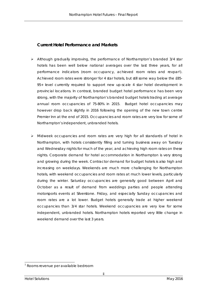## **Current Hotel Performance and Markets**

- Although gradually improving, the performance of Northampton's branded 3/4 star hotels has been well below national averages over the last three years, for all performance indicators (room occupancy, achieved room rates and revpa[r1](#page-4-0)). Achieved room rates were stronger for 4 star hotels, but still some way below the £85- 95+ level currently required to support new up-scale 4 star hotel development in provincial locations. In contrast, branded budget hotel performance has been very strong, with the majority of Northampton's branded budget hotels trading at average annual room occupancies of 75-80% in 2015. Budget hotel occupancies may however drop back slightly in 2016 following the opening of the new town centre Premier Inn at the end of 2015. Occupancies and room rates are very low for some of Northampton's independent, unbranded hotels.
- Midweek occupancies and room rates are very high for all standards of hotel in Northampton, with hotels consistently filling and turning business away on Tuesday and Wednesday nights for much of the year, and achieving high room rates on these nights. Corporate demand for hotel accommodation in Northampton is very strong and growing during the week. Contractor demand for budget hotels is also high and increasing on weekdays. Weekends are much more challenging for Northampton hotels, with weekend occupancies and room rates at much lower levels, particularly during the winter. Saturday occupancies are generally good between April and October as a result of demand from weddings parties and people attending motorsports events at Silverstone. Friday, and especially Sunday occupancies and room rates are a lot lower. Budget hotels generally trade at higher weekend occupancies than 3/4 star hotels. Weekend occupancies are very low for some independent, unbranded hotels. Northampton hotels reported very little change in weekend demand over the last 3 years.

<span id="page-4-0"></span><sup>-</sup><sup>1</sup> Rooms revenue per available bedroom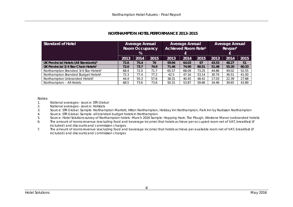| <b>Standard of Hotel</b>                          | <b>Average Annual</b><br><b>Room Occupancy</b><br>% |      |      | <b>Average Annual</b><br>Achieved Room Rate <sup>6</sup> |       |       | <b>Average Annual</b><br>Revpar <sup>7</sup> |       |       |
|---------------------------------------------------|-----------------------------------------------------|------|------|----------------------------------------------------------|-------|-------|----------------------------------------------|-------|-------|
|                                                   | 2013                                                | 2014 | 2015 | 2013                                                     | 2014  | 2015  | 2013                                         | 2014  | 2015  |
| UK Provincial Hotels (All Standards) <sup>1</sup> | 72.6                                                | 75.4 | 76   | 59.94                                                    | 64.03 | 67    | 43.53                                        | 48.27 | 51    |
| UK Provincial 3/4 Star Chain Hotels <sup>2</sup>  | 72.0                                                | 73.7 | 74.9 | 71.46                                                    | 74.90 | 80.51 | 51.48                                        | 55.20 | 60.33 |
| Northampton Branded 3/4 Star Hotels <sup>3</sup>  | 68.4                                                | 72.0 | 71.7 | 65.57                                                    | 68.09 | 73.25 | 44.86                                        | 49.02 | 52.55 |
| Northampton Branded Budget Hotels <sup>4</sup>    | 72.3                                                | 77.4 | 77.2 | 42.5                                                     | 47.16 | 53.14 | 30.74                                        | 36.51 | 41.00 |
| Northampton Unbranded Hotels <sup>5</sup>         | 44.4                                                | 55.3 | 57.6 | 38.31                                                    | 40.45 | 48.41 | 17.03                                        | 22.39 | 27.88 |
| Northampton - All Hotels                          | 68.5                                                | 73.6 | 73.6 | 50.31                                                    | 53.87 | 59.66 | 34.46                                        | 39.65 | 43.89 |

#### **NORTHAMPTON HOTEL PERFORMANCE 2013-2015**

#### Notes

- 1. National averages source: STR Global<br>2. National averages source: Hotstats
- 2. National averages source: Hotstats<br>3. Source: STR Global. Sample: Northam
- 3. Source: STR Global. Sample: Northampton Marriott, Hilton Northampton, Holiday Inn Northampton, Park Inn by Radisson Northampton
- 4. Source: STR Global. Sample: all branded budget hotels in Northampton.
- 5. Source: Hotel Solutions survey of Northampton hotels –March 2016 Sample: Hopping Hare, The Plough, Westone Manor (unbranded hotels)
- 6. The amount of rooms revenue (excluding food and beverage income) that hotels achieve per occupied room net of VAT, breakfast (if included) and discounts and commission charges.
- 7. The amount of rooms revenue (excluding food and beverage income) that hotels achieve per available room net of VAT, breakfast (if included) and discounts and commission charges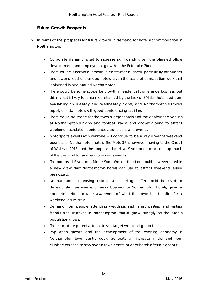## **Future Growth Prospects**

- $\triangleright$  In terms of the prospects for future growth in demand for hotel accommodation in Northampton:
	- Corporate demand is set to increase significantly given the planned office development and employment growth in the Enterprise Zone.
	- There will be substantial growth in contractor business, particularly for budget and lower-priced unbranded hotels, given the scale of construction work that is planned in and around Northampton.
	- There could be some scope for growth in residential conference business, but this market is likely to remain constrained by the lack of 3/4 star hotel bedroom availability on Tuesday and Wednesday nights, and Northampton's limited supply of 4 star hotels with good conferencing facilities.
	- There could be scope for the town's larger hotels and the conference venues at Northampton's rugby and football stadia and cricket ground to attract weekend association conferences, exhibitions and events.
	- Motorsports events at Silverstone will continue to be a key driver of weekend business for Northampton hotels. The MotoGP is however moving to the Circuit of Wales in 2018, and the proposed hotels at Silverstone could soak up much of the demand for smaller motorsports events.
	- The proposed Silverstone Motor Sport World attraction could however provide a new draw that Northampton hotels can use to attract weekend leisure break stays.
	- Northampton's improving cultural and heritage offer could be used to develop stronger weekend break business for Northampton hotels, given a concerted effort to raise awareness of what the town has to offer for a weekend leisure stay.
	- Demand from people attending weddings and family parties, and visiting friends and relatives in Northampton should grow strongly as the area's population grows.
	- There could be potential for hotels to target weekend group tours.
	- Population growth and the development of the evening economy in Northampton town centre could generate an increase in demand from clubbers wanting to stay over in town centre budget hotels after a night out.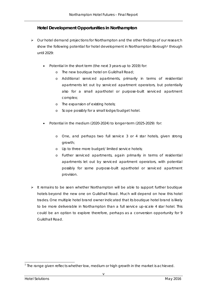## **Hotel Development Opportunities in Northampton**

- $\triangleright$  Our hotel demand projections for Northampton and the other findings of our research show the following potential for hotel development in Northampton Borough<sup>[1](#page-7-0)</sup> through until 2029:
	- Potential in the short term (the next 3 years up to 2019) for:
		- o The new boutique hotel on Guildhall Road;
		- o Additional serviced apartments, primarily in terms of residential apartments let out by serviced apartment operators, but potentially also for a small aparthotel or purpose-built serviced apartment complex;
		- o The expansion of existing hotels;
		- o Scope possibly for a small lodge/budget hotel.
	- Potential in the medium (2020-2024) to longer-term (2025-2029) for:
		- o One, and perhaps two full service 3 or 4 star hotels, given strong growth;
		- o Up to three more budget/ limited service hotels;
		- o Further serviced apartments, again primarily in terms of residential apartments let out by serviced apartment operators, with potential possibly for some purpose-built aparthotel or serviced apartment provision.
- $\triangleright$  It remains to be seen whether Northampton will be able to support further boutique hotels beyond the new one on Guildhall Road. Much will depend on how this hotel trades. One multiple hotel brand owner indicated that its boutique hotel brand is likely to be more deliverable in Northampton than a full service up-scale 4 star hotel. This could be an option to explore therefore, perhaps as a conversion opportunity for 9 Guildhall Road.

<span id="page-7-0"></span><sup>-</sup> $<sup>1</sup>$  The range given reflects whether low, medium or high growth in the market is achieved.</sup>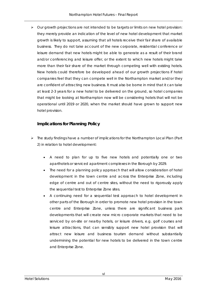$\triangleright$  Our growth projections are not intended to be targets or limits on new hotel provision: they merely provide an indication of the level of new hotel development that market growth is likely to support, assuming that all hotels receive their fair share of available business. They do not take account of the new corporate, residential conference or leisure demand that new hotels might be able to generate as a result of their brand and/or conferencing and leisure offer, or the extent to which new hotels might take more than their fair share of the market through competing well with existing hotels. New hotels could therefore be developed ahead of our growth projections if hotel companies feel that they can compete well in the Northampton market and/or they are confident of attracting new business. It must also be borne in mind that it can take at least 2-3 years for a new hotel to be delivered on the ground, so hotel companies that might be looking at Northampton now will be considering hotels that will not be operational until 2019 or 2020, when the market should have grown to support new hotel provision.

### **Implications for Planning Policy**

- $\triangleright$  The study findings have a number of implications for the Northampton Local Plan (Part 2) in relation to hotel development:
	- A need to plan for up to five new hotels and potentially one or two aparthotels or serviced apartment complexes in the Borough by 2029.
	- The need for a planning policy approach that will allow consideration of hotel development in the town centre and across the Enterprise Zone, including edge of centre and out of centre sites, without the need to rigorously apply the sequential test to Enterprise Zone sites.
	- A continuing need for a sequential test approach to hotel development in other parts of the Borough in order to promote new hotel provision in the town centre and Enterprise Zone, unless there are significant business park developments that will create new micro corporate markets that need to be serviced by on-site or nearby hotels, or leisure drivers, e.g. golf courses and leisure attractions, that can sensibly support new hotel provision that will attract new leisure and business tourism demand without substantially undermining the potential for new hotels to be delivered in the town centre and Enterprise Zone.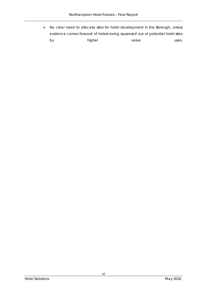• No clear need to allocate sites for hotel development in the Borough, unless evidence comes forward of hotels being squeezed out of potential hotel sites by higher value uses.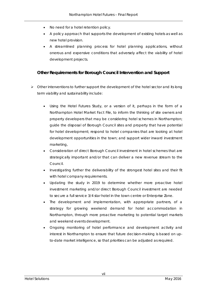- No need for a hotel retention policy.
- A policy approach that supports the development of existing hotels as well as new hotel provision.
- A streamlined planning process for hotel planning applications, without onerous and expensive conditions that adversely affect the viability of hotel development projects.

## **Other Requirements for Borough Council Intervention and Support**

- $\triangleright$  Other interventions to further support the development of the hotel sector and its long term viability and sustainability include:
	- Using the Hotel Futures Study, or a version of it, perhaps in the form of a Northampton Hotel Market Fact File, to inform the thinking of site owners and property developers that may be considering hotel schemes in Northampton; guide the disposal of Borough Council sites and property that have potential for hotel development; respond to hotel companies that are looking at hotel development opportunities in the town; and support wider inward investment marketing,
	- Consideration of direct Borough Council investment in hotel schemes that are strategically important and/or that can deliver a new revenue stream to the Council.
	- Investigating further the deliverability of the strongest hotel sites and their fit with hotel company requirements.
	- Updating the study in 2019 to determine whether more proactive hotel investment marketing and/or direct Borough Council investment are needed to secure a full service 3/4 star hotel in the town centre or Enterprise Zone.
	- The development and implementation, with appropriate partners, of a strategy for growing weekend demand for hotel accommodation in Northampton, through more proactive marketing to potential target markets and weekend events development.
	- Ongoing monitoring of hotel performance and development activity and interest in Northampton to ensure that future decision-making is based on upto-date market intelligence, so that priorities can be adjusted as required.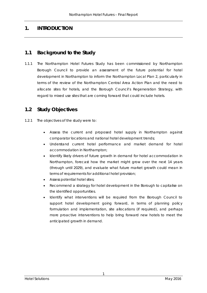## <span id="page-11-0"></span>**1. INTRODUCTION**

## <span id="page-11-1"></span>**1.1 Background to the Study**

1.1.1 The Northampton Hotel Futures Study has been commissioned by Northampton Borough Council to provide an assessment of the future potential for hotel development in Northampton to inform the Northampton Local Plan 2, particularly in terms of the review of the Northampton Central Area Action Plan and the need to allocate sites for hotels, and the Borough Council's Regeneration Strategy, with regard to mixed use sites that are coming forward that could include hotels.

## <span id="page-11-2"></span>**1.2 Study Objectives**

- 1.2.1 The objectives of the study were to:
	- Assess the current and proposed hotel supply in Northampton against comparator locations and national hotel development trends;
	- Understand current hotel performance and market demand for hotel accommodation in Northampton;
	- Identify likely drivers of future growth in demand for hotel accommodation in Northampton, forecast how the market might grow over the next 14 years (through until 2029), and evaluate what future market growth could mean in terms of requirements for additional hotel provision;
	- Assess potential hotel sites;
	- Recommend a strategy for hotel development in the Borough to capitalise on the identified opportunities.
	- Identify what interventions will be required from the Borough Council to support hotel development going forward, in terms of planning policy formulation and implementation, site allocations (if required), and perhaps more proactive interventions to help bring forward new hotels to meet the anticipated growth in demand.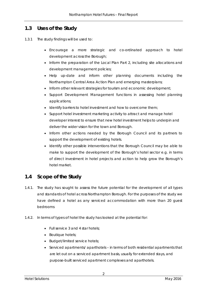## <span id="page-12-0"></span>**1.3 Uses of the Study**

- 1.3.1 The study findings will be used to:
	- Encourage a more strategic and co-ordinated approach to hotel development across the Borough;
	- Inform the preparation of the Local Plan Part 2, including site allocations and development management policies;
	- Help up-date and inform other planning documents including the Northampton Central Area Action Plan and emerging masterplans;
	- Inform other relevant strategies for tourism and economic development;
	- Support Development Management functions in assessing hotel planning applications;
	- Identify barriers to hotel investment and how to overcome them;
	- Support hotel investment marketing activity to attract and manage hotel developer interest to ensure that new hotel investment helps to underpin and deliver the wider vision for the town and Borough.
	- Inform other actions needed by the Borough Council and its partners to support the development of existing hotels.
	- Identify other possible interventions that the Borough Council may be able to make to support the development of the Borough's hotel sector e.g. in terms of direct investment in hotel projects and action to help grow the Borough's hotel market.

## <span id="page-12-1"></span>**1.4 Scope of the Study**

- 1.4.1. The study has sought to assess the future potential for the development of all types and standards of hotel across Northampton Borough. For the purposes of the study we have defined a hotel as any serviced accommodation with more than 20 guest bedrooms
- 1.4.2. In terms of types of hotel the study has looked at the potential for:
	- Full service 3 and 4 star hotels:
	- Boutique hotels;
	- Budget/limited service hotels;
	- Serviced apartments/ aparthotels in terms of both residential apartments that are let out on a serviced apartment basis, usually for extended stays, and purpose-built serviced apartment complexes and aparthotels.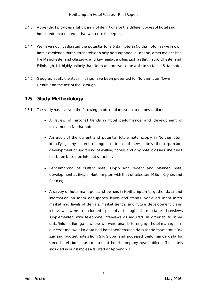- 1.4.3. Appendix 1 provides a full glossary of definitions for the different types of hotel and hotel performance terms that we use in the report.
- 1.4.4. We have not investigated the potential for a 5 star hotel in Northampton as we know from experience that 5 star hotels can only be supported in London, other major cities like Manchester and Glasgow, and key heritage cities such as Bath, York, Chester and Edinburgh. It is highly unlikely that Northampton would be able to sustain a 5 star hotel.
- 1.4.5. Geographically the study findings have been presented for Northampton Town Centre and the rest of the Borough.

## <span id="page-13-0"></span>**1.5 Study Methodology**

- 1.5.1. The study has involved the following modules of research and consultation:
	- A review of national trends in hotel performance and development of relevance to Northampton.
	- An audit of the current and potential future hotel supply in Northampton, identifying any recent changes in terms of new hotels; the expansion, development or upgrading of existing hotels; and any hotel closures. The audit has been based on Internet searches.
	- Benchmarking of current hotel supply and recent and planned hotel development activity in Northampton with that of Leicester, Milton Keynes and Reading.
	- A survey of hotel managers and owners in Northampton to gather data and information on room occupancy levels and trends, achieved room rates, market mix, levels of denials, market trends, and future development plans. Interviews were conducted primarily through face-to-face interviews supplemented with telephone interviews as required. In order to fill some data/information gaps where we were unable to engage hotel managers in our research, we also obtained hotel performance data for Northampton's 3/4 star and budget hotels from STR Global and accessed performance data for some hotels from our contacts at hotel company head offices. The hotels included in our samples are listed at Appendix 3.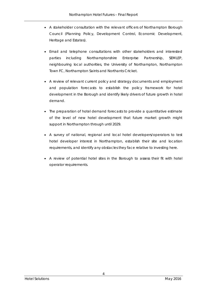- A stakeholder consultation with the relevant officers of Northampton Borough Council (Planning Policy, Development Control, Economic Development, Heritage and Estates).
- Email and telephone consultations with other stakeholders and interested parties including Northamptonshire Enterprise Partnership, SEMLEP, neighbouring local authorities, the University of Northampton, Northampton Town FC, Northampton Saints and Northants Cricket.
- A review of relevant current policy and strategy documents and employment and population forecasts to establish the policy framework for hotel development in the Borough and identify likely drivers of future growth in hotel demand.
- The preparation of hotel demand forecasts to provide a quantitative estimate of the level of new hotel development that future market growth might support in Northampton through until 2029.
- A survey of national, regional and local hotel developers/operators to test hotel developer interest in Northampton, establish their site and location requirements, and identify any obstacles they face relative to investing here.
- A review of potential hotel sites in the Borough to assess their fit with hotel operator requirements.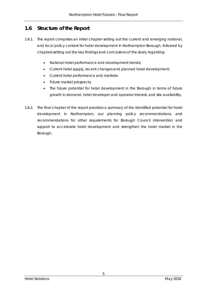## <span id="page-15-0"></span>**1.6 Structure of the Report**

- 1.6.1. The report comprises an initial chapter setting out the current and emerging national, and local policy context for hotel development in Northampton Borough, followed by chapters setting out the key findings and conclusions of the study regarding:
	- National hotel performance and development trends;
	- Current hotel supply, recent changes and planned hotel development;
	- Current hotel performance and markets:
	- Future market prospects;
	- The future potential for hotel development in the Borough in terms of future growth in demand, hotel developer and operator interest, and site availability.
- 1.6.2. The final chapter of the report provides a summary of the identified potential for hotel development in Northampton, our planning policy recommendations, and recommendations for other requirements for Borough Council intervention and support to accelerate hotel development and strengthen the hotel market in the Borough.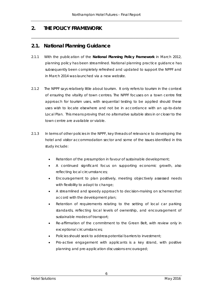*\_\_\_\_\_\_\_\_\_\_\_\_\_\_\_\_\_\_\_\_\_\_\_\_\_\_\_\_\_\_\_\_\_\_\_\_\_\_\_\_\_\_\_\_\_\_\_\_\_\_\_\_\_\_\_\_\_\_\_\_\_\_\_\_\_\_\_\_\_\_\_\_\_\_\_\_\_\_\_\_\_\_\_\_\_*

## <span id="page-16-0"></span>**2. THE POLICY FRAMEWORK**

## <span id="page-16-1"></span>**2.1. National Planning Guidance**

- 2.1.1 With the publication of the **National Planning Policy Framework** in March 2012, planning policy has been streamlined. National planning practice guidance has subsequently been completely refreshed and updated to support the NPPF and in March 2014 was launched via a new website.
- 2.1.2 The NPPF says relatively little about tourism. It only refers to tourism in the context of ensuring the vitality of town centres. The NPPF focuses on a town centre first approach for tourism uses, with sequential testing to be applied should these uses wish to locate elsewhere and not be in accordance with an up-to-date Local Plan. This means proving that no alternative suitable sites in or closer to the town centre are available or viable.
- 2.1.3 In terms of other policies in the NPPF, key threads of relevance to developing the hotel and visitor accommodation sector and some of the issues identified in this study include:
	- Retention of the presumption in favour of sustainable development;
	- A continued significant focus on supporting economic growth, also reflecting local circumstances;
	- Encouragement to plan positively, meeting objectively assessed needs with flexibility to adapt to change;
	- A streamlined and speedy approach to decision-making on schemes that accord with the development plan;
	- Retention of requirements relating to the setting of local car parking standards, reflecting local levels of ownership, and encouragement of sustainable modes of transport;
	- Re-affirmation of the commitment to the Green Belt, with review only in exceptional circumstances;
	- Policies should seek to address potential barriers to investment;
	- Pro-active engagement with applicants is a key strand, with positive planning and pre-application discussions encouraged;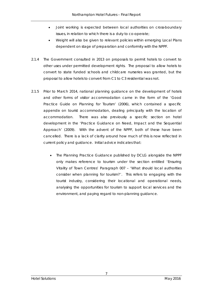- Joint working is expected between local authorities on cross-boundary issues, in relation to which there is a duty to co-operate;
- Weight will also be given to relevant policies within emerging Local Plans dependent on stage of preparation and conformity with the NPPF.
- 2.1.4 The Government consulted in 2013 on proposals to permit hotels to convert to other uses under permitted development rights. The proposal to allow hotels to convert to state funded schools and childcare nurseries was granted, but the proposal to allow hotels to convert from C1 to C3 residential was not.
- 2.1.5 Prior to March 2014, national planning guidance on the development of hotels and other forms of visitor accommodation came in the form of the 'Good Practice Guide on Planning for Tourism' (2006), which contained a specific appendix on tourist accommodation, dealing principally with the location of accommodation. There was also previously a specific section on hotel development in the 'Practice Guidance on Need, Impact and the Sequential Approach' (2009). With the advent of the NPPF, both of these have been cancelled. There is a lack of clarity around how much of this is now reflected in current policy and guidance. Initial advice indicates that:
	- The Planning Practice Guidance published by DCLG alongside the NPPF only makes reference to tourism under the section entitled 'Ensuring Vitality of Town Centres' Paragraph 007 – 'What should local authorities consider when planning for tourism?'. This refers to engaging with the tourist industry, considering their locational and operational needs, analysing the opportunities for tourism to support local services and the environment, and paying regard to non-planning guidance.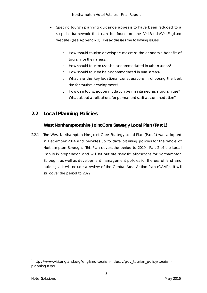- Specific tourism planning guidance appears to have been reduced to a six-point framework that can be found on the VisitBritain/VisitEngland website<sup>[1](#page-18-1)</sup> (see Appendix 2). This addresses the following issues:
	- o How should tourism developers maximise the economic benefits of tourism for their areas;
	- o How should tourism uses be accommodated in urban areas?
	- o How should tourism be accommodated in rural areas?
	- o What are the key locational considerations in choosing the best site for tourism development?
	- o How can tourist accommodation be maintained as a tourism use?
	- o What about applications for permanent staff accommodation?

## <span id="page-18-0"></span>**2.2 Local Planning Policies**

## **West Northamptonshire Joint Core Strategy Local Plan (Part 1)**

2.2.1 The West Northamptonshire Joint Core Strategy Local Plan (Part 1) was adopted in December 2014 and provides up to date planning policies for the whole of Northampton Borough. This Plan covers the period to 2029. Part 2 of the Local Plan is in preparation and will set out site specific allocations for Northampton Borough, as well as development management policies for the use of land and buildings. It will include a review of the Central Area Action Plan (CAAP). It will still cover the period to 2029.

<span id="page-18-1"></span><sup>1</sup> http://www.visitengland.org/england-tourism-industry/gov\_tourism\_policy/tourismplanning.aspx"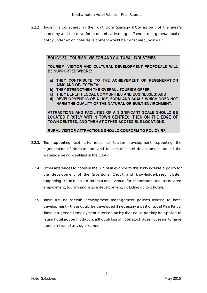2.2.2 Tourism is considered in the Joint Core Strategy (JCS) as part of the area's economy and the drive for economic advantage. There is one general tourism policy under which hotel development would be considered, policy E7:

#### POLICY E7 - TOURISM, VISITOR AND CULTURAL INDUSTRIES

TOURISM, VISITOR AND CULTURAL DEVELOPMENT PROPOSALS WILL **BE SUPPORTED WHERE:** 

- a) THEY CONTRIBUTE TO THE ACHIEVEMENT OF REGENERATION **AIMS AND OBJECTIVES:**
- b) THEY STRENGTHEN THE OVERALL TOURISM OFFER:
- c) THEY BENEFIT LOCAL COMMUNITIES AND BUSINESSES: AND
- d) DEVELOPMENT IS OF A USE, FORM AND SCALE WHICH DOES NOT HARM THE QUALITY OF THE NATURAL OR BUILT ENVIRONMENT.

ATTRACTIONS AND FACILITIES OF A SIGNIFICANT SCALE SHOULD BE LOCATED FIRSTLY WITHIN TOWN CENTRES, THEN ON THE EDGE OF TOWN CENTRES, AND THEN AT OTHER ACCESSIBLE LOCATIONS.

RURAL VISITOR ATTRACTIONS SHOULD CONFORM TO POLICY R2.

- 2.2.3. The supporting text talks refers to tourism development supporting the regeneration of Northampton and to sites for hotel development around the waterside being identified in the CAAP.
- 2.2.4 Other references to hotels in the JCS of relevance to this study include a policy for the development of the Silverstone Circuit and knowledge-based cluster, supporting its role as an international venue for motorsport and associated employment, tourism and leisure development, including up to 3 hotels.
- 2.2.5 There are no specific development management policies relating to hotel development – these could be developed if necessary a part of Local Plan Part 2. There is a general employment retention policy that could possibly be applied to retain hotel accommodation, although loss of hotel stock does not seem to have been an issue of any significance.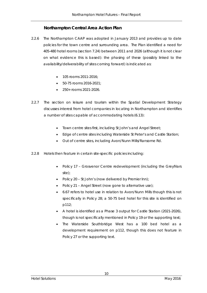## **Northampton Central Area Action Plan**

- 2.2.6 The Northampton CAAP was adopted in January 2013 and provides up to date policies for the town centre and surrounding area. The Plan identified a need for 405-480 hotel rooms (section 7.24) between 2011 and 2026 (although it is not clear on what evidence this is based): the phasing of these (possibly linked to the availability/deliverability of sites coming forward) is indicated as:
	- 105 rooms 2011-2016;
	- 50-75 rooms 2016-2021;
	- 250+ rooms 2021-2026.
- 2.2.7 The section on leisure and tourism within the Spatial Development Strategy discusses interest from hotel companies in locating in Northampton and identifies a number of sites capable of accommodating hotels (6.13):
	- Town centre sites first, including St John's and Angel Street;
	- Edge of centre sites including Waterside St Peter's and Castle Station;
	- Out of centre sites, including Avon/Nunn Mills/Ransome Rd.
- 2.2.8 Hotels then feature in certain site-specific policies including:
	- Policy 17 Grosvenor Centre redevelopment (including the Greyfriars site);
	- Policy 20 St John's (now delivered by Premier Inn);
	- Policy 21 Angel Street (now gone to alternative use);
	- 6.67 refers to hotel use in relation to Avon/Nunn Mills though this is not specifically in Policy 28; a 50-75 bed hotel for this site is identified on p112;
	- A hotel is identified as a Phase 3 output for Castle Station (2021-2026), though is not specifically mentioned in Policy 19 or the supporting text;
	- The Waterside Southbridge West has a 100 bed hotel as a development requirement on p112, though this does not feature in Policy 27 or the supporting text.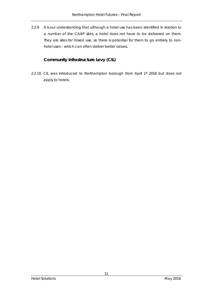2.2.9 It is our understanding that although a hotel use has been identified in relation to a number of the CAAP sites, a hotel does not have to be delivered on them. They are sites for mixed use, so there is potential for them to go entirely to nonhotel uses – which can often deliver better values.

## **Community Infrastructure Levy (CIL)**

2.2.10. CIL was introduced to Northampton borough from April 1st 2016 but does not apply to hotels.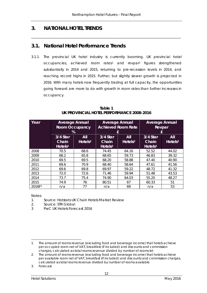\_\_\_\_\_\_\_\_\_\_\_\_\_\_\_\_\_\_\_\_\_\_\_\_\_\_\_\_\_\_\_\_\_\_\_\_\_\_\_\_\_\_\_\_\_\_\_\_\_\_\_\_\_\_\_\_\_\_\_\_\_\_\_\_\_\_\_\_\_\_\_\_\_\_\_\_\_\_\_\_\_\_\_\_\_\_

## <span id="page-22-0"></span>**3. NATIONAL HOTEL TRENDS**

## <span id="page-22-1"></span>**3.1. National Hotel Performance Trends**

3.1.1 The provincial UK hotel industry is currently booming. UK provincial hotel occupancies, achieved room rates[1](#page-22-2) and revpar2 figures strengthened substantially in 2014 and 2015, returning to pre-recession levels in 2014, and reaching record highs in 2015. Further, but slightly slower growth is projected in 2016. With many hotels now frequently trading at full capacity, the opportunities going forward are more to do with growth in room rates than further increases in occupancy.

| Table 1                                   |
|-------------------------------------------|
| UK PROVINCIAL HOTEL PERFORMANCE 2008-2016 |

| Year               | <b>Average Annual</b><br><b>Room Occupancy</b><br>% |                            | £                                        | <b>Average Annual</b><br><b>Achieved Room Rate</b> | <b>Average Annual</b><br>Revpar<br>£     |                            |  |
|--------------------|-----------------------------------------------------|----------------------------|------------------------------------------|----------------------------------------------------|------------------------------------------|----------------------------|--|
|                    | 3/4 Star<br><b>Chain</b><br>Hotels <sup>1</sup>     | All<br>Hotels <sup>2</sup> | 3/4 Star<br>Chain<br>Hotels <sup>1</sup> | All<br>$H$ otels <sup>2</sup>                      | 3/4 Star<br>Chain<br>Hotels <sup>1</sup> | All<br>Hotels <sup>2</sup> |  |
| 2008               | 70.5                                                | 68.6                       | 74.45                                    | 64.16                                              | 52.52                                    | 44.02                      |  |
| 2009               | 68.2                                                | 65.8                       | 68.65                                    | 59.73                                              | 46.83                                    | 39.32                      |  |
| 2010               | 69.5                                                | 69.5                       | 68.20                                    | 58.88                                              | 47.40                                    | 40.90                      |  |
| 2011               | 69.6                                                | 70.9                       | 68.40                                    | 58.64                                              | 47.61                                    | 41.56                      |  |
| 2012               | 69.6                                                | 69.8                       | 69.97                                    | 59.22                                              | 48.72                                    | 41.32                      |  |
| 2013               | 72.0                                                | 72.6                       | 71.46                                    | 59.94                                              | 51.48                                    | 43.53                      |  |
| 2014               | 73.7                                                | 75.4                       | 74.90                                    | 64.03                                              | 55.20                                    | 48.27                      |  |
| 2015               | 74.9                                                | 76                         | 80.51                                    | 67                                                 | 60.33                                    | 51                         |  |
| 2016F <sub>3</sub> | n/a                                                 | 77                         | n/a                                      | 69                                                 | n/a                                      | 53                         |  |

Notes:

1. Source: Hotstats UK Chain Hotels Market Review

2. Source: STR Global

3 PwC UK Hotels Forecast 2016

3. Forecast

<span id="page-22-2"></span><sup>-</sup>1. The amount of rooms revenue (excluding food and beverage income) that hotels achieve per occupied room net of VAT, breakfast (if included) and discounts and commission charges, calculated as total rooms revenue divided by number of rooms let

<sup>2.</sup> The amount of rooms revenue (excluding food and beverage income) that hotels achieve per available room net of VAT, breakfast (if included) and discounts and commission charges, calculated as total rooms revenue divided by number of rooms available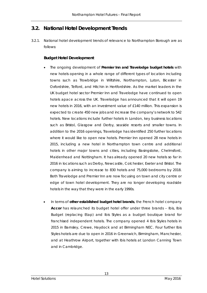## <span id="page-23-0"></span>**3.2. National Hotel Development Trends**

3.2.1. National hotel development trends of relevance to Northampton Borough are as follows:

#### **Budget Hotel Development**

- The ongoing development of **Premier Inn and Travelodge budget hotels** with new hotels opening in a whole range of different types of location including towns such as Trowbridge in Wiltshire, Northampton, Luton, Bicester in Oxfordshire, Telford, and Hitchin in Hertfordshire. As the market leaders in the UK budget hotel sector Premier Inn and Travelodge have continued to open hotels apace across the UK. Travelodge has announced that it will open 19 new hotels in 2016, with an investment value of £140 million. This expansion is expected to create 450 new jobs and increase the company's network to 542 hotels. New locations include further hotels in London, key business locations such as Bristol, Glasgow and Derby, seaside resorts and smaller towns. In addition to the 2016 openings, Travelodge has identified 250 further locations where it would like to open new hotels. Premier Inn opened 28 new hotels in 2015, including a new hotel in Northampton town centre and additional hotels in other major towns and cities, including Basingstoke, Chelmsford, Maidenhead and Nottingham. It has already opened 20 new hotels so far in 2016 in locations such as Derby, Newcastle, Colchester, Exeter and Bristol. The company is aiming to increase to 830 hotels and 75,000 bedrooms by 2018. Both Travelodge and Premier Inn are now focusing on town and city centre or edge of town hotel development. They are no longer developing roadside hotels in the way that they were in the early 1990s.
- In terms of **other established budget hotel brands**, the French hotel company **Accor** has relaunched its budget hotel offer under three brands – Ibis, Ibis Budget (replacing Etap) and Ibis Styles as a budget boutique brand for franchised independent hotels. The company opened 4 Ibis Styles hotels in 2015 in Barnsley, Crewe, Haydock and at Birmingham NEC. Four further Ibis Styles hotels are due to open in 2016 in Greenwich, Birmingham, Manchester, and at Heathrow Airport, together with Ibis hotels at London Canning Town and in Cambridge.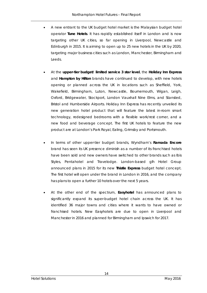- A new entrant to the UK budget hotel market is the Malaysian budget hotel operator **Tune Hotels**. It has rapidly established itself in London and is now targeting other UK cities, so far opening in Liverpool, Newcastle and Edinburgh in 2015. It is aiming to open up to 25 new hotels in the UK by 2020, targeting major business cities such as London, Manchester, Birmingham and Leeds.
- At the **upper-tier budget/ limited service 3 star level**, the **Holiday Inn Express** and **Hampton by Hilton** brands have continued to develop, with new hotels opening or planned across the UK in locations such as Sheffield, York, Wakefield, Birmingham, Luton, Newcastle, Bournemouth, Wigan, Leigh, Oxford, Bridgewater, Stockport, London Vauxhall Nine Elms, and Stansted, Bristol and Humberside Airports. Holiday Inn Express has recently unveiled its new generation hotel product that will feature the latest in-room smart technology, redesigned bedrooms with a flexible work/rest corner, and a new food and beverage concept. The first UK hotels to feature the new product are at London's Park Royal, Ealing, Grimsby and Portsmouth.
- In terms of other upper-tier budget brands, Wyndham's **Ramada Encore** brand has seen its UK presence diminish as a number of its franchised hotels have been sold and new owners have switched to other brands such as Ibis Styles, Pentahotel and Travelodge. London-based glh Hotel Group announced plans in 2015 for its new **Thistle Express** budget hotel concept. The first hotel will open under the brand in London in 2016, and the company has plans to open a further 10 hotels over the next 5 years.
- At the other end of the spectrum, **Easyhotel** has announced plans to significantly expand its super-budget hotel chain across the UK. It has identified 36 major towns and cities where it wants to have owned or franchised hotels. New Easyhotels are due to open in Liverpool and Manchester in 2016 and planned for Birmingham and Ipswich for 2017.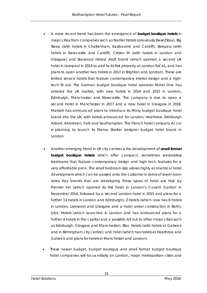- A more recent trend has been the emergence of **budget boutique hotels** in major cities from companies such as Nadler Hotels (previously Base2Stay), Big Sleep (with hotels in Cheltenham, Eastbourne and Cardiff), Sleeperz (with hotels in Newcastle and Cardiff), Citizen M (with hotels in London and Glasgow) and Starwood Hotels' Aloft brand (which opened a second UK hotel in Liverpool in 2014 to add to its first property at London ExCeL, and has plans to open another two hotels in 2017 in Brighton and London). These are limited service hotels that feature contemporary interior design and a hightech fit out. The German budget boutique hotel operator Motel One has entered the UK market, with new hotels in 2014 and 2015 in London, Edinburgh, Manchester and Newcastle. The company is due to open a second hotel in Manchester in 2017 and a new hotel in Glasgow in 2018. Marriott has announced plans to introduce its Moxy budget boutique hotel brand into the UK, with hotels announced for London, Heathrow, Edinburgh Airport, Aberdeen, York and Southampton. The French hotel company Accor is planning to launch its Mama Shelter designer budget hotel brand in London.
- Another emerging trend in UK city centres is the development of **small format budget boutique hotels** which offer compact, sometimes windowless bedrooms that feature contemporary design and high tech features for a very affordable price. The small bedroom size allows highly economical hotel development which can be passed onto the customer in terms of lower room rates. Key brands that are developing these types of hotel are Hub by Premier Inn (which opened its first hotel in London's Covent Garden in November 2014, followed by a second London hotel in 2015 and plans for a further 13 hotels in London and Edinburgh); Z Hotels (which now has 8 hotels in London, Liverpool and Glasgow and a hotel under construction in Bath), Qbic Hotels (which launched in London and has announced plans for a further 4 hotels in the capital and a possible roll out to other major cities such as Edinburgh, Glasgow and Manchester), Bloc Hotels (with hotels at Gatwick and in Birmingham city centre); and Yotel (which has hotels at Heathrow and Gatwick and plans for hotels in Manchester and London).
- These newer budget, budget boutique and small format budget boutique hotel companies will focus initially on London, major metropolitan cities and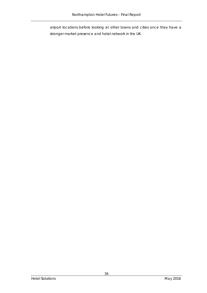airport locations before looking at other towns and cities once they have a stronger market presence and hotel network in the UK.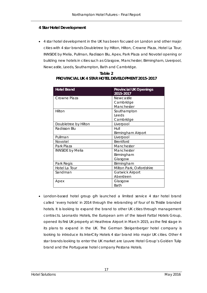#### **4 Star Hotel Development**

• 4 star hotel development in the UK has been focused on London and other major cities with 4 star brands Doubletree by Hilton, Hilton, Crowne Plaza, Hotel La Tour, INNSIDE by Melia, Pullman, Radisson Blu, Apex, Park Plaza and Novotel opening or building new hotels in cities such as Glasgow, Manchester, Birmingham, Liverpool, Newcastle, Leeds, Southampton, Bath and Cambridge.

| <b>Hotel Brand</b>      | <b>Provincial UK Openings</b><br>2015-2017 |
|-------------------------|--------------------------------------------|
| Crowne Plaza            | Newcastle                                  |
|                         | Cambridge                                  |
|                         | Manchester                                 |
| Hilton                  | Southampton                                |
|                         | Leeds                                      |
|                         | Cambridge                                  |
| Doubletree by Hilton    | Liverpool                                  |
| Radisson Blu            | Hull                                       |
|                         | <b>Birmingham Airport</b>                  |
| Pullman                 | Liverpool                                  |
| <b>Novotel</b>          | Brentford                                  |
| Park Plaza              | Manchester                                 |
| <b>INNSIDE by Melia</b> | Manchester                                 |
|                         | Birmingham                                 |
|                         | Glasgow                                    |
| Park Regis              | Birmingham                                 |
| Hotel La Tour           | Milton Park, Oxfordshire                   |
| Sandman                 | <b>Gatwick Airport</b>                     |
|                         | Aberdeen                                   |
| Apex                    | Glasgow                                    |
|                         | <b>Bath</b>                                |

**Table 2 PROVINCIAL UK 4 STAR HOTEL DEVELOPMENT 2015-2017**

• London-based hotel group glh launched a limited service 4 star hotel brand called 'every hotels' in 2014 through the rebranding of four of its Thistle branded hotels. It is looking to expand the brand to other UK cities through management contracts. Leonardo Hotels, the European arm of the Israeli Fattal Hotels Group, opened its first UK property at Heathrow Airport in March 2015, as the first stage in its plans to expand in the UK. The German Steigenberger hotel company is looking to introduce its InterCity Hotels 4 star brand into major UK cities. Other 4 star brands looking to enter the UK market are Louvre Hotel Group's Golden Tulip brand and the Portuguese hotel company Pestana Hotels.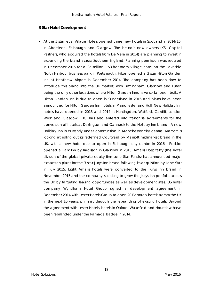#### **3 Star Hotel Development**

• At the 3 star level Village Hotels opened three new hotels in Scotland in 2014/15, in Aberdeen, Edinburgh and Glasgow. The brand's new owners (KSL Capital Partners, who acquired the hotels from De Vere in 2014) are planning to invest in expanding the brand across Southern England. Planning permission was secured in December 2015 for a £21million, 153-bedroom Village hotel on the Lakeside North Harbour business park in Portsmouth. Hilton opened a 3 star Hilton Garden Inn at Heathrow Airport in December 2014. The company has been slow to introduce this brand into the UK market, with Birmingham, Glasgow and Luton being the only other locations where Hilton Garden Inns have so far been built. A Hilton Garden Inn is due to open in Sunderland in 2016 and plans have been announced for Hilton Garden Inn hotels in Manchester and Hull. New Holiday Inn hotels have opened in 2013 and 2014 in Huntingdon, Watford, Cardiff, London West and Glasgow. IHG has also entered into franchise agreements for the conversion of hotels at Darlington and Cannock to the Holiday Inn brand. A new Holiday Inn is currently under construction in Manchester city centre. Marriott is looking at rolling out its redefined Courtyard by Marriott midmarket brand in the UK, with a new hotel due to open in Edinburgh city centre in 2016. Rezidor opened a Park Inn by Radisson in Glasgow in 2013. Amaris Hospitality (the hotel division of the global private equity firm Lone Star Funds) has announced major expansion plans for the 3 star Jurys Inn brand following its acquisition by Lone Star in July 2015. Eight Amaris hotels were converted to the Jurys Inn brand in November 2015 and the company is looking to grow the Jurys Inn portfolio across the UK by targeting leasing opportunities as well as development sites. US hotel company Wyndham Hotel Group signed a development agreement in December 2014 with Lester Hotels Group to open 20 Ramada hotels across the UK in the next 10 years, primarily through the rebranding of existing hotels. Beyond the agreement with Lester Hotels, hotels in Oxford, Wakefield and Hounslow have been rebranded under the Ramada badge in 2014.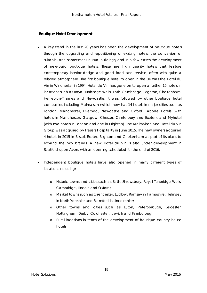#### **Boutique Hotel Development**

- A key trend in the last 20 years has been the development of boutique hotels through the upgrading and repositioning of existing hotels, the conversion of suitable, and sometimes unusual buildings, and in a few cases the development of new-build boutique hotels. These are high quality hotels that feature contemporary interior design and good food and service, often with quite a relaxed atmosphere. The first boutique hotel to open in the UK was the Hotel du Vin in Winchester in 1994. Hotel du Vin has gone on to open a further 15 hotels in locations such as Royal Tunbridge Wells, York, Cambridge, Brighton, Cheltenham, Henley-on-Thames and Newcastle. It was followed by other boutique hotel companies including Malmaison (which now has 14 hotels in major cities such as London, Manchester, Liverpool, Newcastle and Oxford); Abode Hotels (with hotels in Manchester, Glasgow, Chester, Canterbury and Exeter); and Myhotel (with two hotels in London and one in Brighton). The Malmaison and Hotel du Vin Group was acquired by Frasers Hospitality in June 2015. The new owners acquired 4 hotels in 2015 in Bristol, Exeter, Brighton and Cheltenham as part of its plans to expand the two brands. A new Hotel du Vin is also under development in Stratford-upon-Avon, with an opening scheduled for the end of 2016.
- Independent boutique hotels have also opened in many different types of location, including:
	- o Historic towns and cities such as Bath, Shrewsbury, Royal Tunbridge Wells, Cambridge, Lincoln and Oxford;
	- o Market towns such as Cirencester, Ludlow, Romsey in Hampshire, Helmsley in North Yorkshire and Stamford in Lincolnshire;
	- o Other towns and cities such as Luton, Peterborough, Leicester, Nottingham, Derby, Colchester, Ipswich and Farnborough;
	- o Rural locations in terms of the development of boutique country house hotels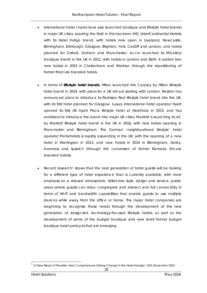- International hotel chains have also launched boutique and lifestyle hotel brands in major UK cities. Leading the field in this has been IHG (InterContinental Hotels) with its Hotel Indigo brand, with hotels now open in Liverpool, Newcastle, Birmingham, Edinburgh, Glasgow, Brighton, York, Cardiff and London, and hotels planned for Oxford, Durham and Manchester. Accor launched its MGallery boutique brand in the UK in 2012, with hotels in London and Bath. It added two new hotels in 2015 in Cheltenham and Windsor, through the repositioning of former Mercure branded hotels.
- In terms of **lifestyle hotel brands**, Hilton launched the Canopy by Hilton lifestyle hotel brand in 2014, with plans for a UK roll out starting with London. Rezidor has announced plans to introduce its Radisson Red lifestyle hotel brand into the UK, with its first hotel planned for Glasgow. Luxury international hotel operator Hyatt opened its first UK Hyatt Place lifestyle hotel at Heathrow in 2015, and has ambitions to introduce the brand into major UK cities. Marriott is launching its AC by Marriott lifestyle hotel brand in the UK in 2016, with new hotels opening in Manchester and Birmingham. The German 'neighbourhood lifestyle' hotel operator Pentahotels is rapidly expanding in the UK, with the opening of a new hotel in Warrington in 2013, and new hotels in 2014 in Birmingham, Derby, Inverness and Ipswich (through the conversion of former Ramada Encore branded hotels).
- Recent research<sup>[1](#page-30-0)</sup> shows that the next generation of hotel guests will be looking for a different type of hotel experience than is currently available, with more emphasis on a relaxed atmosphere, distinctive style, design and service, public areas where guests can relax, congregate and interact and full connectivity in terms of Wi-Fi and bandwidth capabilities that enable guests to use multiple devices while away from the office or home. The major hotel companies are beginning to recognise these needs through the development of this new generation of design-led, technology-focused lifestyle hotels, as well as the development of some of the budget boutique and new small format budget boutique hotel products that are emerging.

<span id="page-30-0"></span><sup>&</sup>lt;sup>1</sup> 'A New Breed of Traveller: How Consumers are Driving Change in the Hotel Industry', HVS, November 2013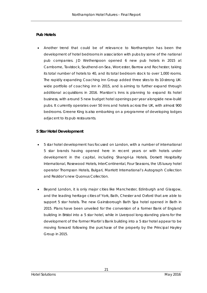#### **Pub Hotels**

• Another trend that could be of relevance to Northampton has been the development of hotel bedrooms in association with pubs by some of the national pub companies. JD Wetherspoon opened 6 new pub hotels in 2015 at Camborne, Tavistock, Southend-on-Sea, Worcester, Barrow and Rochester, taking its total number of hotels to 40, and its total bedroom stock to over 1,000 rooms. The rapidly expanding Coaching Inn Group added three sites to its 10-strong UKwide portfolio of coaching inn in 2015, and is aiming to further expand through additional acquisitions in 2016. Marston's Inns is planning to expand its hotel business, with around 5 new budget hotel openings per year alongside new-build pubs. It currently operates over 50 inns and hotels across the UK, with almost 900 bedrooms. Greene King is also embarking on a programme of developing lodges adjacent to its pub restaurants.

#### **5 Star Hotel Development**

- 5 star hotel development has focused on London, with a number of international 5 star brands having opened here in recent years or with hotels under development in the capital, including Shangri-La Hotels, Dorsett Hospitality International, Rosewood Hotels, InterContinental, Four Seasons, the US luxury hotel operator Thompson Hotels, Bulgari, Marriott International's Autograph Collection and Rezidor's new Quorvus Collection.
- Beyond London, it is only major cities like Manchester, Edinburgh and Glasgow, and the leading heritage cities of York, Bath, Chester and Oxford that are able to support 5 star hotels. The new Gainsborough Bath Spa hotel opened in Bath in 2015. Plans have been unveiled for the conversion of a former Bank of England building in Bristol into a 5 star hotel, while in Liverpool long-standing plans for the development of the former Martin's Bank building into a 5 star hotel appear to be moving forward following the purchase of the property by the Principal Hayley Group in 2015.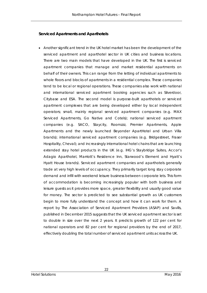#### **Serviced Apartments and Aparthotels**

• Another significant trend in the UK hotel market has been the development of the serviced apartment and aparthotel sector in UK cities and business locations. There are two main models that have developed in the UK. The first is serviced apartment companies that manage and market residential apartments on behalf of their owners. This can range from the letting of individual apartments to whole floors and blocks of apartments in a residential complex. These companies tend to be local or regional operations. These companies also work with national and international serviced apartment booking agencies such as Silverdoor, Citybase and ESA. The second model is purpose-built aparthotels or serviced apartment complexes that are being developed either by local independent operators; small, mainly regional serviced apartment companies (e.g. MAX Serviced Apartments, Go Native and Cotels); national serviced apartment companies (e.g. SACO, Staycity, Roomzzz, Premier Apartments, Apple Apartments and the newly launched Beyonder ApartHotel and Urban Villa brands); international serviced apartment companies (e.g. Bridgestreet, Fraser Hospitality, Cheval); and increasingly international hotel chains that are launching extended stay hotel products in the UK (e.g. IHG's Staybridge Suites, Accor's Adagio Aparthotel, Marriott's Residence Inn, Starwood's Element and Hyatt's Hyatt House brands). Serviced apartment companies and aparthotels generally trade at very high levels of occupancy. They primarily target long stay corporate demand and infill with weekend leisure business between corporate lets. This form of accommodation is becoming increasingly popular with both business and leisure guests as it provides more space, greater flexibility and usually good value for money. The sector is predicted to see substantial growth as UK customers begin to more fully understand the concept and how it can work for them. A report by The Association of Serviced Apartment Providers (ASAP) and Savills, published in December 2015 suggests that the UK serviced apartment sector is set to double in size over the next 2 years. It predicts growth of 122 per cent for national operators and 82 per cent for regional providers by the end of 2017, effectively doubling the total number of serviced apartment units across the UK.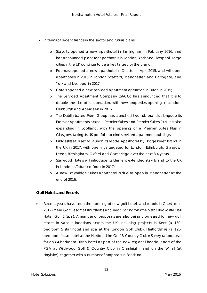- In terms of recent trends in the sector and future plans:
	- o Staycity opened a new aparthotel in Birmingham in February 2016, and has announced plans for aparthotels in London, York and Liverpool. Large cities in the UK continue to be a key target for the brand;
	- o Roomzzz opened a new aparthotel in Chester in April 2015, and will open aparthotels in 2016 in London Stratford, Manchester, and Harrogate, and York and Liverpool in 2017;
	- o Cotels opened a new serviced apartment operation in Luton in 2015;
	- o The Serviced Apartment Company (SACO) has announced that it is to double the size of its operation, with new properties opening in London, Edinburgh and Aberdeen in 2016;
	- o The Dublin-based Prem Group has launched two sub-brands alongside its Premier Apartments brand – Premier Suites and Premier Suites Plus. It is also expanding in Scotland, with the opening of a Premier Suites Plus in Glasgow, taking its UK portfolio to nine serviced apartment buildings;
	- o Bridgestreet is set to launch its Mode Aparthotel by Bridgestreet brand in the UK in 2017, with openings targeted for London, Edinburgh, Glasgow, Leeds, Birmingham, Oxford and Cambridge over the next 3-4 years;
	- o Starwood Hotels will introduce its Element extended stay brand to the UK in London's Tobacco Dock in 2017;
	- o A new Staybridge Suites aparthotel is due to open in Manchester at the end of 2016.

#### **Golf Hotels and Resorts**

• Recent years have seen the opening of new golf hotels and resorts in Cheshire in 2012 (Mere Golf Resort at Knutsford) and near Darlington (the 5 star Rockcliffe Hall Hotel, Golf & Spa). A number of proposals are also being progressed for new golf resorts in various locations across the UK, including projects in Kent (a 130 bedroom 5 star hotel and spa at the London Golf Club); Hertfordshire (a 125 bedroom 4 star hotel at the Hertfordshire Golf & Country Club); Surrey (a proposal for an 84-bedroom Hilton hotel as part of the new regional headquarters of the PGA at Wildwood Golf & Country Club in Cranleigh); and on the Wirral (at Hoylake), together with a number of proposals in Scotland.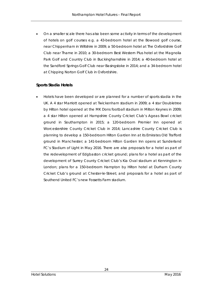• On a smaller scale there has also been some activity in terms of the development of hotels on golf courses e.g. a 43-bedroom hotel at the Bowood golf course, near Chippenham in Wiltshire in 2009; a 50-bedroom hotel at The Oxfordshire Golf Club near Thame in 2010; a 30-bedroom Best Western Plus hotel at the Magnolia Park Golf and Country Club in Buckinghamshire in 2014; a 40-bedroom hotel at the Sandford Springs Golf Club near Basingstoke in 2014; and a 34-bedroom hotel at Chipping Norton Golf Club in Oxfordshire.

#### **Sports Stadia Hotels**

• Hotels have been developed or are planned for a number of sports stadia in the UK. A 4 star Marriott opened at Twickenham stadium in 2009; a 4 star Doubletree by Hilton hotel opened at the MK Dons football stadium in Milton Keynes in 2009; a 4 star Hilton opened at Hampshire County Cricket Club's Ageas Bowl cricket ground in Southampton in 2015; a 120-bedroom Premier Inn opened at Worcestershire County Cricket Club in 2014; Lancashire County Cricket Club is planning to develop a 150-bedroom Hilton Garden Inn at its Emirates Old Trafford ground in Manchester; a 141-bedroom Hilton Garden Inn opens at Sunderland FC's Stadium of Light in May 2016. There are also proposals for a hotel as part of the redevelopment of Edgbaston cricket ground; plans for a hotel as part of the development of Surrey County Cricket Club's Kia Oval stadium at Kennington in London; plans for a 150-bedroom Hampton by Hilton hotel at Durham County Cricket Club's ground at Chester-le-Street; and proposals for a hotel as part of Southend United FC's new Fossetts Farm stadium.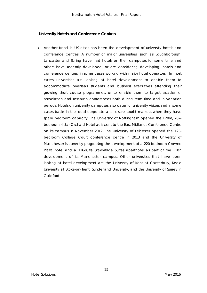#### **University Hotels and Conference Centres**

• Another trend in UK cities has been the development of university hotels and conference centres. A number of major universities, such as Loughborough, Lancaster and Stirling have had hotels on their campuses for some time and others have recently developed, or are considering developing, hotels and conference centres, in some cases working with major hotel operators. In most cases universities are looking at hotel development to enable them to accommodate overseas students and business executives attending their growing short course programmes, or to enable them to target academic, association and research conferences both during term time and in vacation periods. Hotels on university campuses also cater for university visitors and in some cases trade in the local corporate and leisure tourist markets when they have spare bedroom capacity. The University of Nottingham opened the £20m, 202 bedroom 4 star Orchard Hotel adjacent to the East Midlands Conference Centre on its campus in November 2012. The University of Leicester opened the 123 bedroom College Court conference centre in 2013 and the University of Manchester is currently progressing the development of a 220-bedroom Crowne Plaza hotel and a 116-suite Staybridge Suites aparthotel as part of the £1bn development of its Manchester campus. Other universities that have been looking at hotel development are the University of Kent at Canterbury, Keele University at Stoke-on-Trent, Sunderland University, and the University of Surrey in Guildford.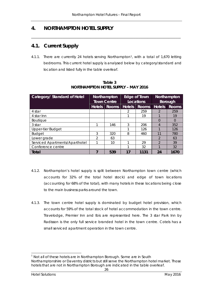\_\_\_\_\_\_\_\_\_\_\_\_\_\_\_\_\_\_\_\_\_\_\_\_\_\_\_\_\_\_\_\_\_\_\_\_\_\_\_\_\_\_\_\_\_\_\_\_\_\_\_\_\_\_\_\_\_\_\_\_\_\_\_\_\_\_\_\_\_\_\_\_\_\_\_\_\_\_\_\_\_\_\_\_\_\_

# **4. NORTHAMPTON HOTEL SUPPLY**

# **4.1. Current Supply**

4.[1](#page-36-0).1. There are currently 24 hotels serving Northampton<sup>1</sup>, with a total of 1,670 letting bedrooms. This current hotel supply is analysed below by category/standard and location and listed fully in the table overleaf.

| Category/ Standard of Hotel    | Northampton<br><b>Town Centre</b> |              | Edge of Town<br><b>Locations</b> |              | Northampton<br><b>Borough</b> |              |
|--------------------------------|-----------------------------------|--------------|----------------------------------|--------------|-------------------------------|--------------|
|                                | <b>Hotels</b>                     | <b>Rooms</b> | <b>Hotels</b>                    | <b>Rooms</b> | <b>Hotels</b>                 | <b>Rooms</b> |
| 4 star                         |                                   |              | 2                                | 259          | 2                             | 259          |
| 4 star Inn                     |                                   |              | ◀                                | 19           |                               | 19           |
| <b>Boutique</b>                |                                   |              |                                  |              | 0                             | $\Omega$     |
| 3 star                         |                                   | 146          | 3                                | 206          | 4                             | 352          |
| Upper-tier Budget              |                                   |              |                                  | 126          |                               | 126          |
| <b>Budget</b>                  | 3                                 | 320          | 8                                | 460          | 11                            | 780          |
| Lower grade                    | っ                                 | 63           |                                  |              | $\mathfrak{D}$                | 63           |
| Serviced Apartments/Aparthotel |                                   | 10           |                                  | 29           | $\mathcal{P}$                 | 39           |
| Conference centre              |                                   |              |                                  | 32           |                               | 32           |
| Total                          |                                   | 539          | 17                               | 1131         | 24                            | 1670         |

**Table 3 NORTHAMPTON HOTEL SUPPLY – MAY 2016**

- 4.1.2. Northampton's hotel supply is split between Northampton town centre (which accounts for 32% of the total hotel stock) and edge of town locations (accounting for 68% of the total), with many hotels in these locations being close to the main business parks around the town.
- 4.1.3. The town centre hotel supply is dominated by budget hotel provision, which accounts for 59% of the total stock of hotel accommodation in the town centre. Travelodge, Premier Inn and Ibis are represented here. The 3 star Park Inn by Radisson is the only full service branded hotel in the town centre. Cotels has a small serviced apartment operation in the town centre.

<span id="page-36-0"></span> $1$  Not all of these hotels are in Northampton Borough. Some are in South Northamptonshire or Daventry districts but still serve the Northampton hotel market. Those hotels that are not in Northampton Borough are indicated in the table overleaf.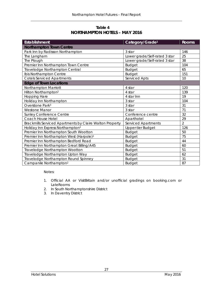**Table 4 NORTHAMPTON HOTELS – MAY 2016**

| <b>Establishment</b>                                     | Category/Grade <sup>1</sup>   | <b>Rooms</b>   |
|----------------------------------------------------------|-------------------------------|----------------|
| <b>Northampton Town Centre</b>                           |                               |                |
| Park Inn by Radisson Northampton                         | 3 star                        | 146            |
| The Langham                                              | Lower grade/Self-rated 3 star | 25             |
| The Plough                                               | Lower grade/Self-rated 3 star | 38             |
| Premier Inn Northampton Town Centre                      | <b>Budget</b>                 | 104            |
| Travelodge Northampton Central                           | <b>Budget</b>                 | 65             |
| Ibis Northampton Centre                                  | <b>Budget</b>                 | 151            |
| <b>Cotels Serviced Apartments</b>                        | Serviced Apts                 | 10             |
| <b>Edge of Town Locations</b>                            |                               |                |
| Northampton Marriott                                     | 4 star                        | 120            |
| Hilton Northampton <sup>2</sup>                          | 4 star                        | 139            |
| <b>Hopping Hare</b>                                      | 4 star Inn                    | 19             |
| Holiday Inn Northampton                                  | 3 star                        | 104            |
| Overstone Park <sup>3</sup>                              | 3 star                        | 31             |
| <b>Westone Manor</b>                                     | 3 star                        | 71             |
| <b>Sunley Conference Centre</b>                          | Conference centre             | 32             |
| Coach House Hotel                                        | Aparthotel                    | 29             |
| Brackmills Serviced Apartments by Claire Walton Property | Serviced Apartments           | $\overline{2}$ |
| Holiday Inn Express Northampton <sup>2</sup>             | <b>Upper-tier Budget</b>      | 126            |
| Premier Inn Northampton South Wootton                    | <b>Budget</b>                 | 50             |
| Premier Inn Northampton West (Harpole) <sup>2</sup>      | <b>Budget</b>                 | 75             |
| Premier Inn Northampton Bedford Road                     | <b>Budget</b>                 | 44             |
| Premier Inn Northampton Great Billing/A45                | <b>Budget</b>                 | 60             |
| Travelodge Northampton Wootton                           | <b>Budget</b>                 | 51             |
| Travelodge Northampton Upton Way                         | <b>Budget</b>                 | 62             |
| Travelodge Northampton Round Spinney                     | <b>Budget</b>                 | 31             |
| Campanile Northampton <sup>2</sup>                       | <b>Budget</b>                 | 87             |

Notes:

- 1. Official AA or VisitBritain and/or unofficial gradings on booking.com or LateRooms
- 2. In South Northamptonshire District
- 3. In Daventry District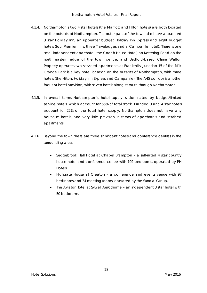- 4.1.4. Northampton's two 4 star hotels (the Marriott and Hilton hotels) are both located on the outskirts of Northampton. The outer parts of the town also have a branded 3 star Holiday Inn, an upper-tier budget Holiday Inn Express and eight budget hotels (four Premier Inns, three Travelodges and a Campanile hotel). There is one small independent aparthotel (the Coach House Hotel) on Kettering Road on the north eastern edge of the town centre, and Bedford-based Claire Walton Property operates two serviced apartments at Brackmills. Junction 15 of the M1/ Grange Park is a key hotel location on the outskirts of Northampton, with three hotels (the Hilton, Holiday Inn Express and Campanile). The A45 corridor is another focus of hotel provision, with seven hotels along its route through Northampton.
- 4.1.5. In overall terms Northampton's hotel supply is dominated by budget/limited service hotels, which account for 55% of total stock. Branded 3 and 4 star hotels account for 22% of the total hotel supply. Northampton does not have any boutique hotels, and very little provision in terms of aparthotels and serviced apartments.
- 4.1.6. Beyond the town there are three significant hotels and conference centres in the surrounding area:
	- Sedgebrook Hall Hotel at Chapel Brampton a self-rated 4 star country house hotel and conference centre with 102 bedrooms, operated by PH Hotels.
	- Highgate House at Creaton a conference and events venue with 97 bedrooms and 34 meeting rooms, operated by the Sundial Group.
	- The Aviator Hotel at Sywell Aerodrome an independent 3 star hotel with 50 bedrooms.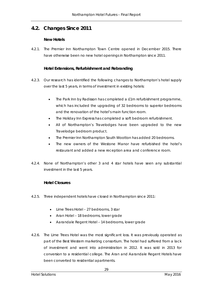# **4.2. Changes Since 2011**

#### **New Hotels**

4.2.1. The Premier Inn Northampton Town Centre opened in December 2015. There have otherwise been no new hotel openings in Northampton since 2011.

### **Hotel Extensions, Refurbishment and Rebranding**

- 4.2.3. Our research has identified the following changes to Northampton's hotel supply over the last 5 years, in terms of investment in existing hotels:
	- The Park Inn by Radisson has completed a £1m refurbishment programme, which has included the upgrading of 32 bedrooms to superior bedrooms and the renovation of the hotel's main function room.
	- The Holiday Inn Express has completed a soft bedroom refurbishment.
	- All of Northampton's Travelodges have been upgraded to the new Travelodge bedroom product.
	- The Premier Inn Northampton South Wootton has added 20 bedrooms.
	- The new owners of the Westone Manor have refurbished the hotel's restaurant and added a new reception area and conference room.
- 4.2.4. None of Northampton's other 3 and 4 star hotels have seen any substantial investment in the last 5 years.

### **Hotel Closures**

- 4.2.5. Three independent hotels have closed in Northampton since 2011:
	- Lime Trees Hotel 27 bedrooms, 3 star
	- Aran Hotel 18 bedrooms, lower grade
	- Aarandale Regent Hotel 14 bedrooms, lower grade
- 4.2.6. The Lime Trees Hotel was the most significant loss. It was previously operated as part of the Best Western marketing consortium. The hotel had suffered from a lack of investment and went into administration in 2012. It was sold in 2013 for conversion to a residential college. The Aran and Aarandale Regent Hotels have been converted to residential apartments.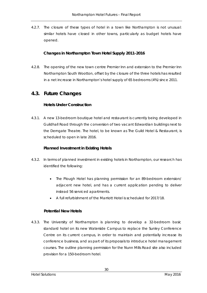4.2.7. The closure of these types of hotel in a town like Northampton is not unusual: similar hotels have closed in other towns, particularly as budget hotels have opened.

### **Changes in Northampton Town Hotel Supply 2011-2016**

4.2.8. The opening of the new town centre Premier Inn and extension to the Premier Inn Northampton South Wootton, offset by the closure of the three hotels has resulted in a net increase in Northampton's hotel supply of 65 bedrooms (4%) since 2011.

### **4.3. Future Changes**

### **Hotels Under Construction**

4.3.1. A new 13-bedroom boutique hotel and restaurant is currently being developed in Guildhall Road through the conversion of two vacant Edwardian buildings next to the Derngate Theatre. The hotel, to be known as The Guild Hotel & Restaurant, is scheduled to open in late 2016.

### **Planned Investment in Existing Hotels**

- 4.3.2. In terms of planned investment in existing hotels in Northampton, our research has identified the following:
	- The Plough Hotel has planning permission for an 89-bedroom extension/ adjacent new hotel, and has a current application pending to deliver instead 56 serviced apartments.
	- A full refurbishment of the Marriott Hotel is scheduled for 2017/18.

#### **Potential New Hotels**

4.3.3. The University of Northampton is planning to develop a 32-bedroom basic standard hotel on its new Waterside Campus to replace the Sunley Conference Centre on its current campus, in order to maintain and potentially increase its conference business, and as part of its proposals to introduce hotel management courses. The outline planning permission for the Nunn Mills Road site also included provision for a 150-bedroom hotel.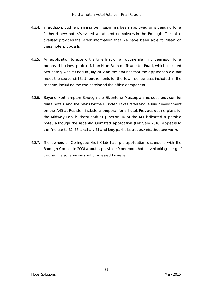- 4.3.4. In addition, outline planning permission has been approved or is pending for a further 4 new hotels/serviced apartment complexes in the Borough. The table overleaf provides the latest information that we have been able to glean on these hotel proposals.
- 4.3.5. An application to extend the time limit on an outline planning permission for a proposed business park at Milton Ham Farm on Towcester Road, which included two hotels, was refused in July 2012 on the grounds that the application did not meet the sequential test requirements for the town centre uses included in the scheme, including the two hotels and the office component.
- 4.3.6. Beyond Northampton Borough the Silverstone Masterplan includes provision for three hotels, and the plans for the Rushden Lakes retail and leisure development on the A45 at Rushden include a proposal for a hotel. Previous outline plans for the Midway Park business park at Junction 16 of the M1 indicated a possible hotel, although the recently submitted application (February 2016) appears to confine use to B2, B8, ancillary B1 and lorry park plus access/infrastructure works.
- 4.3.7. The owners of Collingtree Golf Club had pre-application discussions with the Borough Council in 2008 about a possible 40-bedroom hotel overlooking the golf course. The scheme was not progressed however.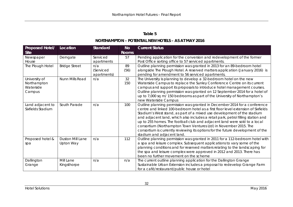### **Table 5**

### **NORTHAMPTON – POTENTIAL NEW HOTELS – AS AT MAY 2016**

| <b>Proposed Hotel/</b><br><b>Site</b> | Location                | <b>Standard</b> | <b>No</b><br><b>Rooms</b> | <b>Current Status</b>                                                             |
|---------------------------------------|-------------------------|-----------------|---------------------------|-----------------------------------------------------------------------------------|
| Newspaper                             | Derngate                | Serviced        | 57                        | Pending application for the conversion and redevelopment of the former            |
| House                                 |                         | apartments      |                           | Post Office sorting office to 57 serviced apartments.                             |
| The Plough Hotel                      | <b>Bridge Street</b>    | n/a             | 89                        | Outline planning permission was granted in 2013 for an 89-bedroom hotel           |
|                                       |                         | (Serviced       | (56)                      | alongside The Plough Hotel. A reserved matters application (January 2016) is      |
|                                       |                         | apartments)     |                           | pending for amendment to 56 serviced apartments.                                  |
| University of                         | Nunn Mills Road         | n/a             | 32                        | The University is planning to develop a 32-bedroom hotel on the new               |
| Northampton                           |                         |                 | 150                       | Waterside Campus to replace the Sunley Conference Centre on its current           |
| Waterside                             |                         |                 |                           | campus and support its proposals to introduce hotel management courses.           |
| Campus                                |                         |                 |                           | Outline planning permission was granted on 12 September 2014 for a hotel of       |
|                                       |                         |                 |                           | up to 7,000 sq m/ 150 bedrooms as part of the University of Northampton's         |
|                                       |                         |                 |                           | new Waterside Campus                                                              |
| Land adjacent to                      | South Parade            | n/a             | 100                       | Outline planning permission was granted in December 2014 for a conference         |
| Sixfields Stadium                     |                         |                 |                           | centre and linked 100-bedroom hotel as a first floor level extension of Sixfields |
|                                       |                         |                 |                           | Stadium's West stand, as part of a mixed use development of the stadium           |
|                                       |                         |                 |                           | and adjacent land, which also includes a retail park, petrol filling station and  |
|                                       |                         |                 |                           | up to 255 homes. The football club and adjacent land were sold to a local         |
|                                       |                         |                 |                           | consortium (Northampton Town Ventures Ltd) in November 2015. The                  |
|                                       |                         |                 |                           | consortium is currently reviewing its options for the future development of the   |
|                                       |                         |                 |                           | stadium and adjacent land.                                                        |
| Proposed hotel &                      | <b>Duston Mill Lane</b> | n/a             | 112                       | Outline planning permission was granted in 2011 for a 112-bedroom hotel with      |
| spa                                   | Upton Way               |                 |                           | a spa and leisure complex. Subsequent applications to vary some of the            |
|                                       |                         |                 |                           | planning conditions and for reserved matters relating to the landscaping for      |
|                                       |                         |                 |                           | the spa and leisure complex were approved in 2012 and 2013. There has             |
|                                       |                         |                 |                           | been no further movement on the scheme                                            |
| Dallington                            | Mill Lane               | n/a             | n/a                       | The current outline planning application for the Dallington Grange                |
| Grange                                | Kingsthorpe             |                 |                           | Sustainable Urban Extension includes a proposal to redevelop Grange Farm          |
|                                       |                         |                 |                           | for a café/restaurant/public house or hotel                                       |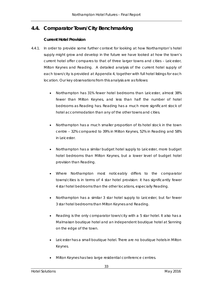# **4.4. Comparator Town/City Benchmarking**

### **Current Hotel Provision**

- 4.4.1. In order to provide some further context for looking at how Northampton's hotel supply might grow and develop in the future we have looked at how the town's current hotel offer compares to that of three larger towns and cities – Leicester, Milton Keynes and Reading. A detailed analysis of the current hotel supply of each town/city is provided at Appendix 4, together with full hotel listings for each location. Our key observations from this analysis are as follows:
	- Northampton has 31% fewer hotel bedrooms than Leicester, almost 38% fewer than Milton Keynes, and less than half the number of hotel bedrooms as Reading has. Reading has a much more significant stock of hotel accommodation than any of the other towns and cities.
	- Northampton has a much smaller proportion of its hotel stock in the town centre – 32% compared to 39% in Milton Keynes, 52% in Reading and 58% in Leicester.
	- Northampton has a similar budget hotel supply to Leicester, more budget hotel bedrooms than Milton Keynes, but a lower level of budget hotel provision than Reading.
	- Where Northampton most noticeably differs to the comparator towns/cities is in terms of 4 star hotel provision: it has significantly fewer 4 star hotel bedrooms than the other locations, especially Reading.
	- Northampton has a similar 3 star hotel supply to Leicester, but far fewer 3 star hotel bedrooms than Milton Keynes and Reading.
	- Reading is the only comparator town/city with a 5 star hotel. It also has a Malmaison boutique hotel and an independent boutique hotel at Sonning on the edge of the town.
	- Leicester has a small boutique hotel. There are no boutique hotels in Milton Keynes.
	- Milton Keynes has two large residential conference centres.

33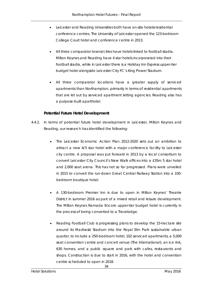- Leicester and Reading Universities both have on-site hotels/residential conference centres. The University of Leicester opened the 123-bedroom College Court hotel and conference centre in 2013.
- All three comparator towns/cities have hotels linked to football stadia. Milton Keynes and Reading have 4 star hotels incorporated into their football stadia, while in Leicester there is a Holiday Inn Express upper-tier budget hotel alongside Leicester City FC's King Power Stadium.
- All three comparator locations have a greater supply of serviced apartments than Northampton, primarily in terms of residential apartments that are let out by serviced apartment letting agencies. Reading also has a purpose-built aparthotel.

### **Potential Future Hotel Development**

- 4.4.2. In terms of potential future hotel development in Leicester, Milton Keynes and Reading, our research has identified the following:
	- The Leicester Economic Action Plan 2012-2020 sets out an ambition to attract a new 4/5 star hotel with a major conference facility to Leicester city centre. A proposal was put forward in 2013 by a local consortium to convert Leicester City Council's New Walk offices into a £35m 5 star hotel and 2,000 seat arena. This has not so far progressed. Plans were unveiled in 2015 to convert the run-down Great Central Railway Station into a 100 bedroom boutique hotel.
	- A 130-bedroom Premier Inn is due to open in Milton Keynes' Theatre District in summer 2016 as part of a mixed retail and leisure development. The Milton Keynes Ramada Encore upper-tier budget hotel is currently in the process of being converted to a Travelodge.
	- Reading Football Club is progressing plans to develop the 15-hectare site around its Madkeski Stadium into the Royal Elm Park sustainable urban quarter, to include a 250-bedroom hotel, 102 serviced apartments, a 5,000 seat convention centre and concert venue (The International), an ice rink, 630 homes, and a public square and park with cafes, restaurants and shops. Construction is due to start in 2016, with the hotel and convention centre scheduled to open in 2018.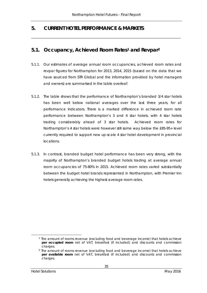*\_\_\_\_\_\_\_\_\_\_\_\_\_\_\_\_\_\_\_\_\_\_\_\_\_\_\_\_\_\_\_\_\_\_\_\_\_\_\_\_\_\_\_\_\_\_\_\_\_\_\_\_\_\_\_\_\_\_\_\_\_\_\_\_\_\_\_\_\_\_\_\_\_\_\_\_\_\_\_\_\_\_\_\_\_\_*

# **5. CURRENT HOTEL PERFORMANCE & MARKETS**

### **5.1. Occupancy, Achieved Room Rates[1](#page-45-0) and Revpar[2](#page-45-1)**

- 5.1.1. Our estimates of average annual room occupancies, achieved room rates and revpar figures for Northampton for 2013, 2014, 2015 (based on the data that we have sourced from STR Global and the information provided by hotel managers and owners) are summarised in the table overleaf.
- 5.1.2. The table shows that the performance of Northampton's branded 3/4 star hotels has been well below national averages over the last three years, for all performance indicators. There is a marked difference in achieved room rate performance between Northampton's 3 and 4 star hotels, with 4 star hotels trading considerably ahead of 3 star hotels. Achieved room rates for Northampton's 4 star hotels were however still some way below the £85-95+ level currently required to support new up-scale 4 star hotel development in provincial locations.
- 5.1.3. In contrast, branded budget hotel performance has been very strong, with the majority of Northampton's branded budget hotels trading at average annual room occupancies of 75-80% in 2015. Achieved room rates varied substantially between the budget hotel brands represented in Northampton, with Premier Inn hotels generally achieving the highest average room rates.

<span id="page-45-0"></span> <sup>1</sup> The amount of rooms revenue (excluding food and beverage income) that hotels achieve **per occupied room** net of VAT, breakfast (if included) and discounts and commission charges.

<span id="page-45-1"></span><sup>2</sup> The amount of rooms revenue (excluding food and beverage income) that hotels achieve **per available room** net of VAT, breakfast (if included) and discounts and commission charges.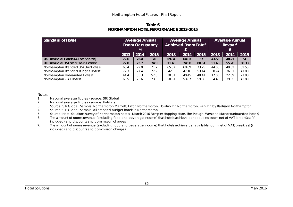### **Table 6 NORTHAMPTON HOTEL PERFORMANCE 2013-2015**

| Standard of Hotel                                 | <b>Average Annual</b><br><b>Room Occupancy</b><br>% |      | <b>Average Annual</b><br><b>Achieved Room Rate<sup>6</sup></b><br>£ |       |       | <b>Average Annual</b><br>Revpar <sup>7</sup> |       |       |       |
|---------------------------------------------------|-----------------------------------------------------|------|---------------------------------------------------------------------|-------|-------|----------------------------------------------|-------|-------|-------|
|                                                   | 2013                                                | 2014 | 2015                                                                | 2013  | 2014  | 2015                                         | 2013  | 2014  | 2015  |
| UK Provincial Hotels (All Standards) <sup>1</sup> | 72.6                                                | 75.4 | 76                                                                  | 59.94 | 64.03 | 67                                           | 43.53 | 48.27 | 51    |
| UK Provincial 3/4 Star Chain Hotels <sup>2</sup>  | 72.0                                                | 73.7 | 74.9                                                                | 71.46 | 74.90 | 80.51                                        | 51.48 | 55.20 | 60.33 |
| Northampton Branded 3/4 Star Hotels <sup>3</sup>  | 68.4                                                | 72.0 | 71.7                                                                | 65.57 | 68.09 | 73.25                                        | 44.86 | 49.02 | 52.55 |
| Northampton Branded Budget Hotels <sup>4</sup>    | 72.3                                                | 77.4 | 77.2                                                                | 42.5  | 47.16 | 53.14                                        | 30.74 | 36.51 | 41.00 |
| Northampton Unbranded Hotels <sup>5</sup>         | 44.4                                                | 55.3 | 57.6                                                                | 38.31 | 40.45 | 48.41                                        | 17.03 | 22.39 | 27.88 |
| Northampton - All Hotels                          | 68.5                                                | 73.6 | 73.6                                                                | 50.31 | 53.87 | 59.66                                        | 34.46 | 39.65 | 43.89 |

# Notes<br>1.

- National average figures source: STR Global
- 2. National average figures source: Hotstats<br>3. Source: STR Global, Sample: Northampton N
- 3. Source: STR Global. Sample: Northampton Marriott, Hilton Northampton, Holiday Inn Northampton, Park Inn by Radisson Northampton
- 4. Source: STR Global. Sample: all branded budget hotels in Northampton.
- 5. Source: Hotel Solutions survey of Northampton hotels –March 2016 Sample: Hopping Hare, The Plough, Westone Manor (unbranded hotels)
- 6. The amount of rooms revenue (excluding food and beverage income) that hotels achieve per occupied room net of VAT, breakfast (if included) and discounts and commission charges.
- 7. The amount of rooms revenue (excluding food and beverage income) that hotels achieve per available room net of VAT, breakfast (if included) and discounts and commission charges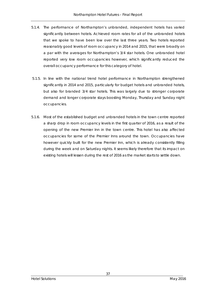- 5.1.4. The performance of Northampton's unbranded, independent hotels has varied significantly between hotels. Achieved room rates for all of the unbranded hotels that we spoke to have been low over the last three years. Two hotels reported reasonably good levels of room occupancy in 2014 and 2015, that were broadly on a par with the averages for Northampton's 3/4 star hotels. One unbranded hotel reported very low room occupancies however, which significantly reduced the overall occupancy performance for this category of hotel.
- 5.1.5. In line with the national trend hotel performance in Northampton strengthened significantly in 2014 and 2015, particularly for budget hotels and unbranded hotels, but also for branded 3/4 star hotels. This was largely due to stronger corporate demand and longer corporate stays boosting Monday, Thursday and Sunday night occupancies.
- 5.1.6. Most of the established budget and unbranded hotels in the town centre reported a sharp drop in room occupancy levels in the first quarter of 2016, as a result of the opening of the new Premier Inn in the town centre. This hotel has also affected occupancies for some of the Premier Inns around the town. Occupancies have however quickly built for the new Premier Inn, which is already consistently filling during the week and on Saturday nights. It seems likely therefore that its impact on existing hotels will lessen during the rest of 2016 as the market starts to settle down.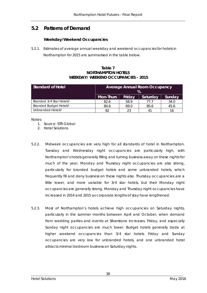# **5.2 Patterns of Demand**

#### **Weekday/Weekend Occupancies**

5.2.1. Estimates of average annual weekday and weekend occupancies for hotels in Northampton for 2015 are summarised in the table below.

#### **Table 7 NORTHAMPTON HOTELS WEEKDAY/ WEEKEND OCCUPANCIES – 2015**

| <b>Standard of Hotel</b>             | <b>Average Annual Room Occupancy</b><br>$\%$     |      |                |      |  |  |
|--------------------------------------|--------------------------------------------------|------|----------------|------|--|--|
|                                      | Saturday<br><b>Mon-Thurs</b><br>Sunday<br>Friday |      |                |      |  |  |
| Branded 3/4 Star Hotels <sup>1</sup> | 82.6                                             | 58.9 | 77 7           | 34.0 |  |  |
| Branded Budget Hotels <sup>1</sup>   | 84.6                                             | 69.0 | 85.6           | 45.6 |  |  |
| Unbranded Hotels <sup>2</sup>        | 82                                               | 23   | 4 <sup>1</sup> |      |  |  |

Notes:

- 1. Source: STR Global
- 2. Hotel Solutions
- 5.2.2. Midweek occupancies are very high for all standards of hotel in Northampton. Tuesday and Wednesday night occupancies are particularly high, with Northampton's hotels generally filling and turning business away on these nights for much of the year. Monday and Thursday night occupancies are also strong, particularly for branded budget hotels and some unbranded hotels, which frequently fill and deny business on these nights also. Thursday occupancies are a little lower, and more variable for 3/4 star hotels, but their Monday night occupancies are generally strong. Monday and Thursday night occupancies have increased in 2014 and 2015 as corporate lengths of stay have lengthened.
- 5.2.3. Most of Northampton's hotels achieve high occupancies on Saturday nights, particularly in the summer months between April and October, when demand from wedding parties and events at Silverstone increases. Friday, and especially Sunday night occupancies are much lower. Budget hotels generally trade at higher weekend occupancies than 3/4 star hotels. Friday and Sunday occupancies are very low for unbranded hotels, and one unbranded hotel attracts minimal bedroom business on Saturday nights.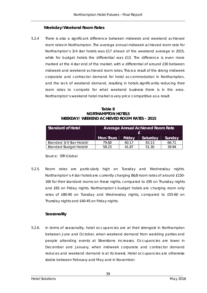#### **Weekday/Weekend Room Rates**

5.2.4 There is also a significant difference between midweek and weekend achieved room rates in Northampton. The average annual midweek achieved room rate for Northampton's 3/4 star hotels was £17 ahead of the weekend average in 2015, while for budget hotels the differential was £13. The difference is even more marked at the 4 star end of the market, with a differential of around £30 between midweek and weekend achieved room rates. This is a result of the strong midweek corporate and contractor demand for hotel accommodation in Northampton, and the lack of weekend demand, resulting in hotels significantly reducing their room rates to compete for what weekend business there is in the area. Northampton's weekend hotel market is very price competitive as a result.

**Table 8 NORTHAMPTON HOTELS WEEKDAY/ WEEKEND ACHIEVED ROOM RATES – 2015**

| <b>Standard of Hotel</b>             | Average Annual Achieved Room Rate |        |          |        |  |
|--------------------------------------|-----------------------------------|--------|----------|--------|--|
|                                      | <b>Mon-Thurs</b>                  | Friday | Saturday | Sunday |  |
| Branded 3/4 Star Hotels <sup>1</sup> | 79.68                             | 60.17  | 63.13    | 66.71  |  |
| Branded Budget Hotels <sup>1</sup>   | 58.23                             | 41.87  | 51.30    | 39.94  |  |

Source: STR Global

5.2.5. Room rates are particularly high on Tuesday and Wednesday nights. Northampton's 4 star hotels are currently charging B&B room rates of around £150- 160 for their standard rooms on these nights, compared to £95 on Thursday nights and £65 on Friday nights. Northampton's budget hotels are charging room only rates of £80-90 on Tuesday and Wednesday nights, compared to £55-60 on Thursday nights and £40-45 on Friday nights.

### **Seasonality**

5.2.6. In terms of seasonality, hotel occupancies are at their strongest in Northampton between June and October, when weekend demand from wedding parties and people attending events at Silverstone increases. Occupancies are lower in December and January, when midweek corporate and contractor demand reduces and weekend demand is at its lowest. Hotel occupancies are otherwise stable between February and May and in November.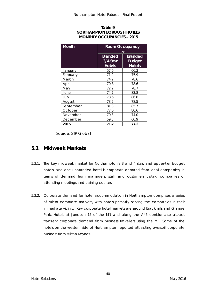### **Table 9 NORTHAMPTON BOROUGH HOTELS MONTHLY OCCUPANCIES – 2015**

| <b>Month</b> | <b>Room Occupancy</b><br>%           |                                           |  |  |
|--------------|--------------------------------------|-------------------------------------------|--|--|
|              | Branded<br>3/4 Star<br><b>Hotels</b> | Branded<br><b>Budget</b><br><b>Hotels</b> |  |  |
| January      | 57.6                                 | 66.3                                      |  |  |
| February     | 71.2                                 | 75.9                                      |  |  |
| March        | 74.2                                 | 78.6                                      |  |  |
| April        | 70.8                                 | 78.6                                      |  |  |
| May          | 72.2                                 | 78.7                                      |  |  |
| June         | 74.7                                 | 83.8                                      |  |  |
| July         | 78.6                                 | 86.8                                      |  |  |
| August       | 73.2                                 | 78.5                                      |  |  |
| September    | 81.3                                 | 85.7                                      |  |  |
| October      | 77.6                                 | 80.6                                      |  |  |
| November     | 70.3                                 | 74.0                                      |  |  |
| December     | 59.5                                 | 60.9                                      |  |  |
| 2015         | 71.7                                 | 77.2                                      |  |  |

Source: STR Global

### **5.3. Midweek Markets**

- 5.3.1. The key midweek market for Northampton's 3 and 4 star, and upper-tier budget hotels, and one unbranded hotel is corporate demand from local companies, in terms of demand from managers, staff and customers visiting companies or attending meetings and training courses.
- 5.3.2. Corporate demand for hotel accommodation in Northampton comprises a series of micro corporate markets, with hotels primarily serving the companies in their immediate vicinity. Key corporate hotel markets are around Brackmills and Grange Park. Hotels at Junction 15 of the M1 and along the A45 corridor also attract transient corporate demand from business travellers using the M1. Some of the hotels on the western side of Northampton reported attracting overspill corporate business from Milton Keynes.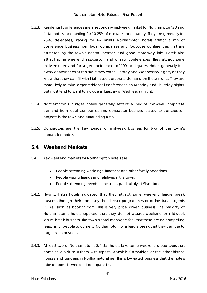- 5.3.3. Residential conferences are a secondary midweek market for Northampton's 3 and 4 star hotels, accounting for 10-25% of midweek occupancy. They are generally for 20-40 delegates, staying for 1-2 nights. Northampton hotels attract a mix of conference business from local companies and footloose conferences that are attracted by the town's central location and good motorway links. Hotels also attract some weekend association and charity conferences. They attract some midweek demand for larger conferences of 100+ delegates. Hotels generally turn away conferences of this size if they want Tuesday and Wednesday nights, as they know that they can fill with high-rated corporate demand on these nights. They are more likely to take larger residential conferences on Monday and Thursday nights, but most tend to want to include a Tuesday or Wednesday night.
- 5.3.4. Northampton's budget hotels generally attract a mix of midweek corporate demand from local companies and contractor business related to construction projects in the town and surrounding area.
- 5.3.5. Contractors are the key source of midweek business for two of the town's unbranded hotels.

### **5.4. Weekend Markets**

- 5.4.1. Key weekend markets for Northampton hotels are:
	- People attending weddings, functions and other family occasions;
	- People visiting friends and relatives in the town;
	- People attending events in the area, particularly at Silverstone.
- 5.4.2. Two 3/4 star hotels indicated that they attract some weekend leisure break business through their company short break programmes or online travel agents (OTAs) such as booking.com. This is very price driven business. The majority of Northampton's hotels reported that they do not attract weekend or midweek leisure break business. The town's hotel managers feel that there are no compelling reasons for people to come to Northampton for a leisure break that they can use to target such business.
- 5.4.3. At least two of Northampton's 3/4 star hotels take some weekend group tours that combine a visit to Althorp with trips to Warwick, Cambridge or the other historic houses and gardens in Northamptonshire. This is low-rated business that the hotels take to boost its weekend occupancies.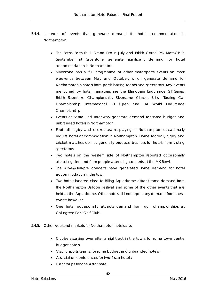- 5.4.4. In terms of events that generate demand for hotel accommodation in Northampton:
	- The British Formula 1 Grand Prix in July and British Grand Prix MotoGP in September at Silverstone generate significant demand for hotel accommodation in Northampton.
	- Silverstone has a full programme of other motorsports events on most weekends between May and October, which generate demand for Northampton's hotels from participating teams and spectators. Key events mentioned by hotel managers are the Blancpain Endurance GT Series, British Superbike Championship, Silverstone Classic, British Touring Car Championship, International GT Open and FIA World Endurance Championship.
	- Events at Santa Pod Raceway generate demand for some budget and unbranded hotels in Northampton.
	- Football, rugby and cricket teams playing in Northampton occasionally require hotel accommodation in Northampton. Home football, rugby and cricket matches do not generally produce business for hotels from visiting spectators.
	- Two hotels on the western side of Northampton reported occasionally attracting demand from people attending concerts at the MK Bowl.
	- The Alive@Delapre concerts have generated some demand for hotel accommodation in the town.
	- Two hotels located close to Billing Aquadrome attract some demand from the Northampton Balloon Festival and some of the other events that are held at the Aquadrome. Other hotels did not report any demand from these events however.
	- One hotel occasionally attracts demand from golf championships at Collingtree Park Golf Club.
- 5.4.5. Other weekend markets for Northampton hotels are:
	- Clubbers staying over after a night out in the town, for some town centre budget hotels;
	- Visiting sports teams, for some budget and unbranded hotels;
	- Association conferences for two 4 star hotels;
	- Car groups for one 4 star hotel.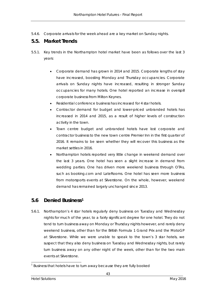5.4.6. Corporate arrivals for the week ahead are a key market on Sunday nights.

### **5.5. Market Trends**

- 5.5.1. Key trends in the Northampton hotel market have been as follows over the last 3 years:
	- Corporate demand has grown in 2014 and 2015. Corporate lengths of stay have increased, boosting Monday and Thursday occupancies. Corporate arrivals on Sunday nights have increased, resulting in stronger Sunday occupancies for many hotels. One hotel reported an increase in overspill corporate business from Milton Keynes.
	- Residential conference business has increased for 4 star hotels.
	- Contractor demand for budget and lower-priced unbranded hotels has increased in 2014 and 2015, as a result of higher levels of construction activity in the town.
	- Town centre budget and unbranded hotels have lost corporate and contractor business to the new town centre Premier Inn in the first quarter of 2016. It remains to be seen whether they will recover this business as the market settles in 2016.
	- Northampton hotels reported very little change in weekend demand over the last 3 years. One hotel has seen a slight increase in demand from wedding parties. One has driven more weekend business through OTAs, such as booking.com and LateRooms. One hotel has seen more business from motorsports events at Silverstone. On the whole, however, weekend demand has remained largely unchanged since 2013.

### **5.6 Denied Business[1](#page-53-0)**

5.6.1. Northampton's 4 star hotels regularly deny business on Tuesday and Wednesday nights for much of the year, to a fairly significant degree for one hotel. They do not tend to turn business away on Monday or Thursday nights however, and rarely deny weekend business, other than for the British Formula 1 Grand Prix and the MotoGP at Silverstone. While we were unable to speak to the town's 3 star hotels, we suspect that they also deny business on Tuesday and Wednesday nights, but rarely turn business away on any other night of the week, other than for the two main events at Silverstone.

<span id="page-53-0"></span><sup>-</sup> $1$  Business that hotels have to turn away because they are fully booked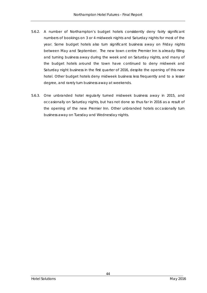- 5.6.2. A number of Northampton's budget hotels consistently deny fairly significant numbers of bookings on 3 or 4 midweek nights and Saturday nights for most of the year. Some budget hotels also turn significant business away on Friday nights between May and September. The new town centre Premier Inn is already filling and turning business away during the week and on Saturday nights, and many of the budget hotels around the town have continued to deny midweek and Saturday night business in the first quarter of 2016, despite the opening of this new hotel. Other budget hotels deny midweek business less frequently and to a lesser degree, and rarely turn business away at weekends.
- 5.6.3. One unbranded hotel regularly turned midweek business away in 2015, and occasionally on Saturday nights, but has not done so thus far in 2016 as a result of the opening of the new Premier Inn. Other unbranded hotels occasionally turn business away on Tuesday and Wednesday nights.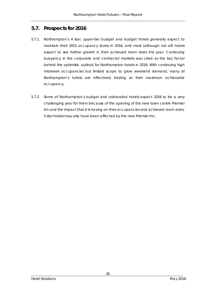# **5.7. Prospects for 2016**

- 5.7.1. Northampton's 4 star, upper-tier budget and budget hotels generally expect to maintain their 2015 occupancy levels in 2016, and most (although not all) hotels expect to see further growth in their achieved room rates this year. Continuing buoyancy in the corporate and contractor markets was cited as the key factor behind the optimistic outlook for Northampton hotels in 2016. With continuing high midweek occupancies but limited scope to grow weekend demand, many of Northampton's hotels are effectively trading at their maximum achievable occupancy.
- 5.7.2. Some of Northampton's budget and unbranded hotels expect 2016 to be a very challenging year for them because of the opening of the new town centre Premier Inn and the impact that it is having on their occupancies and achieved room rates. 3 star hotels may also have been affected by the new Premier Inn.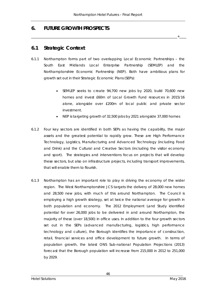\_\_\_\_\_\_\_\_\_\_\_\_\_\_\_\_\_\_\_\_\_\_\_\_\_\_\_\_\_\_\_\_\_\_\_\_\_\_\_\_\_\_\_\_\_\_\_\_\_\_\_\_\_\_\_\_\_\_\_\_\_\_\_\_\_\_\_\_\_\_\_\_\_\_\_\_\_\_\_\_\_\_\_\_+\_\_\_\_

### **6. FUTURE GROWTH PROSPECTS**

### **6.1 Strategic Context**

- 6.1.1 Northampton forms part of two overlapping Local Economic Partnerships the South East Midlands Local Enterprise Partnership (SEMLEP) and the Northamptonshire Economic Partnership (NEP). Both have ambitious plans for growth set out in their Strategic Economic Plans (SEPs):
	- SEMLEP seeks to create 94,700 new jobs by 2020, build 70,600 new homes and invest £60m of Local Growth Fund resources in 2015/16 alone, alongside over £200m of local public and private sector investment.
	- NEP is targeting growth of 32,500 jobs by 2021 alongside 37,000 homes
- 6.1.2 Four key sectors are identified in both SEPs as having the capability, the major assets and the greatest potential to rapidly grow. These are High Performance Technology, Logistics, Manufacturing and Advanced Technology (including Food and Drink) and the Cultural and Creative Sectors (including the visitor economy and sport). The strategies and interventions focus on projects that will develop these sectors, but also on infrastructure projects, including transport improvements, that will enable them to flourish.
- 6.1.3 Northampton has an important role to play in driving the economy of the wider region. The West Northamptonshire JCS targets the delivery of 28,000 new homes and 28,500 new jobs, with much of this around Northampton. The Council is employing a high growth strategy, set at twice the national average for growth in both population and economy. The 2012 Employment Land Study identified potential for over 26,000 jobs to be delivered in and around Northampton, the majority of these (over 18,500) in office uses. In addition to the four growth sectors set out in the SEPs (advanced manufacturing, logistics, high performance technology and culture), the Borough identifies the importance of construction, retail, financial services and office development to future growth. In terms of population growth, the latest ONS Sub-national Population Projections (2013) forecast that the Borough population will increase from 215,000 in 2012 to 251,000 by 2029.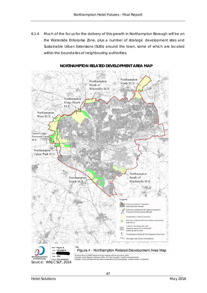6.1.4 Much of the focus for the delivery of this growth in Northampton Borough will be on the Waterside Enterprise Zone, plus a number of strategic development sites and Sustainable Urban Extensions (SUEs) around the town, some of which are located within the boundaries of neighbouring authorities.



### **NORTHAMPTON RELATED DEVELOPMENT AREA MAP**

Produced from the 2009 Ordnance Survey mapping with the permission of the<br>Controller of Her Majesty's Stationery Office. © Crown Copyright Unauthorised reproduction<br>Infringes Crown Copyright and may lead to prosecution or

West Northamptonshi<br>Joint Planning Unit **Act: JCS Adopted** Source: WNJCSLP, 2014

Dept: JPU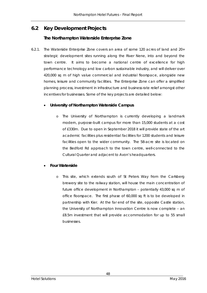# **6.2 Key Development Projects**

### **The Northampton Waterside Enterprise Zone**

6.2.1. The Waterside Enterprise Zone covers an area of some 120 acres of land and 20+ strategic development sites running along the River Nene, into and beyond the town centre. It aims to become a national centre of excellence for high performance technology and low carbon sustainable industry, and will deliver over 420,000 sq m of high value commercial and industrial floorspace, alongside new homes, leisure and community facilities. The Enterprise Zone can offer a simplified planning process, investment in infrastructure and business rate relief amongst other incentives for businesses. Some of the key projects are detailed below:

### • **University of Northampton Waterside Campus**

o The University of Northampton is currently developing a landmark modern, purpose-built campus for more than 15,000 students at a cost of £330m. Due to open in September 2018 it will provide state of the art academic facilities plus residential facilities for 1200 students and leisure facilities open to the wider community. The 58-acre site is located on the Bedford Rd approach to the town centre, well-connected to the Cultural Quarter and adjacent to Avon's headquarters.

### • **Four Waterside**

This site, which extends south of St Peters Way from the Carlsberg brewery site to the railway station, will house the main concentration of future office development in Northampton – potentially 43,000 sq m of office floorspace. The first phase of 60,000 sq ft is to be developed in partnership with Kier. At the far end of the site, opposite Castle station, the University of Northampton Innovation Centre is now complete – an £8.5m investment that will provide accommodation for up to 55 small businesses.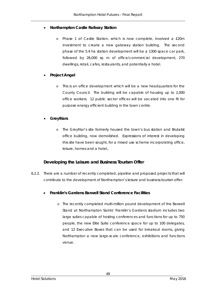### • **Northampton Castle Railway Station**

Phase 1 of Castle Station, which is now complete, involved a £20m investment to create a new gateway station building. The second phase of the 5.4 ha station development will be a 1300 space car park, followed by 26,000 sq m of office/commercial development, 270 dwellings, retail, cafes, restaurants, and potentially a hotel.

### • **Project Angel**

o This is an office development which will be a new headquarters for the County Council. The building will be capable of housing up to 2,000 office workers. 12 public sector offices will be vacated into one fit for purpose energy efficient building in the town centre.

### • **Greyfriars**

o The Greyfriar's site formerly housed the town's bus station and Brutalist office building, now demolished. Expressions of interest in developing this site have been sought, for a mixed use scheme incorporating office, leisure, homes and a hotel,.

### **Developing the Leisure and Business Tourism Offer**

6.2.2. There are a number of recently completed, pipeline and proposed projects that will contribute to the development of Northampton's leisure and business tourism offer:

### • **Franklin's Gardens Barwell Stand Conference Facilities**

o The recently completed multi-million pound development of the Barwell Stand at Northampton Saints' Franklin's Gardens stadium includes two large suites capable of hosting conferences and functions for up to 750 people, the new Elite Suite conference space for up to 100 delegates, and 12 Executive Boxes that can be used for breakout rooms, giving Northampton a new large-scale conference, exhibitions and functions venue.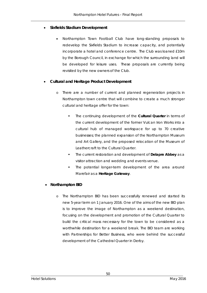### • **Sixfields Stadium Development**

• Northampton Town Football Club have long-standing proposals to redevelop the Sixfields Stadium to increase capacity, and potentially incorporate a hotel and conference centre. The Club was loaned £10m by the Borough Council, in exchange for which the surrounding land will be developed for leisure uses. These proposals are currently being revisited by the new owners of the Club.

### • **Cultural and Heritage Product Development**

- o There are a number of current and planned regeneration projects in Northampton town centre that will combine to create a much stronger cultural and heritage offer for the town:
	- The continuing development of the **Cultural Quarter** in terms of the current development of the former Vulcan Iron Works into a cultural hub of managed workspace for up to 70 creative businesses; the planned expansion of the Northampton Museum and Art Gallery, and the proposed relocation of the Museum of Leathercraft to the Cultural Quarter.
	- The current restoration and development of **Delapre Abbey** as a visitor attraction and wedding and events venue.
	- The potential longer-term development of the area around Marefair as a **Heritage Gateway**.

### • **Northampton BID**

o The Northampton BID has been successfully renewed and started its new 5-year term on 1 January 2016. One of the aims of the new BID plan is to improve the image of Northampton as a weekend destination, focusing on the development and promotion of the Cultural Quarter to build the critical mass necessary for the town to be considered as a worthwhile destination for a weekend break. The BID team are working with Partnerships for Better Business, who were behind the successful development of the Cathedral Quarter in Derby.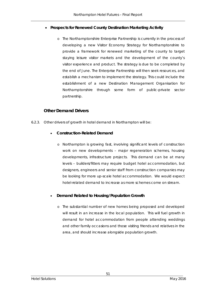### • **Prospects for Renewed County Destination Marketing Activity**

o The Northamptonshire Enterprise Partnership is currently in the process of developing a new Visitor Economy Strategy for Northamptonshire to provide a framework for renewed marketing of the county to target staying leisure visitor markets and the development of the county's visitor experience and product. The strategy is due to be completed by the end of June. The Enterprise Partnership will then seek resources, and establish a mechanism to implement the strategy. This could include the establishment of a new Destination Management Organisation for Northamptonshire through some form of public-private sector partnership.

### **Other Demand Drivers**

- 6.2.3. Other drivers of growth in hotel demand in Northampton will be:
	- **Construction-Related Demand**
		- o Northampton is growing fast, involving significant levels of construction work on new developments – major regeneration schemes, housing developments, infrastructure projects. This demand can be at many levels – builders/fitters may require budget hotel accommodation, but designers, engineers and senior staff from construction companies may be looking for more up-scale hotel accommodation. We would expect hotel-related demand to increase as more schemes come on stream.

### • **Demand Related to Housing/Population Growth**

o The substantial number of new homes being proposed and developed will result in an increase in the local population. This will fuel growth in demand for hotel accommodation from people attending weddings and other family occasions and those visiting friends and relatives in the area, and should increase alongside population growth.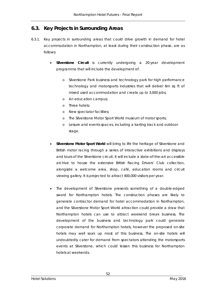### **6.3. Key Projects in Surrounding Areas**

- 6.3.1. Key projects in surrounding areas that could drive growth in demand for hotel accommodation in Northampton, at least during their construction phase, are as follows:
	- **Silverstone Circuit** is currently undergoing a 20-year development programme that will include the development of:
		- Silverstone Park business and technology park for high performance technology and motorsports industries that will deliver 6m sq ft of mixed used accommodation and create up to 3,000 jobs;
		- o An education campus;
		- o Three hotels;
		- o New spectator facilities;
		- o The Silverstone Motor Sport World museum of motor sports;
		- o Leisure and events spaces, including a karting track and outdoor stage.
	- **Silverstone Motor Sport World** will bring to life the heritage of Silverstone and British motor racing through a series of interactive exhibitions and displays and tours of the Silverstone circuit. It will include a state-of-the-art accessible archive to house the extensive British Racing Drivers' Club collection, alongside a welcome area, shop, café, education rooms and circuit viewing gallery. It is projected to attract 400,000 visitors per year.
	- The development of Silverstone presents something of a double-edged sword for Northampton hotels. The construction phases are likely to generate contractor demand for hotel accommodation in Northampton, and the Silverstone Motor Sport World attraction could provide a draw that Northampton hotels can use to attract weekend break business. The development of the business and technology park could generate corporate demand for Northampton hotels, however the proposed on-site hotels may well soak up most of this business. The on-site hotels will undoubtedly cater for demand from spectators attending the motorsports events at Silverstone, which could lessen this business for Northampton hotels at weekends.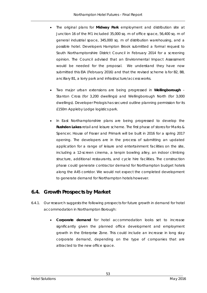- The original plans for **Midway Park** employment and distribution site at Junction 16 of the M1 included 35,000 sq. m of office space, 56,400 sq. m of general industrial space, 345,000 sq. m of distribution warehousing, and a possible hotel. Developers Hampton Brook submitted a formal request to South Northamptonshire District Council in February 2014 for a screening opinion. The Council advised that an Environmental Impact Assessment would be needed for the proposal. We understand they have now submitted this EIA (February 2016) and that the revised scheme is for B2, B8, ancillary B1, a lorry park and infrastructure/access works.
- Two major urban extensions are being progressed in **Wellingborough** Stanton Cross (for 3,200 dwellings) and Wellingborough North (for 3,000 dwellings). Developer Prologis has secured outline planning permission for its £150m Appleby Lodge logistics park.
- In East Northamptonshire plans are being progressed to develop the **Rushden Lakes** retail and leisure scheme. The first phase of stores for Marks & Spencer, House of Fraser and Primark will be built in 2016 for a spring 2017 opening. The developers are in the process of submitting an updated application for a range of leisure and entertainment facilities on the site, including a 12-screen cinema, a tenpin bowling alley, an indoor climbing structure, additional restaurants, and cycle hire facilities. The construction phase could generate contractor demand for Northampton budget hotels along the A45 corridor. We would not expect the completed development to generate demand for Northampton hotels however.

### **6.4. Growth Prospects by Market**

- 6.4.1. Our research suggests the following prospects for future growth in demand for hotel accommodation in Northampton Borough:
	- **Corporate demand** for hotel accommodation looks set to increase significantly given the planned office development and employment growth in the Enterprise Zone. This could include an increase in long stay corporate demand, depending on the type of companies that are attracted to the new office space.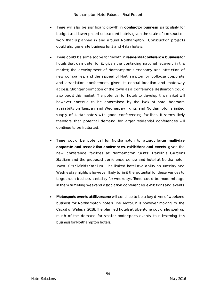- There will also be significant growth in **contractor business**, particularly for budget and lower-priced unbranded hotels, given the scale of construction work that is planned in and around Northampton. Construction projects could also generate business for 3 and 4 star hotels.
- There could be some scope for growth in **residential conference business** for hotels that can cater for it, given the continuing national recovery in this market; the development of Northampton's economy and attraction of new companies; and the appeal of Northampton for footloose corporate and association conferences, given its central location and motorway access. Stronger promotion of the town as a conference destination could also boost this market. The potential for hotels to develop this market will however continue to be constrained by the lack of hotel bedroom availability on Tuesday and Wednesday nights, and Northampton's limited supply of 4 star hotels with good conferencing facilities. It seems likely therefore that potential demand for larger residential conferences will continue to be frustrated.
- There could be potential for Northampton to attract **large multi-day corporate and association conferences, exhibitions and events**, given the new conference facilities at Northampton Saints' Franklin's Gardens Stadium and the proposed conference centre and hotel at Northampton Town FC's Sixfields Stadium. The limited hotel availability on Tuesday and Wednesday nights is however likely to limit the potential for these venues to target such business, certainly for weekdays. There could be more mileage in them targeting weekend association conferences, exhibitions and events.
- **Motorsports events at Silverstone** will continue to be a key driver of weekend business for Northampton hotels. The MotoGP is however moving to the Circuit of Wales in 2018. The planned hotels at Silverstone could also soak up much of the demand for smaller motorsports events, thus lessening this business for Northampton hotels.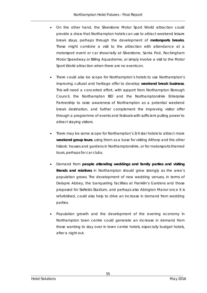- On the other hand, the Silverstone Motor Sport World attraction could provide a draw that Northampton hotels can use to attract weekend leisure break stays, perhaps through the development of **motorsports breaks**. These might combine a visit to the attraction with attendance at a motorsport event or car show/rally at Silverstone, Santa Pod, Rockingham Motor Speedway or Billing Aquadrome, or simply involve a visit to the Motor Sport World attraction when there are no events on.
- There could also be scope for Northampton's hotels to use Northampton's improving cultural and heritage offer to develop **weekend break business**. This will need a concerted effort, with support from Northampton Borough Council, the Northampton BID and the Northamptonshire Enterprise Partnership to raise awareness of Northampton as a potential weekend break destination, and further complement the improving visitor offer through a programme of events and festivals with sufficient pulling power to attract staying visitors.
- There may be some scope for Northampton's 3/4 star hotels to attract more **weekend group tours**, using them as a base for visiting Althorp and the other historic houses and gardens in Northamptonshire, or for motorsports themed tours, perhaps for car clubs.
- Demand from **people attending weddings and family parties and visiting friends and relatives** in Northampton should grow strongly as the area's population grows. The development of new wedding venues, in terms of Delapre Abbey, the banqueting facilities at Franklin's Gardens and those proposed for Sixfields Stadium, and perhaps also Abington Manor once it is refurbished, could also help to drive an increase in demand from wedding parties.
- Population growth and the development of the evening economy in Northampton town centre could generate an increase in demand from those wanting to stay over in town centre hotels, especially budget hotels, after a night out.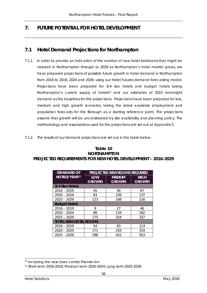\_\_\_\_\_\_\_\_\_\_\_\_\_\_\_\_\_\_\_\_\_\_\_\_\_\_\_\_\_\_\_\_\_\_\_\_\_\_\_\_\_\_\_\_\_\_\_\_\_\_\_\_\_\_\_\_\_\_\_\_\_\_\_\_\_\_\_\_\_\_\_\_\_\_\_\_\_\_\_\_\_\_\_\_\_\_\_\_\_\_\_

# **7. FUTURE POTENTIAL FOR HOTEL DEVELOPMENT**

# **7.1 Hotel Demand Projections for Northampton**

- 7.1.1. In order to provide an indication of the number of new hotel bedrooms that might be needed in Northampton through to 2029 as Northampton's hotel market grows, we have prepared projections of possible future growth in hotel demand in Northampton from 2016 to 2019, 2024 and 2029, using our Hotel Futures demand forecasting model. Projections have been prepared for 3/4 star hotels and budget hotels taking Northampton's current supply of hotels<sup>[10](#page-66-0)</sup> and our estimates of 2015 roomnight demand as the baselines for the projections. Projections have been prepared for low, medium and high growth scenarios, taking the latest available employment and population forecasts for the Borough as a starting reference point. The projections assume that growth will be unconstrained by site availability and planning policy. The methodology and assumptions used for the projections are set out at Appendix 5.
- 7.1.2. The results of our demand projections are set out in the table below.

| Table 10                                                     |
|--------------------------------------------------------------|
| <b>NORTHAMPTON</b>                                           |
| PROJECTED REQUIREMENTS FOR NEW HOTEL DEVELOPMENT – 2016-2029 |

| <b>STANDARD OF</b>           |                             | PROJECTED NEW ROOMS REQUIRED   |                              |
|------------------------------|-----------------------------|--------------------------------|------------------------------|
| <b>HOTELS/YEAR11</b>         | <b>LOW</b><br><b>GROWTH</b> | <b>MEDIUM</b><br><b>GROWTH</b> | <b>HIGH</b><br><b>GROWTH</b> |
| 3/4 Star Hotels              |                             |                                |                              |
| $2016 - 2019$                | 45                          | 56                             | 67                           |
| $2020 - 2024$                | 83                          | 109                            | 137                          |
| $2025 - 2029$                | 123                         | 168                            | 216                          |
| <b>Budget Hotels</b>         |                             |                                |                              |
| $2016 - 2019$                | 9                           | 27                             | 46                           |
| $2020 - 2024$                | 88                          | 134                            | 182                          |
| $2025 - 2029$                | 175                         | 254                            | 337                          |
| <b>TOTAL NEW HOTEL ROOMS</b> |                             |                                |                              |
| $2016 - 2019$                | 54                          | 83                             | 113                          |
| $2020 - 2024$                | 171                         | 243                            | 319                          |
| $2025 - 2029$                | 298                         | 422                            | 553                          |

<span id="page-66-0"></span><sup>-</sup><sup>10</sup> Including the new town centre Premier Inn

<span id="page-66-1"></span><sup>11</sup> Short term 2016-2019; Medium term 2020-2024; Long term 2025-2029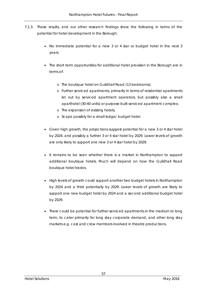- 7.1.3. These results, and our other research findings show the following in terms of the potential for hotel development in the Borough:
	- No immediate potential for a new 3 or 4 star or budget hotel in the next 3 years.
	- The short term opportunities for additional hotel provision in the Borough are in terms of:
		- o The boutique hotel on Guildhall Road (13 bedrooms);
		- o Further serviced apartments, primarily in terms of residential apartments let out by serviced apartment operators, but possibly also a small aparthotel (30-40 units) or purpose-built serviced apartment complex;
		- o The expansion of existing hotels;
		- o Scope possibly for a small lodge/ budget hotel.
	- Given high growth, the projections suggest potential for a new 3 or 4 star hotel by 2024, and possibly a further 3 or 4 star hotel by 2029. Lower levels of growth are only likely to support one new 3 or 4 star hotel by 2029.
	- It remains to be seen whether there is a market in Northampton to support additional boutique hotels. Much will depend on how the Guildhall Road boutique hotel trades.
	- High levels of growth could support another two budget hotels in Northampton by 2024 and a third potentially by 2029. Lower levels of growth are likely to support one new budget hotel by 2024 and a second additional budget hotel by 2029.
	- There could be potential for further serviced apartments in the medium to long term, to cater primarily for long stay corporate demand, and other long stay markets e.g. cast and crew members involved in theatre productions.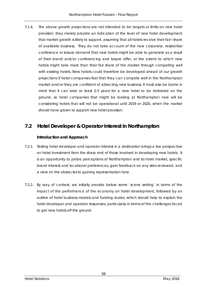7.1.4. The above growth projections are not intended to be targets or limits on new hotel provision: they merely provide an indication of the level of new hotel development that market growth is likely to support, assuming that all hotels receive their fair l share of available business. They do not take account of the new corporate, residential conference or leisure demand that new hotels might be able to generate as a result of their brand and/or conferencing and leisure offer, or the extent to which new hotels might take more than their fair share of the market through competing well with existing hotels. New hotels could therefore be developed ahead of our growth projections if hotel companies feel that they can compete well in the Northampton market and/or they are confident of attracting new business. It must also be borne in mind that it can take at least 2-3 years for a new hotel to be delivered on the ground, so hotel companies that might be looking at Northampton now will be considering hotels that will not be operational until 2019 or 2020, when the market should have grown to support new hotel provision.

# **7.2 Hotel Developer & Operator Interest in Northampton**

### **Introduction and Approach**

- 7.2.1. Testing hotel developer and operator interest in a destination brings a live perspective on hotel investment from the sharp end of those involved in developing new hotels. It is an opportunity to probe perceptions of Northampton and its hotel market, specific brand interest and locational preferences, gain feedback on any sites reviewed, and a view on the obstacles to gaining representation here.
- 7.2.2. By way of context, we initially provide below some 'scene setting' in terms of the impact of the performance of the economy on hotel development, followed by an outline of hotel business models and funding routes, which should help to explain the hotel developer and operator responses, particularly in terms of the challenges faced to get new hotels off the ground.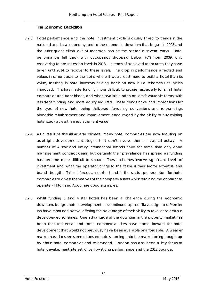### **The Economic Backdrop**

- 7.2.3. Hotel performance and the hotel investment cycle is closely linked to trends in the national and local economy and so the economic downturn that began in 2008 and the subsequent climb out of recession has hit the sector in several ways. Hotel performance fell back with occupancy dropping below 70% from 2009, only recovering to pre-recession levels in 2013. In terms of achieved room rates, they have taken until 2014 to recover to these levels. The drop in performance affected end values in some cases to the point where it would cost more to build a hotel than its value, resulting in hotel investors holding back on new build schemes until yields improved. This has made funding more difficult to secure, especially for small hotel companies and franchisees, and when available often on less favourable terms, with less debt funding and more equity required. These trends have had implications for the type of new hotel being delivered, favouring conversions and re-brandings alongside refurbishment and improvement, encouraged by the ability to buy existing hotel stock at less than replacement value.
- 7.2.4. As a result of this risk-averse climate, many hotel companies are now focusing on asset-light development strategies that don't involve them in capital outlay. A number of 4 star and luxury international brands have for some time only done management contract deals, but certainly their prevalence has spread as funding has become more difficult to secure. These schemes involve significant levels of investment and what the operator brings to the table is their sector expertise and brand strength. This reinforces an earlier trend in the sector pre-recession, for hotel companies to divest themselves of their property assets whilst retaining the contract to operate – Hilton and Accor are good examples.
- 7.2.5. Whilst funding 3 and 4 star hotels has been a challenge during the economic downturn, budget hotel development has continued apace: Travelodge and Premier Inn have remained active, offering the advantage of their ability to take lease deals in developer-led schemes. One advantage of the downturn in the property market has been that residential and some commercial sites have come forward for hotel development that would not previously have been available or affordable. A weaker market has also seen some distressed hotels coming onto the market being bought up by chain hotel companies and re-branded. London has also been a key focus of hotel development interest, driven by strong performance and the 2012 bounce.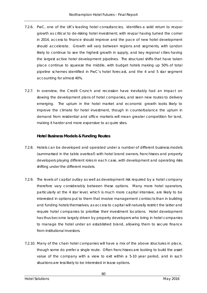- 7.2.6. PwC, one of the UK's leading hotel consultancies, identifies a solid return to revpar growth as critical to de-risking hotel investment; with revpar having turned the corner in 2014, access to finance should improve and the pace of new hotel development should accelerate. Growth will vary between regions and segments, with London likely to continue to see the highest growth in supply, and key regional cities having the largest active hotel development pipelines. The structural shifts that have taken place continue to squeeze the middle, with budget hotels making up 50% of total pipeline schemes identified in PwC's hotel forecast, and the 4 and 5 star segment accounting for almost 40%.
- 7.2.7. In overview, the Credit Crunch and recession have inevitably had an impact on slowing the development plans of hotel companies, and seen new routes to delivery emerging. The upturn in the hotel market and economic growth looks likely to improve the climate for hotel investment, though in counterbalance the upturn in demand from residential and office markets will mean greater competition for land, making it harder and more expensive to acquire sites.

#### **Hotel Business Models & Funding Routes**

- 7.2.8. Hotels can be developed and operated under a number of different business models (summarised in the table overleaf) with hotel brand owners, franchisees and property developers playing different roles in each case, with development and operating risks shifting under the different models.
- 7.2.9. The levels of capital outlay as well as development risk required by a hotel company therefore vary considerably between these options. Many more hotel operators, particularly at the 4 star level, which is much more capital intensive, are likely to be interested in options put to them that involve management contracts than in building and funding hotels themselves, as access to capital will naturally restrict the latter and require hotel companies to prioritise their investment locations. Hotel development has thus become largely driven by property developers who bring in hotel companies to manage the hotel under an established brand, allowing them to secure finance from institutional investors.
- 7.2.10. Many of the chain hotel companies will have a mix of the above structures in place, though some do prefer a single route. Often franchisees are looking to build the asset value of the company with a view to exit within a 5-10 year period, and in such situations are less likely to be interested in lease options.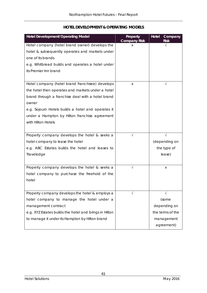| <b>Hotel Development/Operating Model</b>               | <b>Property</b><br><b>Company Risk</b> | <b>Hotel</b><br>Company<br><b>Risk</b> |
|--------------------------------------------------------|----------------------------------------|----------------------------------------|
| Hotel company (hotel brand owner) develops the         | X                                      |                                        |
| hotel & subsequently operates and markets under        |                                        |                                        |
| one of its brands                                      |                                        |                                        |
| e.g. Whitbread builds and operates a hotel under       |                                        |                                        |
| its Premier Inn brand                                  |                                        |                                        |
|                                                        |                                        |                                        |
| Hotel company (hotel brand franchisee) develops        | X                                      |                                        |
| the hotel then operates and markets under a hotel      |                                        |                                        |
| brand through a franchise deal with a hotel brand      |                                        |                                        |
| owner                                                  |                                        |                                        |
| e.g. Sojourn Hotels builds a hotel and operates it     |                                        |                                        |
| under a Hampton by Hilton franchise agreement          |                                        |                                        |
| with Hilton Hotels                                     |                                        |                                        |
|                                                        |                                        |                                        |
| Property company develops the hotel & seeks a          |                                        |                                        |
| hotel company to lease the hotel                       |                                        | (depending on                          |
| e.g. ABC Estates builds the hotel and leases to        |                                        | the type of                            |
| Travelodge                                             |                                        | lease)                                 |
|                                                        |                                        |                                        |
| Property company develops the hotel & seeks a          |                                        | Χ                                      |
| hotel company to purchase the freehold of the          |                                        |                                        |
| hotel                                                  |                                        |                                        |
|                                                        |                                        |                                        |
| Property company develops the hotel & employs a        |                                        |                                        |
| hotel company to manage the hotel under a              |                                        | (some                                  |
| management contract                                    |                                        | depending on                           |
| e.g. XYZ Estates builds the hotel and brings in Hilton |                                        | the terms of the                       |
| to manage it under its Hampton by Hilton brand         |                                        | management                             |
|                                                        |                                        | agreement)                             |

### **HOTEL DEVELOPMENT & OPERATING MODELS**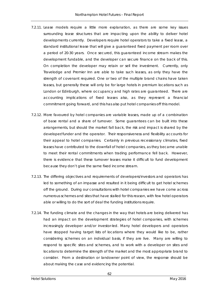- 7.2.11. Lease models require a little more explanation, as there are some key issues surrounding lease structures that are impacting upon the ability to deliver hotel developments currently. Developers require hotel operators to take a fixed lease, a standard institutional lease that will give a guaranteed fixed payment per room over a period of 20-30 years. Once secured, this guaranteed income stream makes the development fundable, and the developer can secure finance on the back of this. On completion the developer may retain or sell the investment. Currently, only Travelodge and Premier Inn are able to take such leases, as only they have the strength of covenant required. One or two of the multiple brand chains have taken leases, but generally these will only be for large hotels in premium locations such as London or Edinburgh, where occupancy and high rates are guaranteed. There are accounting implications of fixed leases also, as they represent a financial commitment going forward, and this has also put hotel companies off this model.
- 7.2.12. More favoured by hotel companies are variable leases, made up of a combination of base rental and a share of turnover. Some guarantees can be built into these arrangements, but should the market fall back, the risk and impact is shared by the developer/funder and the operator. Their responsiveness and flexibility accounts for their appeal to hotel companies. Certainly in previous recessionary climates, fixed leases have contributed to the downfall of hotel companies, as they became unable to meet their rental commitments when trading performance fell back. However, there is evidence that these turnover leases make it difficult to fund development because they don't give the same fixed income stream.
- 7.2.13. The differing objectives and requirements of developers/investors and operators has led to something of an impasse and resulted in it being difficult to get hotel schemes off the ground. During our consultations with hotel companies we have come across numerous schemes and sites that have stalled for this reason, with few hotel operators able or willing to do the sort of deal the funding institutions require.
- 7.2.14. The funding climate and the changes in the way that hotels are being delivered has had an impact on the development strategies of hotel companies, with schemes increasingly developer and/or investor-led. Many hotel developers and operators have stopped having target lists of locations where they would like to be, rather considering schemes on an individual basis, if they are live. Many are willing to respond to specific sites and schemes, and to work with a developer on sites and locations to determine the strength of the market and the most appropriate brand to consider. From a destination or landowner point of view, the response should be about making the case and evidencing the potential.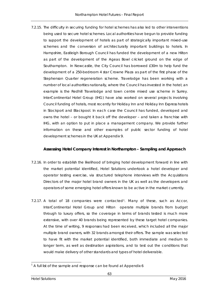7.2.15. The difficulty in securing funding for hotel schemes has also led to other interventions being used to secure hotel schemes. Local authorities have begun to provide funding to support the development of hotels as part of strategically important mixed-use schemes and the conversion of architecturally important buildings to hotels. In Hampshire, Eastleigh Borough Council has funded the development of a new Hilton as part of the development of the Ageas Bowl cricket ground on the edge of Southampton. In Newcastle, the City Council has borrowed £30m to help fund the development of a 250-bedroom 4 star Crowne Plaza as part of the first phase of the Stephenson Quarter regeneration scheme. Travelodge has been working with a number of local authorities nationally, where the Council has invested in the hotel; an example is the Redhill Travelodge and town centre mixed use scheme in Surrey. InterContinental Hotel Group (IHG) have also worked on several projects involving Council funding of hotels, most recently for Holiday Inn and Holiday Inn Express hotels in Stockport and Blackpool. In each case the Council has funded, developed and owns the hotel – or bought it back off the developer – and taken a franchise with IHG, with an option to put in place a management company. We provide further information on these and other examples of public sector funding of hotel development schemes in the UK at Appendix 9.

#### **Assessing Hotel Company Interest in Northampton – Sampling and Approach**

- 7.2.16. In order to establish the likelihood of bringing hotel development forward in line with the market potential identified, Hotel Solutions undertook a hotel developer and operator testing exercise, via structured telephone interviews with the Acquisitions Directors of the major hotel brand owners in the UK as well as the developers and operators of some emerging hotel offers known to be active in the market currently.
- 7.2.17. A total of 18 companies were contacted<sup>1</sup>. Many of these, such as Accor, InterContinental Hotel Group and Hilton operate multiple brands from budget through to luxury offers, so the coverage in terms of brands tested is much more extensive, with over 40 brands being represented by these target hotel companies. At the time of writing, 9 responses had been received, which included all the major multiple brand owners, with 32 brands amongst their offers. The sample was selected to have fit with the market potential identified, both immediate and medium to longer term, as well as destination aspirations, and to test out the conditions that would make delivery of other standards and types of hotel deliverable.

<span id="page-73-0"></span><sup>-</sup> $1$  A full list of the sample and response can be found at Appendix 6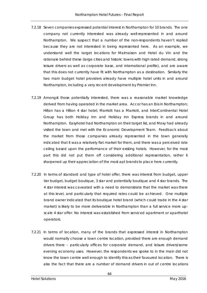- 7.2.18 Seven companies expressed potential interest in Northampton for 10 brands. The one company not currently interested was already well-represented in and around Northampton. We suspect that a number of the non-respondents haven't replied because they are not interested in being represented here. As an example, we understand well the target locations for Malmaison and Hotel du Vin and the rationale behind these (large cities and historic towns with high rated demand, strong leisure drivers as well as corporate base, and international profile), and are aware that this does not currently have fit with Northampton as a destination. Similarly the two main budget hotel providers already have multiple hotel units in and around Northampton, including a very recent development by Premier Inn.
- 7.2.19 Amongst those potentially interested, there was a reasonable market knowledge derived from having operated in the market area. Accor has an Ibis in Northampton; Hilton has a Hilton 4 star hotel; Marriott has a Marriott, and InterContinental Hotel Group has both Holiday Inn and Holiday Inn Express brands in and around Northampton. Easyhotel had Northampton on their target list, and Moxy had already visited the town and met with the Economic Development Team. Feedback about the market from those companies already represented in the town generally indicated that it was a relatively flat market for them, and there was a perceived rate ceiling based upon the performance of their existing hotels. However, for the most part this did not put them off considering additional representation, rather it sharpened up their appreciation of the most apt brands to place here currently.
- 7.2.20 In terms of standard and type of hotel offer, there was interest from budget, upper tier budget, budget boutique, 3 star and potentially boutique and 4 star brands. The 4 star interest was caveated with a need to demonstrate that the market was there at this level, and particularly that required rates could be achieved. One multiple brand owner indicated that its boutique hotel brand (which could trade in the 4 star market) is likely to be more deliverable in Northampton than a full service more upscale 4 star offer. No interest was established from serviced apartment or aparthotel operators.
- 7.2.21 In terms of location, many of the brands that expressed interest in Northampton would normally choose a town centre location, provided there are enough demand drivers there – particularly offices for corporate demand, and leisure drivers/some evening economy uses. However, the respondents we spoke to in the main did not know the town centre well enough to identify this as their favoured location. There is also the fact that there are a number of demand drivers in out of centre locations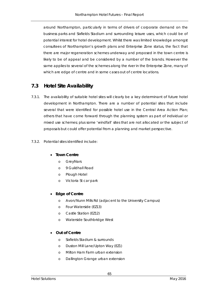around Northampton, particularly in terms of drivers of corporate demand on the business parks and Sixfields Stadium and surrounding leisure uses, which could be of potential interest for hotel development. Whilst there was limited knowledge amongst consultees of Northampton's growth plans and Enterprise Zone status, the fact that there are major regeneration schemes underway and proposed in the town centre is likely to be of appeal and be considered by a number of the brands. However the same applies to several of the schemes along the river in the Enterprise Zone, many of which are edge of centre and in some cases out of centre locations.

## **7.3 Hotel Site Availability**

- 7.3.1. The availability of suitable hotel sites will clearly be a key determinant of future hotel development in Northampton. There are a number of potential sites that include several that were identified for possible hotel use in the Central Area Action Plan; others that have come forward through the planning system as part of individual or mixed use schemes; plus some 'windfall' sites that are not allocated or the subject of proposals but could offer potential from a planning and market perspective.
- 7.3.2. Potential sites identified include:

#### • **Town Centre**

- o Greyfriars
- o 9 Guildhall Road
- o Plough Hotel
- o Victoria St car park

#### • **Edge of Centre**

- o Avon/Nunn Mills Rd (adjacent to the University Campus)
- o Four Waterside (EZ13)
- o Castle Station (EZ12)
- o Waterside Southbridge West

#### • **Out of Centre**

- o Sixfields Stadium & surrounds
- o Duston Mill Lane/Upton Way (EZ1)
- o Milton Ham Farm urban extension
- o Dallington Grange urban extension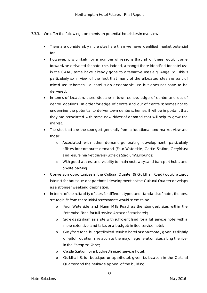- 7.3.3. We offer the following comments on potential hotel sites in overview:
	- There are considerably more sites here than we have identified market potential for.
	- However, it is unlikely for a number of reasons that all of these would come forward/be delivered for hotel use. Indeed, amongst those identified for hotel use in the CAAP, some have already gone to alternative uses e.g. Angel St. This is particularly so in view of the fact that many of the allocated sites are part of mixed use schemes – a hotel is an acceptable use but does not have to be delivered.
	- In terms of location, these sites are in town centre, edge of centre and out of centre locations. In order for edge of centre and out of centre schemes not to undermine the potential to deliver town centre schemes, it will be important that they are associated with some new driver of demand that will help to grow the market.
	- The sites that are the strongest generally from a locational and market view are those:
		- o Associated with other demand-generating development, particularly offices for corporate demand (Four Waterside, Castle Station, Greyfriars) and leisure market drivers (Sixfields Stadium/surrounds).
		- o With good access and visibility to main routeways and transport hubs, and on-site parking.
	- Conversion opportunities in the Cultural Quarter (9 Guildhall Road) could attract interest for boutique or aparthotel development as the Cultural Quarter develops as a stronger weekend destination.
	- In terms of the suitability of sites for different types and standards of hotel, the best strategic fit from these initial assessments would seem to be:
		- o Four Waterside and Nunn Mills Road as the strongest sites within the Enterprise Zone for full service 4 star or 3 star hotels;
		- o Sixfields stadium as a site with sufficient land for a full service hotel with a more extensive land take, or a budget/limited service hotel;
		- o Greyfriars for a budget/limited service hotel or aparthotel, given its slightly off-pitch location in relation to the major regeneration sites along the river in the Enterprise Zone;
		- o Castle Station for a budget/limited service hotel;
		- o Guildhall St for boutique or aparthotel, given its location in the Cultural Quarter and the heritage appeal of the building.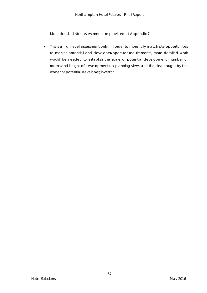More detailed sites assessment are provided at Appendix 7

• This is a high level assessment only. In order to more fully match site opportunities to market potential and developer/operator requirements, more detailed work would be needed to establish the scale of potential development (number of rooms and height of development), a planning view, and the deal sought by the owner or potential developer/investor.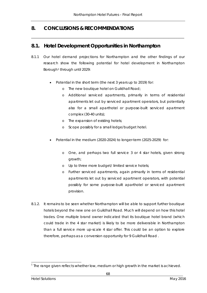\_\_\_\_\_\_\_\_\_\_\_\_\_\_\_\_\_\_\_\_\_\_\_\_\_\_\_\_\_\_\_\_\_\_\_\_\_\_\_\_\_\_\_\_\_\_\_\_\_\_\_\_\_\_\_\_\_\_\_\_\_\_\_\_\_\_\_\_\_\_\_\_\_\_\_\_\_\_\_\_\_\_\_\_\_\_\_\_

# **8. CONCLUSIONS & RECOMMENDATIONS**

# **8.1. Hotel Development Opportunities in Northampton**

- 8.1.1 Our hotel demand projections for Northampton and the other findings of our research show the following potential for hotel development in Northampton Borough<sup>[1](#page-78-0)</sup> through until 2029:
	- Potential in the short term (the next 3 years up to 2019) for:
		- o The new boutique hotel on Guildhall Road;
		- o Additional serviced apartments, primarily in terms of residential apartments let out by serviced apartment operators, but potentially also for a small aparthotel or purpose-built serviced apartment complex (30-40 units);
		- o The expansion of existing hotels;
		- o Scope possibly for a small lodge/budget hotel.
	- Potential in the medium (2020-2024) to longer-term (2025-2029) for:
		- o One, and perhaps two full service 3 or 4 star hotels, given strong growth;
		- o Up to three more budget/ limited service hotels;
		- o Further serviced apartments, again primarily in terms of residential apartments let out by serviced apartment operators, with potential possibly for some purpose-built aparthotel or serviced apartment provision.
- 8.1.2. It remains to be seen whether Northampton will be able to support further boutique hotels beyond the new one on Guildhall Road. Much will depend on how this hotel trades. One multiple brand owner indicated that its boutique hotel brand (which could trade in the 4 star market) is likely to be more deliverable in Northampton than a full service more up-scale 4 star offer. This could be an option to explore therefore, perhaps as a conversion opportunity for 9 Guildhall Road .

<span id="page-78-0"></span><sup>-</sup> $^1$  The range given reflects whether low, medium or high growth in the market is achieved.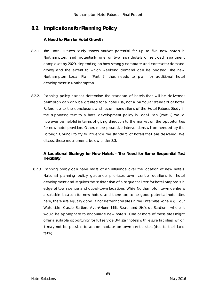# **8.2. Implications for Planning Policy**

#### **A Need to Plan for Hotel Growth**

- 8.2.1 The Hotel Futures Study shows market potential for up to five new hotels in Northampton, and potentially one or two aparthotels or serviced apartment complexes by 2029, depending on how strongly corporate and contractor demand grows, and the extent to which weekend demand can be boosted. The new Northampton Local Plan (Part 2) thus needs to plan for additional hotel development in Northampton.
- 8.2.2. Planning policy cannot determine the standard of hotels that will be delivered: permission can only be granted for a hotel use, not a particular standard of hotel. Reference to the conclusions and recommendations of the Hotel Futures Study in the supporting text to a hotel development policy in Local Plan (Part 2) would however be helpful in terms of giving direction to the market on the opportunities for new hotel provision. Other, more proactive interventions will be needed by the Borough Council to try to influence the standard of hotels that are delivered. We discuss these requirements below under 8.3.

### **A Locational Strategy for New Hotels – The Need for Some Sequential Test Flexibility**

 8.2.3. Planning policy can have more of an influence over the location of new hotels. National planning policy guidance prioritises town centre locations for hotel development and requires the satisfaction of a sequential test for hotel proposals in edge of town centre and out-of-town locations. While Northampton town centre is a suitable location for new hotels, and there are some good potential hotel sites here, there are equally good, if not better hotel sites in the Enterprise Zone e.g. Four Waterside, Castle Station, Avon/Nunn Mills Road and Sixfields Stadium, where it would be appropriate to encourage new hotels. One or more of these sites might offer a suitable opportunity for full service 3/4 star hotels with leisure facilities, which it may not be possible to accommodate on town centre sites (due to their land take).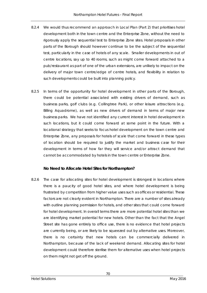- 8.2.4 We would thus recommend an approach in Local Plan (Part 2) that prioritises hotel development both in the town centre and the Enterprise Zone, without the need to rigorously apply the sequential test to Enterprise Zone sites. Hotel proposals in other parts of the Borough should however continue to be the subject of the sequential test, particularly in the case of hotels of any scale. Smaller developments in out of centre locations, say up to 40 rooms, such as might come forward attached to a pub/restaurant as part of one of the urban extensions, are unlikely to impact on the delivery of major town centre/edge of centre hotels, and flexibility in relation to such developments could be built into planning policy.
- 8.2.5 In terms of the opportunity for hotel development in other parts of the Borough, there could be potential associated with existing drivers of demand, such as business parks, golf clubs (e.g. Collingtree Park), or other leisure attractions (e.g. Billing Aquadrome), as well as new drivers of demand in terms of major new business parks. We have not identified any current interest in hotel development in such locations, but it could come forward at some point in the future. With a locational strategy that seeks to focus hotel development on the town centre and Enterprise Zone, any proposals for hotels of scale that come forward in these types of location should be required to justify the market and business case for their development in terms of how far they will service and/or attract demand that cannot be accommodated by hotels in the town centre or Enterprise Zone.

#### **No Need to Allocate Hotel Sites for Northampton?**

8.2.6 The case for allocating sites for hotel development is strongest in locations where there is a paucity of good hotel sites, and where hotel development is being frustrated by competition from higher value uses such as offices or residential. These factors are not clearly evident in Northampton. There are a number of sites already with outline planning permission for hotels, and other sites that could come forward for hotel development. In overall terms there are more potential hotel sites than we are identifying market potential for new hotels. Other than the fact that the Angel Street site has gone entirely to office use, there is no evidence that hotel projects are currently being, or are likely to be squeezed out by alternative uses. Moreover, there is no certainty that new hotels can be commercially delivered in Northampton, because of the lack of weekend demand. Allocating sites for hotel development could therefore sterilise them for alternative uses when hotel projects on them might not get off the ground.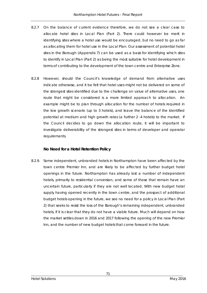- 8.2.7 On the balance of current evidence therefore, we do not see a clear case to allocate hotel sites in Local Plan (Part 2). There could however be merit in identifying sites where a hotel use would be encouraged, but no need to go as far as allocating them for hotel use in the Local Plan. Our assessment of potential hotel sites in the Borough (Appendix 7) can be used as a basis for identifying which sites to identify in Local Plan (Part 2) as being the most suitable for hotel development in terms of contributing to the development of the town centre and Enterprise Zone.
- 8.2.8 However, should the Council's knowledge of demand from alternative uses indicate otherwise, and it be felt that hotel uses might not be delivered on some of the strongest sites identified due to the challenge on value of alternative uses, one route that might be considered is a more limited approach to allocation. An example might be to plan through allocation for the number of hotels required in the low growth scenario (up to 3 hotels), and leave the balance of the identified potential at medium and high growth rates (a further 2 -4 hotels) to the market. If the Council decides to go down the allocation route, it will be important to investigate deliverability of the strongest sites in terms of developer and operator requirements.

#### **No Need for a Hotel Retention Policy**

8.2.9. Some independent, unbranded hotels in Northampton have been affected by the town centre Premier Inn, and are likely to be affected by further budget hotel openings in the future. Northampton has already lost a number of independent hotels, primarily to residential conversion, and some of those that remain have an uncertain future, particularly if they are not well located. With new budget hotel supply having opened recently in the town centre, and the prospect of additional budget hotels opening in the future, we see no need for a policy in Local Plan (Part 2) that seeks to resist the loss of the Borough's remaining independent, unbranded hotels, if it is clear that they do not have a viable future. Much will depend on how the market settles down in 2016 and 2017 following the opening of the new Premier Inn, and the number of new budget hotels that come forward in the future.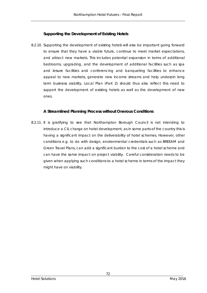#### **Supporting the Development of Existing Hotels**

8.2.10. Supporting the development of existing hotels will also be important going forward to ensure that they have a viable future, continue to meet market expectations, and attract new markets. This includes potential expansion in terms of additional bedrooms, upgrading, and the development of additional facilities such as spa and leisure facilities and conferencing and banqueting facilities to enhance appeal to new markets, generate new income streams and help underpin long term business viability. Local Plan (Part 2) should thus also reflect this need to support the development of existing hotels as well as the development of new ones.

#### **A Streamlined Planning Process without Onerous Conditions**

8.2.11. It is gratifying to see that Northampton Borough Council is not intending to introduce a CIL charge on hotel development, as in some parts of the country this is having a significant impact on the deliverability of hotel schemes. However, other conditions e.g. to do with design, environmental credentials such as BREEAM and Green Travel Plans, can add a significant burden to the cost of a hotel scheme and can have the same impact on project viability. Careful consideration needs to be given when applying such conditions to a hotel scheme in terms of the impact they might have on viability.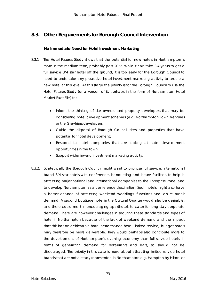# **8.3. Other Requirements for Borough Council Intervention**

### **No Immediate Need for Hotel Investment Marketing**

- 8.3.1 The Hotel Futures Study shows that the potential for new hotels in Northampton is more in the medium term, probably post 2022. While it can take 3-4 years to get a full service 3/4 star hotel off the ground, it is too early for the Borough Council to need to undertake any proactive hotel investment marketing activity to secure a new hotel at this level. At this stage the priority is for the Borough Council to use the Hotel Futures Study (or a version of it, perhaps in the form of Northampton Hotel Market Fact File) to:
	- Inform the thinking of site owners and property developers that may be considering hotel development schemes (e.g. Northampton Town Ventures or the Greyfriars developers);
	- Guide the disposal of Borough Council sites and properties that have potential for hotel development;
	- Respond to hotel companies that are looking at hotel development opportunities in the town;
	- Support wider inward investment marketing activity.
- 8.3.2. Strategically the Borough Council might want to prioritise full service, international brand 3/4 star hotels with conference, banqueting and leisure facilities, to help in attracting major national and international companies to the Enterprise Zone, and to develop Northampton as a conference destination. Such hotels might also have a better chance of attracting weekend weddings, functions and leisure break demand. A second boutique hotel in the Cultural Quarter would also be desirable, and there could merit in encouraging aparthotels to cater for long stay corporate demand. There are however challenges in securing these standards and types of hotel in Northampton because of the lack of weekend demand and the impact that this has on achievable hotel performance here. Limited service/ budget hotels may therefore be more deliverable. They would perhaps also contribute more to the development of Northampton's evening economy than full service hotels, in terms of generating demand for restaurants and bars, so should not be discouraged. The priority in this case is more about attracting limited service hotel brands that are not already represented in Northampton e.g. Hampton by Hilton, or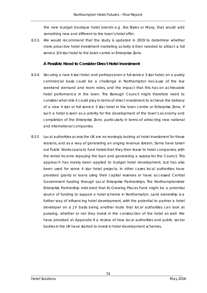the new budget boutique hotel brands e.g. Ibis Styles or Moxy, that would add something new and different to the town's hotel offer.

8.3.3. We would recommend that the study is updated in 2019 to determine whether more proactive hotel investment marketing activity is then needed to attract a full service 3/4 star hotel to the town centre or Enterprise Zone.

#### **A Possible Need to Consider Direct Hotel Investment**

- 8.3.4. Securing a new 4 star hotel, and perhaps even a full service 3 star hotel, on a purely commercial basis could be a challenge in Northampton because of the low weekend demand and room rates, and the impact that this has on achievable hotel performance in the town. The Borough Council might therefore need to consider what role it could play in terms of direct investment to achieve the delivery of a new 4 star or full service 3 star hotel in the town centre or Enterprise Zone, if such a hotel is seen as a priority for the development of the town's economy and completion of the Enterprise Zone, particularly in terms of attracting new national and international companies.
- 8.3.5 Local authorities across the UK are increasingly looking at hotel investment for these reasons, and as a way of generating an onging revenue stream. Some have taken out Public Works Loans to fund hotels that they then lease to hotel companies, with the rental income repaying the loan and generating a surplus for the Council. This approach has mainly been applied to budget hotel development, but has also been used for some 4 star hotel projects. In other cases local authorities have provided grants or loans using their capital reserves or have accessed Central Government funding through Local Enterprise Partnerships. The Northamptonshire Enterprise Partnership indicated that its Growing Places Fund might be a potential source of funding to support a hotel scheme in Northampton. Land ownership is a further way of influencing hotel development, with the potential to partner a hotel developer on a JV basis being another route that local authorities can look at pursuing, whether or not they invest in the construction of the hotel as well. We have provided at Appendix 9 a review of how local authorities and public sector bodies in the UK have started to invest in hotel development schemes.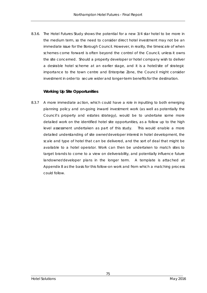8.3.6. The Hotel Futures Study shows the potential for a new 3/4 star hotel to be more in the medium term, so the need to consider direct hotel investment may not be an immediate issue for the Borough Council. However, in reality, the timescale of when schemes come forward is often beyond the control of the Council, unless it owns the site concerned. Should a property developer or hotel company wish to deliver a desirable hotel scheme at an earlier stage, and it is a hotel/site of strategic importance to the town centre and Enterprise Zone, the Council might consider investment in order to secure wider and longer-term benefits for the destination.

#### **Working Up Site Opportunities**

8.3.7 A more immediate action, which could have a role in inputting to both emerging planning policy and on-going inward investment work (as well as potentially the Council's property and estates strategy), would be to undertake some more detailed work on the identified hotel site opportunities, as a follow up to the high level assessment undertaken as part of this study. This would enable a more detailed understanding of site owner/developer interest in hotel development, the scale and type of hotel that can be delivered, and the sort of deal that might be available to a hotel operator. Work can then be undertaken to match sites to target brands to come to a view on deliverability, and potentially influence future landowner/developer plans in the longer term. A template is attached at Appendix 8 as the basis for this follow-on work and from which a matching process could follow.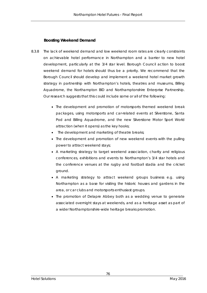### **Boosting Weekend Demand**

- 8.3.8 The lack of weekend demand and low weekend room rates are clearly constraints on achievable hotel performance in Northampton and a barrier to new hotel development, particularly at the 3/4 star level. Borough Council action to boost weekend demand for hotels should thus be a priority. We recommend that the Borough Council should develop and implement a weekend hotel market growth strategy in partnership with Northampton's hotels, theatres and museums, Billing Aquadrome, the Northampton BID and Northamptonshire Enterprise Partnership. Our research suggests that this could include some or all of the following:
	- The development and promotion of motorsports themed weekend break packages, using motorsports and car-related events at Silverstone, Santa Pod and Billing Aquadrome, and the new Silverstone Motor Sport World attraction (when it opens) as the key hooks;
	- The development and marketing of theatre breaks;
	- The development and promotion of new weekend events with the pulling power to attract weekend stays;
	- A marketing strategy to target weekend association, charity and religious conferences, exhibitions and events to Northampton's 3/4 star hotels and the conference venues at the rugby and football stadia and the cricket ground.
	- A marketing strategy to attract weekend groups business e.g. using Northampton as a base for visiting the historic houses and gardens in the area, or car clubs and motorsports enthusiast groups.
	- The promotion of Delapre Abbey both as a wedding venue to generate associated overnight stays at weekends, and as a heritage asset as part of a wider Northamptonshire-wide heritage breaks promotion.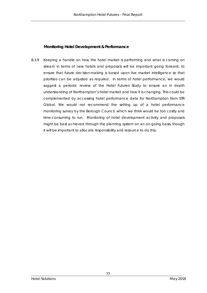### **Monitoring Hotel Development & Performance**

8.3.9 Keeping a handle on how the hotel market is performing and what is coming on stream in terms of new hotels and proposals will be important going forward, to ensure that future decision-making is based upon live market intelligence so that priorities can be adjusted as required. In terms of hotel performance, we would suggest a periodic review of the Hotel Futures Study to ensure an in depth understanding of Northampton's hotel market and how it is changing. This could be complemented by accessing hotel performance data for Northampton from STR Global. We would not recommend the setting up of a hotel performance monitoring survey by the Borough Council, which we think would be too costly and time-consuming to run. Monitoring of hotel development activity and proposals might be best achieved through the planning system on an on-going basis, though it will be important to allocate responsibility and resource to do this.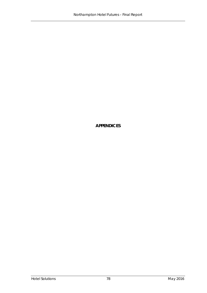**APPENDICES**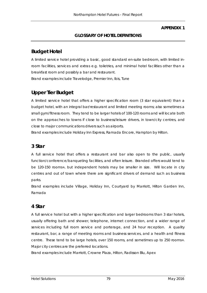#### **APPENDIX 1**

## **GLOSSARY OF HOTEL DEFINITIONS**

# **Budget Hotel**

A limited service hotel providing a basic, good standard en-suite bedroom, with limited inroom facilities, services and extras e.g. toiletries, and minimal hotel facilities other than a breakfast room and possibly a bar and restaurant.

Brand examples include Travelodge, Premier Inn, Ibis, Tune

# **Upper Tier Budget**

A limited service hotel that offers a higher specification room (3 star equivalent) than a budget hotel, with an integral bar/restaurant and limited meeting rooms; also sometimes a small gym/fitness room. They tend to be larger hotels of 100-120 rooms and will locate both on the approaches to towns if close to business/leisure drivers, in town/city centres, and close to major communications drivers such as airports.

Brand examples include Holiday Inn Express, Ramada Encore, Hampton by Hilton.

## **3 Star**

A full service hotel that offers a restaurant and bar also open to the public, usually function/conference/banqueting facilities, and often leisure. Branded offers would tend to be 120-150 rooms+, but independent hotels may be smaller in size. Will locate in city centres and out of town where there are significant drivers of demand such as business parks.

Brand examples include Village, Holiday Inn, Courtyard by Marriott, Hilton Garden Inn, Ramada

## **4 Star**

A full service hotel but with a higher specification and larger bedrooms than 3 star hotels, usually offering bath and shower, telephone, internet connection, and a wider range of services including full room service and porterage, and 24 hour reception. A quality restaurant, bar, a range of meeting rooms and business services, and a health and fitness centre. These tend to be large hotels, over 150 rooms, and sometimes up to 250 rooms+. Major city centres are the preferred locations.

Brand examples include Marriott, Crowne Plaza, Hilton, Radisson Blu, Apex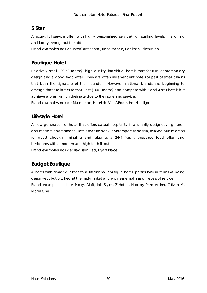# **5 Star**

A luxury, full service offer, with highly personalised service/high staffing levels, fine dining and luxury throughout the offer.

Brand examples include InterContinental, Renaissance, Radisson Edwardian

# **Boutique Hotel**

Relatively small (30-50 rooms), high quality, individual hotels that feature contemporary design and a good food offer. They are often independent hotels or part of small chains that bear the signature of their founder. However, national brands are beginning to emerge that are larger format units (100+ rooms) and compete with 3 and 4 star hotels but achieve a premium on their rate due to their style and service.

Brand examples include Malmaison, Hotel du Vin, ABode, Hotel Indigo

# **Lifestyle Hotel**

A new generation of hotel that offers casual hospitality in a smartly designed, high-tech and modern environment. Hotels feature sleek, contemporary design, relaxed public areas for guest check-in, mingling and relaxing; a 24/7 freshly prepared food offer; and bedrooms with a modern and high-tech fit out.

Brand examples include: Radisson Red, Hyatt Place

# **Budget Boutique**

A hotel with similar qualities to a traditional boutique hotel, particularly in terms of being design-led, but pitched at the mid-market and with less emphasis on levels of service. Brand examples include Moxy, Aloft, Ibis Styles, Z Hotels, Hub by Premier Inn, Citizen M, Motel One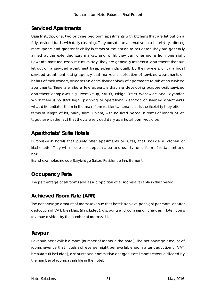# **Serviced Apartments**

Usually studio, one, two or three bedroom apartments with kitchens that are let out on a fully serviced basis, with daily cleaning. They provide an alternative to a hotel stay, offering more space and greater flexibility in terms of the option to self-cater. They are generally aimed at the extended stay market, and whilst they can offer rooms from one night upwards, most request a minimum stay. They are generally residential apartments that are let out on a serviced apartment basis, either individually by their owners, or by a local serviced apartment letting agency that markets a collection of serviced apartments on behalf of their owners, or leases an entire floor or block of apartments to sublet as serviced apartments. There are also a few operators that are developing purpose-built serviced apartment complexes e.g. PremGroup, SACO, Bridge Street Worldwide and Beyonder. Whilst there is no strict legal, planning or operational definition of serviced apartments, what differentiates them in the main from residential tenancies is the flexibility they offer in terms of length of let, many from 1 night, with no fixed period in terms of length of let, together with the fact that they are serviced daily as a hotel room would be.

# **Aparthotels/ Suite Hotels**

Purpose-built hotels that purely offer apartments or suites, that include a kitchen or kitchenette. They will include a reception area and usually some form of restaurant and bar.

Brand examples include Staybridge Suites, Residence Inn, Element

# **Occupancy Rate**

The percentage of all rooms sold as a proportion of all rooms available in that period.

# **Achieved Room Rate (ARR)**

The net average amount of rooms revenue that hotels achieve per night per room let after deduction of VAT, breakfast (if included), discounts and commission charges. Hotel rooms revenue divided by the number of rooms sold.

# **Revpar**

Revenue per available room (number of rooms in the hotel). The net average amount of rooms revenue that hotels achieve per night per available room after deduction of VAT, breakfast (if included), discounts and commission charges. Hotel rooms revenue divided by the number of rooms available in the hotel.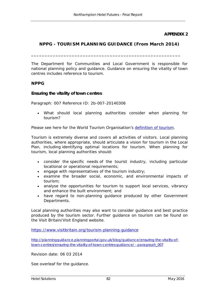**APPENDIX 2**

## **NPPG - TOURISM PLANNING GUIDANCE (From March 2014)**

**\_\_\_\_\_\_\_\_\_\_\_\_\_\_\_\_\_\_\_\_\_\_\_\_\_\_\_\_\_\_\_\_\_\_\_\_\_\_\_\_\_\_\_\_\_\_\_\_\_\_\_\_\_\_\_**

The Department for Communities and Local Government is responsible for national planning policy and guidance. Guidance on ensuring the vitality of town centres includes reference to tourism.

### **NPPG**

#### **Ensuring the vitality of town centres**

Paragraph: 007 Reference ID: 2b-007-20140306

• What should local planning authorities consider when planning for tourism?

Please see here for the World Tourism Organisation's [definition of tourism.](http://media.unwto.org/en/content/understanding-tourism-basic-glossary)

Tourism is extremely diverse and covers all activities of visitors. Local planning authorities, where appropriate, should articulate a vision for tourism in the Local Plan, including identifying optimal locations for tourism. When planning for tourism, local planning authorities should:

- consider the specific needs of the tourist industry, including particular locational or operational requirements;
- engage with representatives of the tourism industry;
- examine the broader social, economic, and environmental impacts of tourism;
- analyse the opportunities for tourism to support local services, vibrancy and enhance the built environment; and
- have regard to non-planning guidance produced by other Government Departments.

Local planning authorities may also want to consider guidance and best practice produced by the tourism sector. Further guidance on tourism can be found on the Visit Britain/Visit England website.

<https://www.visitbritain.org/tourism-planning-guidance>

[http://planningguidance.planningportal.gov.uk/blog/guidance/ensuring-the-vitality-of](http://planningguidance.planningportal.gov.uk/blog/guidance/ensuring-the-vitality-of-town-centres/ensuring-the-vitality-of-town-centres-guidance/#paragraph_007)[town-centres/ensuring-the-vitality-of-town-centres-guidance/ -](http://planningguidance.planningportal.gov.uk/blog/guidance/ensuring-the-vitality-of-town-centres/ensuring-the-vitality-of-town-centres-guidance/#paragraph_007) paragraph\_007

Revision date: 06 03 2014

See overleaf for the guidance.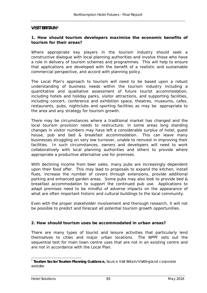#### **VISIT BRITAIN[1](#page-93-0)**

#### **1. How should tourism developers maximise the economic benefits of tourism for their areas?**

Where appropriate key players in the tourism industry should seek a constructive dialogue with local planning authorities and involve those who have a role in delivery of tourism schemes and programmes. This will help to ensure that applications are developed with the benefit of a realistic and sustainable commercial perspective, and accord with planning policy.

The Local Plan's approach to tourism will need to be based upon a robust understanding of business needs within the tourism industry including a quantitative and qualitative assessment of future tourist accommodation, including hotels and holiday parks, visitor attractions, and supporting facilities, including concert, conference and exhibition space, theatres, museums, cafes, restaurants, pubs, nightclubs and sporting facilities as may be appropriate to the area and any strategy for tourism growth.

There may be circumstances where a traditional market has changed and the local tourism provision needs to restructure; in some areas long standing changes in visitor numbers may have left a considerable surplus of hotel, guest house, pub and bed & breakfast accommodation. This can leave many businesses struggling on very low turnover, unable to reinvest in improving their facilities. In such circumstances, owners and developers will need to work collaboratively with local planning authorities and others to provide where appropriate a productive alternative use for premises.

With declining income from beer sales, many pubs are increasingly dependent upon their food offer. This may lead to proposals to expand the kitchen, install flues, increase the number of covers through extensions, provide additional parking and enhanced garden areas. Some pubs may also look to provide bed & breakfast accommodation to support the continued pub use. Applications to adapt premises need to be mindful of adverse impacts on the appearance of what are often important historic and cultural buildings to the local community.

Even with the proper stakeholder involvement and thorough research, it will not be possible to predict and forecast all potential tourism growth opportunities.

#### **2. How should tourism uses be accommodated in urban areas?**

There are many types of tourist and leisure activities that particularly lend themselves to cities and major urban locations. The NPPF sets out the sequential test for main town centre uses that are not in an existing centre and are not in accordance with the Local Plan.

<span id="page-93-0"></span><sup>1</sup> **Tourism Sector Tourism Planning Guidance,** Source Visit Britain/VisitEngland corporate website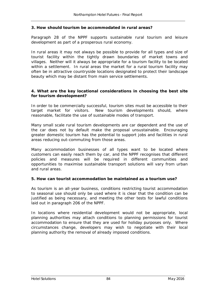#### **3. How should tourism be accommodated in rural areas?**

Paragraph 28 of the NPPF supports sustainable rural tourism and leisure development as part of a prosperous rural economy.

In rural areas it may not always be possible to provide for all types and size of tourist facility within the tightly drawn boundaries of market towns and villages. Neither will it always be appropriate for a tourism facility to be located within a settlement. In rural areas the market for a rural tourism facility may often be in attractive countryside locations designated to protect their landscape beauty which may be distant from main service settlements.

#### **4. What are the key locational considerations in choosing the best site for tourism development?**

In order to be commercially successful, tourism sites must be accessible to their target market for visitors. New tourism developments should, where reasonable, facilitate the use of sustainable modes of transport.

Many small scale rural tourism developments are car dependent and the use of the car does not by default make the proposal unsustainable. Encouraging greater domestic tourism has the potential to support jobs and facilities in rural areas reducing out-commuting from those areas.

Many accommodation businesses of all types want to be located where customers can easily reach them by car, and the NPPF recognises that different policies and measures will be required in different communities and opportunities to maximise sustainable transport solutions will vary from urban and rural areas.

#### **5. How can tourist accommodation be maintained as a tourism use?**

As tourism is an all-year business, conditions restricting tourist accommodation to seasonal use should only be used where it is clear that the condition can be justified as being necessary, and meeting the other tests for lawful conditions laid out in paragraph 206 of the NPPF.

In locations where residential development would not be appropriate, local planning authorities may attach conditions to planning permissions for tourist accommodation to ensure that they are used for holiday purposes only. Where circumstances change, developers may wish to negotiate with their local planning authority the removal of already imposed conditions.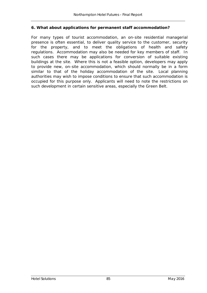#### **6. What about applications for permanent staff accommodation?**

For many types of tourist accommodation, an on-site residential managerial presence is often essential, to deliver quality service to the customer, security for the property, and to meet the obligations of health and safety regulations. Accommodation may also be needed for key members of staff. In such cases there may be applications for conversion of suitable existing buildings at the site. Where this is not a feasible option, developers may apply to provide new, on-site accommodation, which should normally be in a form similar to that of the holiday accommodation of the site. Local planning authorities may wish to impose conditions to ensure that such accommodation is occupied for this purpose only. Applicants will need to note the restrictions on such development in certain sensitive areas, especially the Green Belt.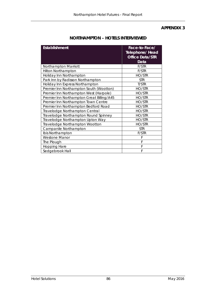### **APPENDIX 3**

| <b>Establishment</b>                      | Face-to-Face/<br><b>Telephone/ Head</b><br><b>Office Data/STR</b><br>Data |
|-------------------------------------------|---------------------------------------------------------------------------|
| Northampton Marriott                      | F/STR                                                                     |
| <b>Hilton Northampton</b>                 | F/STR                                                                     |
| Holiday Inn Northampton                   | HO/STR                                                                    |
| Park Inn by Radisson Northampton          | <b>STR</b>                                                                |
| Holiday Inn Express Northampton           | T/STR                                                                     |
| Premier Inn Northampton South (Wootton)   | HO/STR                                                                    |
| Premier Inn Northampton West (Harpole)    | HO/STR                                                                    |
| Premier Inn Northampton Great Billing/A45 | HO/STR                                                                    |
| Premier Inn Northampton Town Centre       | HO/STR                                                                    |
| Premier Inn Northampton Bedford Road      | HO/STR                                                                    |
| Travelodge Northampton Central            | HO/STR                                                                    |
| Travelodge Northampton Round Spinney      | HO/STR                                                                    |
| Travelodge Northampton Upton Way          | HO/STR                                                                    |
| Travelodge Northampton Wootton            | HO/STR                                                                    |
| Campanile Northampton                     | <b>STR</b>                                                                |
| Ibis Northampton                          | F/STR                                                                     |
| <b>Westone Manor</b>                      | F                                                                         |
| The Plough                                | F                                                                         |
| <b>Hopping Hare</b>                       | F                                                                         |
| Sedgebrook Hall                           | F                                                                         |

## **NORTHAMPTON – HOTELS INTERVIEWED**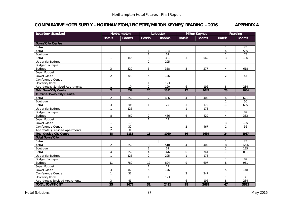### **COMPARATIVE HOTEL SUPPLY – NORTHAMPTON/LEICESTER/MILTON KEYNES/ READING – 2016 APPENDIX 4**

| <b>Location/ Standard</b>               |                | Northampton     |                | Leicester       |                | <b>Milton Keynes</b> |                | Reading      |
|-----------------------------------------|----------------|-----------------|----------------|-----------------|----------------|----------------------|----------------|--------------|
|                                         | <b>Hotels</b>  | <b>Rooms</b>    | <b>Hotels</b>  | <b>Rooms</b>    | <b>Hotels</b>  | <b>Rooms</b>         | <b>Hotels</b>  | <b>Rooms</b> |
| <b>Town/City Centre</b>                 |                |                 |                |                 |                |                      |                |              |
| 5 star                                  |                |                 |                |                 |                |                      | $\mathbf{1}$   | 23           |
| 4 star                                  |                |                 | $\mathbf{1}$   | 104             |                |                      | $\overline{4}$ | 585          |
| Boutique                                |                |                 | $\mathbf{1}$   | 14              |                |                      | $\mathbf{1}$   | 75           |
| 3 star                                  | $\mathbf{1}$   | 146             | $\mathfrak{Z}$ | 301             | $\mathbf{3}$   | 569                  | 3              | 106          |
| Upper-tier Budget                       |                |                 | $\overline{2}$ | 225             |                |                      |                |              |
| <b>Budget Boutique</b>                  |                |                 |                |                 |                |                      |                |              |
| Budget                                  | 3              | 320             | 5              | 358             | $\mathfrak{Z}$ | 277                  | $\overline{4}$ | 618          |
| Super Budget                            |                |                 |                |                 |                |                      |                |              |
| Lower Grade                             | $\overline{2}$ | 63              | 5              | 146             |                |                      | 2              | 43           |
| Conference Centre                       |                |                 |                |                 |                |                      |                |              |
| <b>University Hotel</b>                 |                |                 | $\mathbf{1}$   | 123             |                |                      |                |              |
| <b>Aparthotels/ Serviced Apartments</b> | $\mathbf{1}$   | 10              | $\overline{2}$ | 120             | 6              | 196                  | 8              | 234          |
| <b>Total Town/City Centre</b>           | $\overline{7}$ | 539             | 20             | 1391            | 12             | 1042                 | 23             | 1684         |
| <b>Outside Town/City Centre</b>         |                |                 |                |                 |                |                      |                |              |
| 4 star                                  | $\overline{2}$ | 259             | $\overline{2}$ | 406             | $\overline{4}$ | 402                  | $\overline{4}$ | 621          |
| Boutique                                |                |                 |                |                 |                |                      | $\mathbf{1}$   | 50           |
| 3 star                                  | 3              | 206             | $\mathbf{1}$   | $\overline{75}$ | 3              | 172                  | 10             | 695          |
| Upper-tier Budget                       | $\mathbf{1}$   | 126             |                |                 | $\mathbf{1}$   | 178                  |                |              |
| <b>Budget Boutique</b>                  |                |                 |                |                 |                |                      | $\mathbf{1}$   | 97           |
| <b>Budget</b>                           | 8              | 460             | $\overline{7}$ | 466             | 6              | 420                  | $\overline{4}$ | 333          |
| Super Budget                            |                |                 | $\mathbf{1}$   | 73              |                |                      |                |              |
| Lower Grade                             | $\mathbf{1}$   | 19              |                |                 |                |                      | 3              | 105          |
| Conference Centre                       | $\mathbf{1}$   | $\overline{32}$ |                |                 | $\overline{2}$ | 467                  | $\mathbf{1}$   | 36           |
| Aparthotels/Serviced Apartments         | $\overline{2}$ | 31              |                |                 |                |                      |                |              |
| <b>Total Outside City Centre</b>        | 18             | 1133            | 11             | 1020            | 16             | 1639                 | 24             | 1937         |
| <b>Total Town/City</b>                  |                |                 |                |                 |                |                      |                |              |
| 5 star                                  |                |                 |                |                 |                |                      | $\mathbf{1}$   | 23           |
| 4 star                                  | $\overline{2}$ | 259             | $\mathbf{3}$   | 510             | $\overline{4}$ | 402                  | 8              | 1206         |
| Boutique                                |                |                 | $\mathbf{1}$   | 14              |                |                      | $\overline{2}$ | 125          |
| 3 star                                  | $\overline{4}$ | 352             | 4              | 376             | 6              | 741                  | 13             | 801          |
| Upper-tier Budget                       | $\overline{1}$ | 126             | $\overline{2}$ | 225             | $\mathbf{1}$   | 178                  |                |              |
| <b>Budget Boutique</b>                  |                |                 |                |                 |                |                      | $\mathbf{1}$   | 97           |
| <b>Budget</b>                           | 11             | 780             | 12             | 824             | 9              | 697                  | 8              | 951          |
| Super Budget                            |                |                 | $\mathbf{1}$   | 73              |                |                      |                |              |
| Lower Grade                             | $\mathfrak{Z}$ | 82              | 5              | 146             |                |                      | 5              | 148          |
| Conference Centre                       | $\mathbf{1}$   | $\overline{32}$ |                |                 | $\overline{2}$ | 247                  |                |              |
| <b>University Hotel</b>                 |                |                 | $\mathbf{1}$   | 123             |                |                      | $\mathbf{1}$   | 36           |
| Aparthotels/Serviced Apartments         | 3              | 41              |                |                 | 6              | 196                  | 8              | 234          |
| <b>TOTAL TOWN/CITY</b>                  | 25             | 1672            | 31             | 2411            | 28             | 2681                 | 47             | 3621         |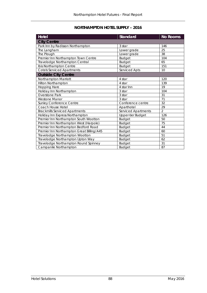## **NORTHAMPTON HOTEL SUPPLY – 2016**

| <b>Hotel</b>                              | <b>Standard</b>     | <b>No Rooms</b> |
|-------------------------------------------|---------------------|-----------------|
| <b>City Centre</b>                        |                     |                 |
| Park Inn by Radisson Northampton          | 3 star              | 146             |
| The Langham                               | Lower grade         | 25              |
| The Plough                                | Lower grade         | 38              |
| Premier Inn Northampton Town Centre       | <b>Budget</b>       | 104             |
| Travelodge Northampton Central            | <b>Budget</b>       | 65              |
| Ibis Northampton Centre                   | <b>Budget</b>       | 151             |
| Cotels Serviced Apartments                | Serviced Apts       | 10              |
| <b>Outside City Centre</b>                |                     |                 |
| Northampton Marriott                      | 4 star              | 120             |
| Hilton Northampton                        | 4 star              | 139             |
| Hopping Hare                              | 4 star Inn          | 19              |
| Holiday Inn Northampton                   | 3 star              | 104             |
| <b>Overstone Park</b>                     | 3 star              | 31              |
| <b>Westone Manor</b>                      | 3 star              | 71              |
| Sunley Conference Centre                  | Conference centre   | 32              |
| Coach House Hotel                         | Aparthotel          | 29              |
| <b>Brackmills Serviced Apartments</b>     | Serviced Apartments | $\overline{2}$  |
| Holiday Inn Express Northampton           | Upper-tier Budget   | 126             |
| Premier Inn Northampton South Wootton     | <b>Budget</b>       | 50              |
| Premier Inn Northampton West (Harpole)    | <b>Budget</b>       | 75              |
| Premier Inn Northampton Bedford Road      | <b>Budget</b>       | 44              |
| Premier Inn Northampton Great Billing/A45 | <b>Budget</b>       | 60              |
| Travelodge Northampton Wootton            | <b>Budget</b>       | 51              |
| Travelodge Northampton Upton Way          | <b>Budget</b>       | 62              |
| Travelodge Northampton Round Spinney      | <b>Budget</b>       | 31              |
| Campanile Northampton                     | <b>Budget</b>       | 87              |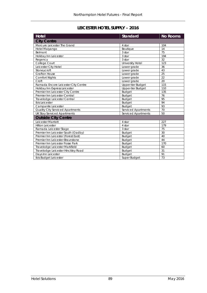## **LEICESTER HOTEL SUPPLY – 2016**

| <b>Hotel</b>                        | <b>Standard</b>         | <b>No Rooms</b> |
|-------------------------------------|-------------------------|-----------------|
| <b>City Centre</b>                  |                         |                 |
| Mercure Leicester The Grand         | 4 star                  | 104             |
| Hotel Maiyango                      | Boutique                | 14              |
| Belmont                             | 3 star                  | 75              |
| Holiday Inn Leicester               | 3 star                  | 194             |
| Regency                             | 3 star                  | 32              |
| College Court                       | <b>University Hotel</b> | 123             |
| Leicester City Hotel                | Lower grade             | 36              |
| Stoneycroft                         | Lower grade             | 43              |
| <b>Grafton House</b>                | Lower grade             | 25              |
| <b>Comfort Nights</b>               | Lower grade             | 22              |
| Croft                               | Lower grade             | 20              |
| Ramada Encore Leicester City Centre | Upper-tier Budget       | 115             |
| Holiday Inn Express Leicester       | Upper-tier Budget       | 110             |
| Premier Inn Leicester City Centre   | <b>Budget</b>           | 135             |
| Premier Inn Leicester Central       | <b>Budget</b>           | 76              |
| Travelodge Leicester Central        | <b>Budget</b>           | 95              |
| Ibis Leicester                      | <b>Budget</b>           | 94              |
| Campanile Leicester                 | <b>Budget</b>           | 93              |
| Quality City Serviced Apartments    | Serviced Apartments     | 70              |
| <b>UK Stay Serviced Apartments</b>  | Serviced Apartments     | 50              |
| <b>Outside City Centre</b>          |                         |                 |
| Leicester Marriott                  | 4 star                  | 227             |
| <b>Hilton Leicester</b>             | 4 star                  | 179             |
| Ramada Leicester Stage              | 3 star                  | 75              |
| Premier Inn Leicester South (Oadby) | <b>Budget</b>           | 30              |
| Premier Inn Leicester (Forest East) | <b>Budget</b>           | 40              |
| Premier Inn Leicester-Braunstone    | <b>Budget</b>           | 44              |
| Premier Inn Leicester Fosse Park    | <b>Budget</b>           | 170             |
| Travelodge Leicester Markfield      | <b>Budget</b>           | 60              |
| Travelodge Leicester Hinckley Road  | <b>Budget</b>           | 31              |
| Days Inn Leicester                  | <b>Budget</b>           | 91              |
| Ibis Budget Leicester               | Super Budget            | 73              |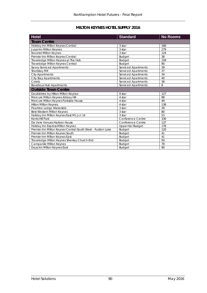## **MILTON KEYNES HOTEL SUPPLY 2016**

| <b>Hotel</b>                                                | <b>Standard</b>            | <b>No Rooms</b> |
|-------------------------------------------------------------|----------------------------|-----------------|
| <b>Town Centre</b>                                          |                            |                 |
| Holiday Inn Milton Keynes Central                           | 3 star                     | 166             |
| <b>Jurys Inn Milton Keynes</b>                              | 3 star                     | 279             |
| Novotel Milton Keynes                                       | 3 star                     | 124             |
| Premier Inn Milton Keynes Central                           | <b>Budget</b>              | 38              |
| Travelodge Milton Keynes at The Hub                         | <b>Budget</b>              | 159             |
| Travelodge Milton Keynes Central                            | <b>Budget</b>              | 80              |
| Savvy Serviced Apartments                                   | Serviced Apartments        | 39              |
| Shortstay MK                                                | <b>Serviced Apartments</b> | 37              |
| <b>City Apartments</b>                                      | Serviced Apartments        | 34              |
| <b>City Stay Apartments</b>                                 | <b>Serviced Apartments</b> | 40              |
| Cotels                                                      | Serviced Apartments        | 38              |
| <b>Bourdeux Hub Apartments</b>                              | <b>Serviced Apartments</b> | 8               |
| <b>Outside Town Centre</b>                                  |                            |                 |
| Doubletree by Hilton Milton Keynes                          | 4 star                     | 127             |
| Mercure Milton Keynes Abbey Hill                            | 4 star                     | 88              |
| Mercure Milton Keynes Parkside House                        | 4 star                     | 49              |
| <b>Hilton Milton Keynes</b>                                 | 4 star                     | 138             |
| Peartree Lodge Waterside                                    | 3 star                     | 39              |
| Best Western Milton Keynes                                  | 3 star                     | 80              |
| Holiday Inn Milton Keynes East M1 Jct 14                    | 3 star                     | 53              |
| Kents Hill Park                                             | Conference Centre          | 330             |
| De Vere Venues Harben House                                 | Conference Centre          | 137             |
| Holiday Inn Express Milton Keynes                           | Upper-tier Budget          | 178             |
| Premier Inn Milton Keynes Central South West - Furzton Lake | <b>Budget</b>              | 120             |
| Premier Inn Milton Keynes South                             | <b>Budget</b>              | 41              |
| Premier Inn Milton Keynes East                              | <b>Budget</b>              | 41              |
| Travelodge Milton Keynes Shenley Church End                 | <b>Budget</b>              | 50              |
| Campanile Milton Keynes                                     | <b>Budget</b>              | 78              |
| Days Inn Milton Keynes East                                 | <b>Budget</b>              | 90              |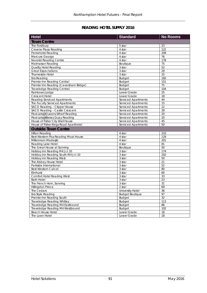## **READING HOTEL SUPPLY 2016**

| <b>Hotel</b>                                           | <b>Standard</b>            | <b>No Rooms</b>       |
|--------------------------------------------------------|----------------------------|-----------------------|
| <b>Town Centre</b>                                     |                            |                       |
| The Fordbury                                           | 5 star                     | 23                    |
| Crowne Plaza Reading                                   | 4 star                     | 122                   |
| Pentahotel Reading                                     | 4 star                     | 209                   |
| Mercure George                                         | 4 star                     | 76                    |
| Novotel Reading Centre                                 | 4 star                     | 178                   |
| <b>Malmaison Reading</b>                               | Boutique                   | 75                    |
| Quality Hotel Reading                                  | 3 star                     | 52                    |
| <b>Great Expectations</b>                              | 3 star                     | 29                    |
| Thameside Hotel                                        | 3 star                     | 25                    |
| Ibis Reading                                           | <b>Budget</b>              | 182                   |
| Premier Inn Reading Central                            | <b>Budget</b>              | 151                   |
| Premier Inn Reading (Caversham Bridge)                 | <b>Budget</b>              | $\overline{75}$       |
| <b>Travelodge Reading Central</b>                      | <b>Budget</b>              | 104                   |
| Rainbows Lodge                                         | Lower Grade                | $\overline{25}$       |
| <b>Crescent Hotel</b>                                  | Lower Grade                | 18                    |
| <b>Reading Serviced Apartments</b>                     | Serviced Apartments        | 44                    |
| The Faculty Serviced Apartments                        | <b>Serviced Apartments</b> | 15                    |
| SACO Reading - Clipper House                           | <b>Serviced Apartments</b> | 12                    |
| SACO Reading - Castle Crescent                         | Serviced Apartments        | 28                    |
| Flexi-Lets@Queens Wharf Reading                        | Serviced Apartments        | 20                    |
| Flexi-Lets@Blakes Quay Reading                         | <b>Serviced Apartments</b> | 20                    |
| House of Fisher City Wall House                        | Serviced Apartments        | 45                    |
| House of Fisher Kings Road Aparthotel                  | Serviced Apartments        | 50                    |
| <b>Outside Town Centre</b>                             |                            |                       |
| <b>Hilton Reading</b>                                  | 4 star                     | 210                   |
| Best Western Plus Reading Moat House                   | 4 star                     | 129                   |
| Millennium Madesjki                                    | 4 star                     | 201                   |
| Reading Lake Hotel                                     | 4 star                     | 81                    |
| The Great House at Sonning                             | Boutique                   | 50                    |
| Holiday Inn Reading M4 Jct 10                          | 3 star                     | 174                   |
| Holiday Inn Reading South M4 Jct 10                    | 3 star                     | 202                   |
| Holiday inn Reading West                               | 3 star                     | 50                    |
| The Abbey House Hotel                                  | 3 star                     | 21                    |
| Parkside International                                 | 3 star                     | 52                    |
| Best Western Calcot                                    | 3 star                     | 80                    |
| Elmhurst                                               | 3 star                     | 60                    |
|                                                        |                            | 33                    |
| <b>Comfort Hotel Reading West</b><br><b>Bath Hotel</b> | 3 star<br>3 star           | 23                    |
|                                                        |                            | 31                    |
| The French Horn, Sonning                               | 3 star                     |                       |
| Hillingdon Prince                                      | 2 star                     | 69                    |
| The Cedars                                             | University Hotel           | 36                    |
| Ibis Style Reading<br>Premier Inn Reading South        | <b>Budget Boutique</b>     | 97<br>$\overline{32}$ |
|                                                        | Budget                     |                       |
| Travelodge Reading Whitley                             | <b>Budget</b>              | 113                   |
| Travelodge Reading M4 Eastbound                        | <b>Budget</b>              | 86                    |
| Travelodge Reading M4 Westbound                        | <b>Budget</b>              | 102                   |
| <b>Beech House Hotel</b>                               | Lower Grade                | 18                    |
| The Lawn Hotel                                         | Lower Grade                | 18                    |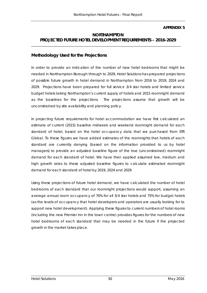#### **APPENDIX 5**

### **NORTHAMPTON PROJECTED FUTURE HOTEL DEVELOPMENT REQUIREMENTS – 2016-2029**

\_\_\_\_\_\_\_\_\_\_\_\_\_\_\_\_\_\_\_\_\_\_\_\_\_\_\_\_\_\_\_\_\_\_\_\_\_\_\_\_\_\_\_\_\_\_\_\_\_\_\_\_\_\_\_\_\_\_\_\_\_\_\_\_\_\_\_\_\_\_\_\_\_\_\_\_\_\_\_\_\_\_\_\_\_\_

#### **Methodology Used for the Projections**

In order to provide an indication of the number of new hotel bedrooms that might be needed in Northampton Borough through to 2029, Hotel Solutions has prepared projections of possible future growth in hotel demand in Northampton from 2016 to 2019, 2024 and 2029. Projections have been prepared for full service 3/4 star hotels and limited service budget hotels taking Northampton's current supply of hotels and 2015 roomnight demand as the baselines for the projections. The projections assume that growth will be unconstrained by site availability and planning policy.

In projecting future requirements for hotel accommodation we have first calculated an estimate of current (2015) baseline midweek and weekend roomnight demand for each standard of hotel, based on the hotel occupancy data that we purchased from STR Global. To these figures we have added estimates of the roomnights that hotels of each standard are currently denying (based on the information provided to us by hotel managers) to provide an adjusted baseline figure of the true (unconstrained) roomnight demand for each standard of hotel. We have then applied assumed low, medium and high growth rates to these adjusted baseline figures to calculate estimated roomnight demand for each standard of hotel by 2019, 2024 and 2029.

Using these projections of future hotel demand, we have calculated the number of hotel bedrooms of each standard that our roomnight projections would support, assuming an average annual room occupancy of 70% for all 3/4 star hotels and 75% for budget hotels (as the levels of occupancy that hotel developers and operators are usually looking for to support new hotel development). Applying these figures to current numbers of hotel rooms (including the new Premier inn in the town centre) provides figures for the numbers of new hotel bedrooms of each standard that may be needed in the future if the projected growth in the market takes place.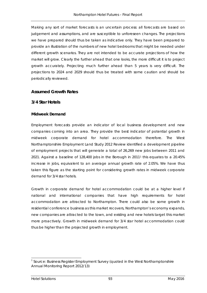Making any sort of market forecasts is an uncertain process: all forecasts are based on judgement and assumptions, and are susceptible to unforeseen changes. The projections we have prepared should thus be taken as indicative only. They have been prepared to provide an illustration of the numbers of new hotel bedrooms that might be needed under different growth scenarios. They are not intended to be accurate projections of how the market will grow. Clearly the further ahead that one looks, the more difficult it is to project growth accurately. Projecting much further ahead than 5 years is very difficult. The projections to 2024 and 2029 should thus be treated with some caution and should be periodically reviewed.

### **Assumed Growth Rates**

#### **3/4 Star Hotels**

#### **Midweek Demand**

Employment forecasts provide an indicator of local business development and new companies coming into an area. They provide the best indicator of potential growth in midweek corporate demand for hotel accommodation therefore. The West Northamptonshire Employment Land Study 2012 Review identified a development pipeline of employment projects that will generate a total of 26,269 new jobs between 2011 and 2021. Against a baseline of 128,400 jobs in the Borough in 2011[1](#page-103-0) this equates to a 20.45% increase in jobs, equivalent to an average annual growth rate of 2.05%. We have thus taken this figure as the starting point for considering growth rates in midweek corporate demand for 3/4 star hotels.

Growth in corporate demand for hotel accommodation could be at a higher level if national and international companies that have high requirements for hotel accommodation are attracted to Northampton. There could also be some growth in residential conference business as this market recovers, Northampton's economy expands, new companies are attracted to the town, and existing and new hotels target this market more proactively. Growth in midweek demand for 3/4 star hotel accommodation could thus be higher than the projected growth in employment.

<span id="page-103-0"></span><sup>&</sup>lt;sup>1</sup> Source: Business Register Employment Survey (quoted in the West Northamptonshire Annual Monitoring Report 2012/13)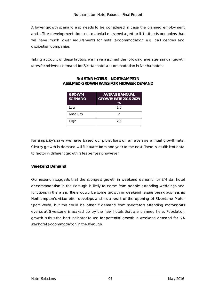A lower growth scenario also needs to be considered in case the planned employment and office development does not materialise as envisaged or if it attracts occupiers that will have much lower requirements for hotel accommodation e.g. call centres and distribution companies.

Taking account of these factors, we have assumed the following average annual growth rates for midweek demand for 3/4 star hotel accommodation in Northampton:

| <b>GROWTH</b><br><b>SCENARIO</b> | <b>AVERAGE ANNUAL</b><br><b>GROWTH RATE 2016-2029</b><br>% |
|----------------------------------|------------------------------------------------------------|
| l ow                             | 15                                                         |
| Medium                           | 2                                                          |
| High                             | 25                                                         |

### **3/4 STAR HOTELS – NORTHAMPTON ASSUMED GROWTH RATES FOR MIDWEEK DEMAND**

For simplicity's sake we have based our projections on an average annual growth rate. Clearly growth in demand will fluctuate from one year to the next. There is insufficient data to factor in different growth rates per year, however.

#### **Weekend Demand**

Our research suggests that the strongest growth in weekend demand for 3/4 star hotel accommodation in the Borough is likely to come from people attending weddings and functions in the area. There could be some growth in weekend leisure break business as Northampton's visitor offer develops and as a result of the opening of Silverstone Motor Sport World, but this could be offset if demand from spectators attending motorsports events at Silverstone is soaked up by the new hotels that are planned here. Population growth is thus the best indicator to use for potential growth in weekend demand for 3/4 star hotel accommodation in the Borough.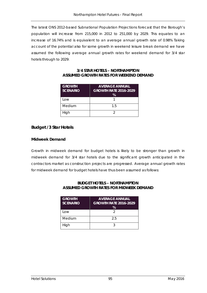The latest ONS 2012-based Subnational Population Projections forecast that the Borough's population will increase from 215,000 in 2012 to 251,000 by 2029. This equates to an increase of 16.74% and is equivalent to an average annual growth rate of 0.98% Taking account of the potential also for some growth in weekend leisure break demand we have assumed the following average annual growth rates for weekend demand for 3/4 star hotels through to 2029:

| <b>GROWTH</b><br><b>SCENARIO</b> | <b>AVERAGE ANNUAL</b><br><b>GROWTH RATE 2016-2029</b><br>℅ |
|----------------------------------|------------------------------------------------------------|
| l ow                             |                                                            |
| Medium                           | 15                                                         |
| High                             |                                                            |

#### **3/4 STAR HOTELS – NORTHAMPTON ASSUMED GROWTH RATES FOR WEEKEND DEMAND**

### **Budget /3 Star Hotels**

#### **Midweek Demand**

Growth in midweek demand for budget hotels is likely to be stronger than growth in midweek demand for 3/4 star hotels due to the significant growth anticipated in the contractors market as construction projects are progressed. Average annual growth rates for midweek demand for budget hotels have thus been assumed as follows:

## **BUDGET HOTELS – NORTHAMPTON ASSUMED GROWTH RATES FOR MIDWEEK DEMAND**

| <b>GROWTH</b><br><b>SCENARIO</b> | <b>AVERAGE ANNUAL</b><br><b>GROWTH RATE 2016-2029</b><br>% |
|----------------------------------|------------------------------------------------------------|
| l ow                             | 2                                                          |
| Medium                           | 25                                                         |
| High                             | ્ર                                                         |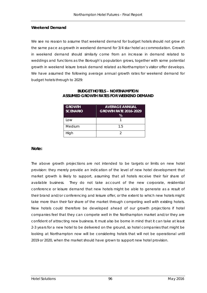#### **Weekend Demand**

We see no reason to assume that weekend demand for budget hotels should not grow at the same pace as growth in weekend demand for 3/4 star hotel accommodation. Growth in weekend demand should similarly come from an increase in demand related to weddings and functions as the Borough's population grows, together with some potential growth in weekend leisure break demand related as Northampton's visitor offer develops. We have assumed the following average annual growth rates for weekend demand for budget hotels through to 2029:

| <b>GROWTH</b><br><b>SCENARIO</b> | <b>AVERAGE ANNUAL</b><br><b>GROWTH RATE 2016-2029</b><br>℅ |
|----------------------------------|------------------------------------------------------------|
| Low                              |                                                            |
| Medium                           | 15                                                         |
| High                             |                                                            |

#### **BUDGET HOTELS – NORTHAMPTON ASSUMED GROWTH RATES FOR WEEKEND DEMAND**

#### **Note:**

The above growth projections are not intended to be targets or limits on new hotel provision: they merely provide an indication of the level of new hotel development that market growth is likely to support, assuming that all hotels receive their fair share of available business. They do not take account of the new corporate, residential conference or leisure demand that new hotels might be able to generate as a result of their brand and/or conferencing and leisure offer, or the extent to which new hotels might take more than their fair share of the market through competing well with existing hotels. New hotels could therefore be developed ahead of our growth projections if hotel companies feel that they can compete well in the Northampton market and/or they are confident of attracting new business. It must also be borne in mind that it can take at least 2-3 years for a new hotel to be delivered on the ground, so hotel companies that might be looking at Northampton now will be considering hotels that will not be operational until 2019 or 2020, when the market should have grown to support new hotel provision.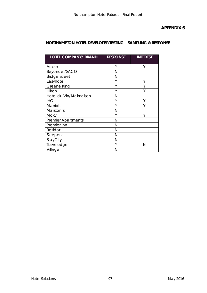### **APPENDIX 6**

## **NORTHAMPTON HOTEL DEVELOPER TESTING – SAMPLING & RESPONSE**

| <b>HOTEL COMPANY/ BRAND</b> | <b>RESPONSE</b> | <b>INTEREST</b> |
|-----------------------------|-----------------|-----------------|
|                             |                 |                 |
| Accor                       | Υ               | Υ               |
| Beyonder/SACO               | N               |                 |
| <b>Bridge Street</b>        | Ν               |                 |
| Easyhotel                   | Υ               | Υ               |
| <b>Greene King</b>          | Υ               |                 |
| Hilton                      | Υ               | Υ               |
| Hotel du Vin/Malmaison      | N               |                 |
| <b>IHG</b>                  | Υ               |                 |
| Marriott                    | Υ               |                 |
| Marston's                   | Ν               |                 |
| Moxy                        | Υ               | Υ               |
| <b>Premier Apartments</b>   | N               |                 |
| Premier Inn                 | N               |                 |
| Rezidor                     | N               |                 |
| Sleeperz                    | Ν               |                 |
| StayCity                    | N               |                 |
| Travelodge                  | ٧               | N               |
| Village                     | Ν               |                 |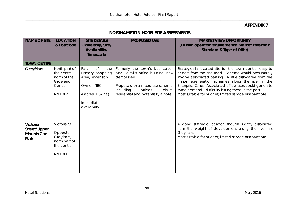### **APPENDIX 7**

# **NORTHAMPTON HOTEL SITE ASSESSMENTS**

| <b>NAME OF SITE</b>                                   | <b>LOCATION</b><br>& Postcode                                                         | <b>SITE DETAILS</b><br>Ownership/Size/<br>Availability/<br><b>Timescale</b>                                                    | <b>PROPOSED USE</b>                                                                                                                                                                                    | <b>MARKET VIEW/OPPORTUNITY</b><br>(Fit with operator requirements/ Market Potential/<br>Standard & Type of Offer)                                                                                                                                                                                                                                                                                          |
|-------------------------------------------------------|---------------------------------------------------------------------------------------|--------------------------------------------------------------------------------------------------------------------------------|--------------------------------------------------------------------------------------------------------------------------------------------------------------------------------------------------------|------------------------------------------------------------------------------------------------------------------------------------------------------------------------------------------------------------------------------------------------------------------------------------------------------------------------------------------------------------------------------------------------------------|
| <b>TOWN CENTRE</b>                                    |                                                                                       |                                                                                                                                |                                                                                                                                                                                                        |                                                                                                                                                                                                                                                                                                                                                                                                            |
| <b>Greyfriars</b>                                     | North part of<br>the centre,<br>north of the<br>Grosvenor<br>Centre<br><b>NN1 3BZ</b> | Part<br><b>of</b><br>the<br>Primary Shopping<br>Area/extension<br>Owner: NBC<br>4 acres (1.62 ha)<br>Immediate<br>availability | Formerly the town's bus station<br>and Brutalist office building, now<br>demolished.<br>Proposals for a mixed use scheme,<br>including<br>offices,<br>leisure,<br>residential and potentially a hotel. | Strategically located site for the town centre, easy to<br>access from the ring road. Scheme would presumably<br>involve associated parking. A little dislocated from the<br>major regeneration schemes along the river in the<br>Enterprise Zone. Associated office uses could generate<br>some demand - difficulty letting these in the past.<br>Most suitable for budget/limited service or aparthotel. |
| Victoria<br>Street/Upper<br><b>Mounts Car</b><br>Park | Victoria St.<br>Opposite<br>Greyfriars,<br>north part of<br>the centre<br>NN1 3EL     |                                                                                                                                |                                                                                                                                                                                                        | A good strategic location though slightly dislocated<br>from the weight of development along the river, as<br>Greyfriars.<br>Most suitable for budget/limited service or aparthotel.                                                                                                                                                                                                                       |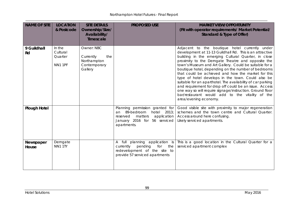| <b>NAME OF SITE</b> | <b>LOCATION</b><br>& Postcode            | <b>SITE DETAILS</b><br>Ownership/Size/<br>Availability/<br><b>Timescale</b> | <b>PROPOSED USE</b>                                                                                                                                        | <b>MARKET VIEW/OPPORTUNITY</b><br>(Fit with operator requirements/ Market Potential/<br>Standard & Type of Offer)                                                                                                                                                                                                                                                                                                                                                                                                                                                                                                                                                                                                     |
|---------------------|------------------------------------------|-----------------------------------------------------------------------------|------------------------------------------------------------------------------------------------------------------------------------------------------------|-----------------------------------------------------------------------------------------------------------------------------------------------------------------------------------------------------------------------------------------------------------------------------------------------------------------------------------------------------------------------------------------------------------------------------------------------------------------------------------------------------------------------------------------------------------------------------------------------------------------------------------------------------------------------------------------------------------------------|
| 9 Guildhall<br>Rd   | In the<br>Cultural<br>Quarter<br>NN1 1PF | Owner: NBC<br>Currently<br>the<br>Northampton<br>Contemporary<br>Gallery    |                                                                                                                                                            | Adjacent to the boutique hotel currently under<br>development at 11-13 Guildhall Rd. This is an attractive<br>building in the emerging Cultural Quarter, in close<br>proximity to the Derngate Theatre and opposite the<br>town's Museum and Art Gallery. Could be suitable for a<br>boutique hotel, depending on the number of bedrooms<br>that could be achieved and how the market for this<br>type of hotel develops in the town. Could also be<br>suitable for an aparthotel. The availability of car parking<br>and requirement for drop off could be an issue. Access<br>one way so will require signage/instruction. Ground floor<br>bar/restaurant would add to the vitality of the<br>area/evening economy. |
| <b>Plough Hotel</b> |                                          |                                                                             | Planning permission granted for<br>89-bedroom<br>hotel<br>2013;<br>an<br>application<br>matters<br>reserved<br>January 2016 for 56 serviced<br>apartments. | Good visible site with proximity to major regeneration<br>schemes and the town centre and Cultural Quarter.<br>Access around here confusing.<br>Likely serviced apartments.                                                                                                                                                                                                                                                                                                                                                                                                                                                                                                                                           |
| Newspaper<br>House  | Derngate<br>NN1 1TY                      |                                                                             | pending<br>for the<br>currently<br>redevelopment of the site to<br>provide 57 serviced apartments                                                          | A full planning application is   This is a good location in the Cultural Quarter for a<br>serviced apartment complex                                                                                                                                                                                                                                                                                                                                                                                                                                                                                                                                                                                                  |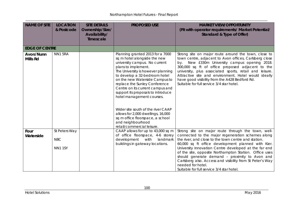\_\_\_\_\_\_\_\_\_\_\_\_\_\_\_\_\_\_\_\_\_\_\_\_\_\_\_\_\_\_\_\_\_\_\_\_\_\_\_\_\_\_\_\_\_\_\_\_\_\_\_\_\_\_\_\_\_\_\_\_\_\_\_\_\_\_\_\_\_\_\_\_\_\_\_\_\_\_\_\_\_\_\_\_\_\_\_\_\_\_\_\_\_\_\_\_\_\_\_\_\_\_\_\_\_\_\_\_\_\_\_\_\_\_\_\_\_\_\_\_\_\_\_\_\_\_\_\_\_\_\_\_\_\_\_\_\_\_\_

| <b>NAME OF SITE</b>          | <b>LOCATION</b><br>& Postcode                 | <b>SITE DETAILS</b><br>Ownership/Size/<br>Availability/<br><b>Timescale</b> | <b>PROPOSED USE</b>                                                                                                                                                                                                                                                                                                                                                                                                                                                                                                                          | <b>MARKET VIEW/OPPORTUNITY</b><br>(Fit with operator requirements/ Market Potential/<br>Standard & Type of Offer)                                                                                                                                                                                                                                                                                                                                                                                                         |
|------------------------------|-----------------------------------------------|-----------------------------------------------------------------------------|----------------------------------------------------------------------------------------------------------------------------------------------------------------------------------------------------------------------------------------------------------------------------------------------------------------------------------------------------------------------------------------------------------------------------------------------------------------------------------------------------------------------------------------------|---------------------------------------------------------------------------------------------------------------------------------------------------------------------------------------------------------------------------------------------------------------------------------------------------------------------------------------------------------------------------------------------------------------------------------------------------------------------------------------------------------------------------|
| <b>EDGE OF CENTRE</b>        |                                               |                                                                             |                                                                                                                                                                                                                                                                                                                                                                                                                                                                                                                                              |                                                                                                                                                                                                                                                                                                                                                                                                                                                                                                                           |
| Avon/Nunn<br><b>Mills Rd</b> | NN15RA                                        |                                                                             | Planning granted 2013 for a 7000<br>sq m hotel alongside the new<br>university campus. No current<br>plans to implement.<br>The University is however planning<br>to develop a 32-bedroom hotel<br>on the new Waterside Campus to<br>replace the Sunley Conference<br>Centre on its current campus and<br>support its proposals to introduce<br>hotel management courses.<br>Wider site south of the river CAAP<br>allows for 2,000 dwellings, 16,000<br>sq m office floorspace, a school<br>and neighbourhood<br>retail/commercial leisure. | Strong site on major route around the town, close to<br>town centre, adjacent to Avon offices, Carlsberg close<br>New £330m University campus opening 2018.<br>by.<br>300,000 sq ft of office proposed adjacent to the<br>university, plus associated sports, retail and leisure.<br>Attractive site and environment. Hotel would ideally<br>have good visibility from the A428 Bedford Rd.<br>Suitable for full service 3/4 star hotel.                                                                                  |
| Four<br>Waterside            | St Peters Way<br><b>NBC</b><br><b>NN1 1SY</b> |                                                                             | CAAP allows for up to 43,000 sq m<br>of office floorspace, 4-6 storey<br>development with<br>landmark<br>buildings in gateway locations.                                                                                                                                                                                                                                                                                                                                                                                                     | Strong site on major route through the town, well-<br>connected to the major regeneration schemes along<br>the river, and close to the town centre and station.<br>60,000 sq ft office development planned with Kier.<br>University Innovation Centre developed at the far end<br>of the site, opposite Northampton Station. Office uses<br>should generate demand - proximity to Avon and<br>Carlsberg also. Access and visibility from St Peter's Way<br>needed for hotel.<br>Suitable for full service 3/4 star hotel. |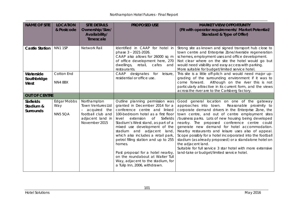| <b>NAME OF SITE</b>                               | <b>LOCATION</b><br>& Postcode               | <b>SITE DETAILS</b><br>Ownership/Size/<br>Availability/<br>Timescale                                              | <b>PROPOSED USE</b>                                                                                                                                                                                                                                                                                                                                                                                                                                                                                                                | <b>MARKET VIEW/OPPORTUNITY</b><br>(Fit with operator requirements/ Market Potential/<br>Standard & Type of Offer)                                                                                                                                                                                                                                                                                                                                                                                                                                                                                                                                                                  |
|---------------------------------------------------|---------------------------------------------|-------------------------------------------------------------------------------------------------------------------|------------------------------------------------------------------------------------------------------------------------------------------------------------------------------------------------------------------------------------------------------------------------------------------------------------------------------------------------------------------------------------------------------------------------------------------------------------------------------------------------------------------------------------|------------------------------------------------------------------------------------------------------------------------------------------------------------------------------------------------------------------------------------------------------------------------------------------------------------------------------------------------------------------------------------------------------------------------------------------------------------------------------------------------------------------------------------------------------------------------------------------------------------------------------------------------------------------------------------|
| <b>Castle Station</b>                             | NN1 1SP                                     | Network Rail                                                                                                      | Identified in CAAP for hotel in<br>phase 3 - 2021-2026.<br>CAAP also allows for 26000 sq m<br>of office development here, 270<br>dwellings,<br>retail,<br>cafes<br>and<br>restaurants.                                                                                                                                                                                                                                                                                                                                             | Strong site as known and signed transport hub close to<br>town centre and Enterprise Zone/riverside regeneration<br>schemes, employment uses and office development.<br>Not clear where on the site the hotel would go but<br>would need visibility and easy access with parking.<br>More suitable for budget/limited service hotel.                                                                                                                                                                                                                                                                                                                                               |
| Waterside<br>Southbridge<br>West                  | Cotton End<br>NN4 8BX                       |                                                                                                                   | CAAP<br>designates for<br>leisure,<br>residential or office use.                                                                                                                                                                                                                                                                                                                                                                                                                                                                   | This site is a little off-pitch and would need major up-<br>grading of the surrounding environment if it was to<br>come forward.<br>Although on the river this is not<br>particularly attractive in its current form, and the views<br>across the river are to the Carlsberg factory.                                                                                                                                                                                                                                                                                                                                                                                              |
| <b>OUT OF CENTRE</b>                              |                                             |                                                                                                                   |                                                                                                                                                                                                                                                                                                                                                                                                                                                                                                                                    |                                                                                                                                                                                                                                                                                                                                                                                                                                                                                                                                                                                                                                                                                    |
| <b>Sixfields</b><br>Stadium &<br><b>Surrounds</b> | <b>Edgar Mobbs</b><br>Way<br><b>NN5 5QA</b> | Northampton<br><b>Town Ventures Ltd</b><br>acquired the<br>football club and<br>adjacent land in<br>November 2015 | Outline planning permission was<br>granted in December 2014 for a<br>conference centre and linked<br>100-bedroom hotel as a first floor<br><b>Sixfields</b><br>level<br>extension<br>Of<br>Stadium's West stand, as part of a<br>mixed use development of the<br>stadium and adjacent land,<br>which also includes a retail park,<br>petrol filling station and up to 255<br>homes.<br>Past proposal for a hotel nearby,<br>on the roundabout at Walter Tull<br>Way, adjacent to the stadium, for<br>a Tulip Inn, 2006, withdrawn. | Good general location on one of the gateway<br>Reasonable proximity to<br>approaches into town.<br>corporate demand drivers in the Enterprise Zone, the<br>town centre, and out of centre employment sites<br>/business parks. Lots of new housing being developed<br>nearby. The proposed conference centre could<br>generate new demand for hotel accommodation.<br>Nearby restaurants and leisure uses also of appeal.<br>Scope possibly for a hotel incorporated into the football<br>stadium (as already proposed) or a standalone hotel on<br>the adjacent land.<br>Suitable for full service 3 star hotel with more extensive<br>land-take or budget/limited service hotel. |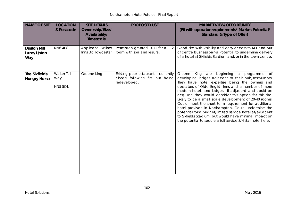\_\_\_\_\_\_\_\_\_\_\_\_\_\_\_\_\_\_\_\_\_\_\_\_\_\_\_\_\_\_\_\_\_\_\_\_\_\_\_\_\_\_\_\_\_\_\_\_\_\_\_\_\_\_\_\_\_\_\_\_\_\_\_\_\_\_\_\_\_\_\_\_\_\_\_\_\_\_\_\_\_\_\_\_\_\_\_\_\_\_\_\_\_\_\_\_\_\_\_\_\_\_\_\_\_\_\_\_\_\_\_\_\_\_\_\_\_\_\_\_\_\_\_\_\_\_\_\_\_\_\_\_\_\_\_\_\_\_\_

| <b>NAME OF SITE</b>                         | <b>LOCATION</b><br>& Postcode        | <b>SITE DETAILS</b><br>Ownership/Size/<br>Availability/<br>Timescale | <b>PROPOSED USE</b>                                                                    | <b>MARKET VIEW/OPPORTUNITY</b><br>(Fit with operator requirements/ Market Potential/<br>Standard & Type of Offer)                                                                                                                                                                                                                                                                                                                                                                                                                                                                                                                                                                                  |
|---------------------------------------------|--------------------------------------|----------------------------------------------------------------------|----------------------------------------------------------------------------------------|----------------------------------------------------------------------------------------------------------------------------------------------------------------------------------------------------------------------------------------------------------------------------------------------------------------------------------------------------------------------------------------------------------------------------------------------------------------------------------------------------------------------------------------------------------------------------------------------------------------------------------------------------------------------------------------------------|
| <b>Duston Mill</b><br>Lane/Upton<br>Way     | NN6 4EG                              | Applicant Willow<br>Inns Ltd Towcester                               | Permission granted 2011 for a 112<br>room with spa and leisure.                        | Good site with visibility and easy access to M1 and out<br>of centre business parks. Potential to undermine delivery<br>of a hotel at Sixfields Stadium and/or in the town centre.                                                                                                                                                                                                                                                                                                                                                                                                                                                                                                                 |
| <b>The Sixfields</b><br><b>Hungry Horse</b> | Walter Tull<br>Way<br><b>NN5 5QL</b> | <b>Greene King</b>                                                   | Existing pub/restaurant - currently<br>closed following fire but being<br>redeveloped. | King are<br>beginning a<br>Greene<br>programme of<br>developing lodges adjacent to their pub/restaurants.<br>They have hotel expertise being the owners and<br>operators of Olde English Inns and a number of more<br>modern hotels and lodges. If adjacent land could be<br>acquired they would consider this option for this site.<br>Likely to be a small scale development of 20-40 rooms.<br>Could meet the short term requirement for additional<br>hotel provision in Northampton. Could undermine the<br>potential for a budget/limited service hotel at/adjacent<br>to Sixfields Stadium, but would have minimal impact on<br>the potential to secure a full service 3/4 star hotel here. |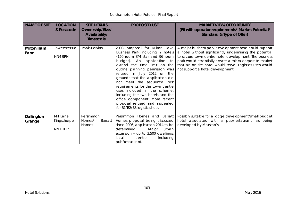\_\_\_\_\_\_\_\_\_\_\_\_\_\_\_\_\_\_\_\_\_\_\_\_\_\_\_\_\_\_\_\_\_\_\_\_\_\_\_\_\_\_\_\_\_\_\_\_\_\_\_\_\_\_\_\_\_\_\_\_\_\_\_\_\_\_\_\_\_\_\_\_\_\_\_\_\_\_\_\_\_\_\_\_\_\_\_\_\_\_\_\_\_\_\_\_\_\_\_\_\_\_\_\_\_\_\_\_\_\_\_\_\_\_\_\_\_\_\_\_\_\_\_\_\_\_\_\_\_\_\_\_\_\_\_\_\_\_\_

| <b>NAME OF SITE</b>       | <b>LOCATION</b><br>& Postcode       | <b>SITE DETAILS</b><br>Ownership/Size/<br>Availability/<br><b>Timescale</b> | <b>PROPOSED USE</b>                                                                                                                                                                                                                                                                                                                                                                                                                                                                                              | <b>MARKET VIEW/OPPORTUNITY</b><br>(Fit with operator requirements/ Market Potential/<br>Standard & Type of Offer)                                                                                                                                                                                                                 |
|---------------------------|-------------------------------------|-----------------------------------------------------------------------------|------------------------------------------------------------------------------------------------------------------------------------------------------------------------------------------------------------------------------------------------------------------------------------------------------------------------------------------------------------------------------------------------------------------------------------------------------------------------------------------------------------------|-----------------------------------------------------------------------------------------------------------------------------------------------------------------------------------------------------------------------------------------------------------------------------------------------------------------------------------|
| <b>Milton Ham</b><br>Farm | <b>Towcester Rd</b><br>NN4 9RN      | <b>Travis Perkins</b>                                                       | 2008 proposal for Milton Lake<br>Business Park including 2 hotels<br>(150 room 3/4 star and 96 room<br>budget). An application to<br>extend the time limit on the<br>outline planning permission was<br>refused in July 2012 on the<br>grounds that the application did<br>not meet the sequential test<br>requirements for the town centre<br>uses included in the scheme,<br>including the two hotels and the<br>office component. More recent<br>proposal refused and appealed<br>for B1/B2/B8 logistics hub. | A major business park development here could support<br>a hotel without significantly undermining the potential<br>to secure town centre hotel development. The business<br>park would essentially create a micro corporate market<br>that an on-site hotel would serve. Logistics uses would<br>not support a hotel development. |
| Dallington<br>Grange      | Mill Lane<br>Kingsthorpe<br>NN1 1DP | Persimmon<br>Barratt<br>Homes/<br>Homes                                     | Persimmon Homes and Barratt<br>Homes proposal being discussed<br>since 2006, application 2014 to be<br>determined.<br>Major urban<br>extension - up to 3,500 dwellings,<br>including<br>local<br>centre<br>pub/restaurant.                                                                                                                                                                                                                                                                                       | Possibly suitable for a lodge development/small budget<br>hotel associated with a pub/restaurant, as being<br>developed by Marston's.                                                                                                                                                                                             |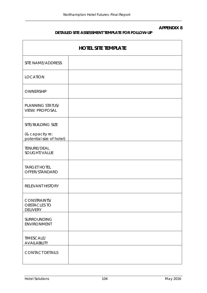### **APPENDIX 8**

# **DETAILED SITE ASSESSMENT TEMPLATE FOR FOLLOW-UP**

\_\_\_\_\_\_\_\_\_\_\_\_\_\_\_\_\_\_\_\_\_\_\_\_\_\_\_\_\_\_\_\_\_\_\_\_\_\_\_\_\_\_\_\_\_\_\_\_\_\_\_\_\_\_\_\_\_\_\_\_\_\_\_\_\_\_\_\_\_\_\_\_\_\_\_\_\_\_\_\_\_\_\_\_\_\_\_\_\_\_

| <b>HOTEL SITE TEMPLATE</b>                             |  |  |  |  |
|--------------------------------------------------------|--|--|--|--|
| SITE NAME/ADDRESS                                      |  |  |  |  |
| <b>LOCATION</b>                                        |  |  |  |  |
| OWNERSHIP                                              |  |  |  |  |
| PLANNING STATUS/<br><b>VIEW/ PROPOSAL</b>              |  |  |  |  |
| SITE/BUILDING SIZE                                     |  |  |  |  |
| (& capacity re:<br>potential size of hotel)            |  |  |  |  |
| TENURE/DEAL<br>SOUGHT/VALUE                            |  |  |  |  |
| <b>TARGET HOTEL</b><br>OFFER/STANDARD                  |  |  |  |  |
| <b>RELEVANT HISTORY</b>                                |  |  |  |  |
| CONSTRAINTS/<br><b>OBSTACLES TO</b><br><b>DELIVERY</b> |  |  |  |  |
| SURROUNDING<br><b>ENVIRONMENT</b>                      |  |  |  |  |
| TIMESCALE/<br><b>AVAILABILITY</b>                      |  |  |  |  |
| <b>CONTACT DETAILS</b>                                 |  |  |  |  |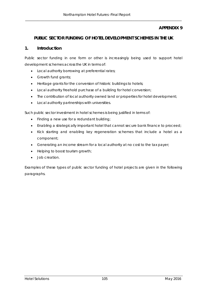## **APPENDIX 9**

## **PUBLIC SECTOR FUNDING OF HOTEL DEVELOPMENT SCHEMES IN THE UK**

\_\_\_\_\_\_\_\_\_\_\_\_\_\_\_\_\_\_\_\_\_\_\_\_\_\_\_\_\_\_\_\_\_\_\_\_\_\_\_\_\_\_\_\_\_\_\_\_\_\_\_\_\_\_\_\_\_\_\_\_\_\_\_\_\_\_\_\_\_\_\_\_\_\_\_\_\_\_\_\_\_\_\_\_\_\_\_\_\_\_

### **1. Introduction**

Public sector funding in one form or other is increasingly being used to support hotel development schemes across the UK in terms of:

- Local authority borrowing at preferential rates;
- Growth fund grants;
- Heritage grants for the conversion of historic buildings to hotels;
- Local authority freehold purchase of a building for hotel conversion;
- The contribution of local authority owned land or properties for hotel development;
- Local authority partnerships with universities.

Such public sector investment in hotel schemes is being justified in terms of:

- Finding a new use for a redundant building;
- Enabling a strategically important hotel that cannot secure bank finance to proceed;
- Kick starting and enabling key regeneration schemes that include a hotel as a component;
- Generating an income stream for a local authority at no cost to the tax payer;
- Helping to boost tourism growth;
- Job creation.

Examples of these types of public sector funding of hotel projects are given in the following paragraphs.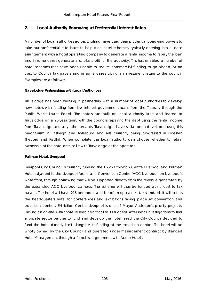# **2. Local Authority Borrowing at Preferential Interest Rates**

A number of local authorities across England have used their prudential borrowing powers to take our preferential rate loans to help fund hotel schemes, typically entering into a lease arrangement with a hotel operating company to generate a rental income to repay the loan and in some cases generate a surplus profit for the authority. This has enabled a number of hotel schemes that have been unable to secure commercial funding to go ahead, at no cost to Council tax payers and in some cases giving an investment return to the council. Examples are as follows:

### **Travelodge Partnerships with Local Authorities**

Travelodge has been working in partnership with a number of local authorities to develop new hotels with funding from low interest government loans from the Treasury through the Public Works Loans Board. The hotels are built on local authority land and leased to Travelodge on a 25-year term, with the councils repaying the debt using the rental income from Travelodge and any other tenants. Travelodges have so far been developed using this mechanism in Eastleigh and Aylesbury, and are currently being progressed in Bicester, Thetford and Redhill. When complete the local authority can choose whether to retain ownership of the hotel or to sell it with Travelodge as the operator.

#### **Pullman Hotel, Liverpool**

Liverpool City Council is currently funding the £66m Exhibition Centre Liverpool and Pullman Hotel adjacent to the Liverpool Arena and Convention Centre (ACC Liverpool) on Liverpool's waterfront, through borrowing that will be supported directly from the revenue generated by the expanded ACC Liverpool campus. The scheme will thus be funded at no cost to tax payers. The hotel will have 216 bedrooms and be of an upscale 4 star standard. It will act as the headquarters hotel for conferences and exhibitions taking place at convention and exhibition centres. Exhibition Centre Liverpool is one of Mayor Anderson's priority projects. Having an on-site 4 star hotel is seen as critical to its success. After initial investigations to find a private sector partner to fund and develop the hotel failed the City Council decided to fund the hotel directly itself alongside its funding of the exhibition centre. The hotel will be wholly owned by the City Council and operated under management contract by Branded Hotel Management through a franchise agreement with Accor Hotels.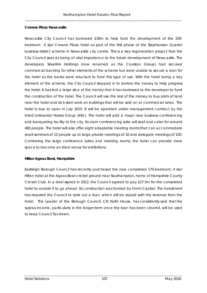#### **Crowne Plaza Newcastle**

Newcastle City Council has borrowed £30m to help fund the development of the 250 bedroom 4 star Crowne Plaza hotel as part of the first phase of the Stephenson Quarter business district scheme in Newcastle city centre. This is a key regeneration project that the City Council sees as being of vital importance to the future development of Newcastle. The developers, Silverlink Holdings (now renamed as the Coulston Group) had secured commercial backing for other elements of the scheme but were unable to secure a loan for the hotel as the banks were reluctant to fund this type of use. With the hotel being a key element of the scheme, the City Council stepped in to borrow the money to help progress the hotel. It has lent a large slice of the money that it has borrowed to the developer to fund the construction of the hotel. The Council will use the rest of the money to buy plots of land near the hotel and kick-start work on buildings that will be sold on at commercial rates. The hotel is due to open in July 2015. It will be operated under management contract by the InterContinental Hotels Group (IHG). The hotel will add a major new business conferencing and banqueting facility to the city. Its main conferencing suite will seat and cater for around 400 people. The hotel will also offer eight adaptable meeting rooms that can accommodate small seminars of 12 people up to large private meetings of 32 and delegate meetings of 100. Combining the large conference suites and meeting rooms, the hotel can provide more space to become an ideal venue for exhibitions.

#### **Hilton Ageas Bowl, Hampshire**

Eastleigh Borough Council has recently purchased the now completed 175-bedroom, 4 star Hilton hotel at the Ageas Bowl cricket ground near Southampton, home of Hampshire County Cricket Club. In a deal signed in 2012, the Council agreed to pay £27.5m for the completed hotel to enable it to go ahead. Its construction was funded by Omni Capital. The investment has required the Council to take out a loan, which will be repaid with the revenue from the hotel. The Leader of the Borough Council, Cllr Keith House, has consistently said that the surplus income, particularly in the longer-term once the loan has been cleared, will be used to keep Council Tax down.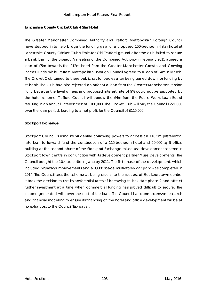#### **Lancashire County Cricket Club 4 Star Hotel**

The Greater Manchester Combined Authority and Trafford Metropolitan Borough Council have stepped in to help bridge the funding gap for a proposed 150-bedroom 4 star hotel at Lancashire County Cricket Club's Emirates Old Trafford ground after the club failed to secure a bank loan for the project. A meeting of the Combined Authority in February 2015 agreed a loan of £5m towards the £12m hotel from the Greater Manchester Growth and Growing Places Funds, while Trafford Metropolitan Borough Council agreed to a loan of £4m in March. The Cricket Club turned to these public sector bodies after being turned down for funding by its bank. The Club had also rejected an offer of a loan from the Greater Manchester Pension Fund because the level of fees and proposed interest rate of 9% could not be supported by the hotel scheme. Trafford Council will borrow the £4m from the Public Works Loan Board resulting in an annual interest cost of £106,000. The Cricket Club will pay the Council £221,000 over the loan period, leading to a net profit for the Council of £115,000.

#### **Stockport Exchange**

Stockport Council is using its prudential borrowing powers to access an £18.5m preferential rate loan to forward fund the construction of a 115-bedroom hotel and 50,000 sq ft office building as the second phase of the Stockport Exchange mixed-use development scheme in Stockport town centre in conjunction with its development partner Muse Developments. The Council bought the 10.4 acre site in January 2011. The first phase of the development, which included highways improvements and a 1,000 space multi-storey car park was completed in 2014. The Council sees the scheme as being crucial to the success of Stockport town centre. It took the decision to use its preferential rates of borrowing to kick start phase 2 and attract further investment at a time when commercial funding has proved difficult to secure. The income generated will cover the cost of the loan. The Council has done extensive research and financial modelling to ensure its financing of the hotel and office development will be at no extra cost to the Council Tax payer.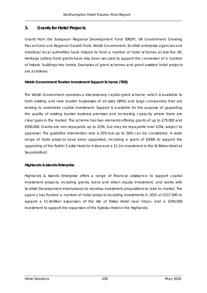# **3. Grants for Hotel Projects**

Grants from the European Regional Development Fund (ERDF), UK Government Growing Places Fund and Regional Growth Fund, Welsh Government, Scottish enterprise agencies and individual local authorities have helped to fund a number of hotel schemes across the UK. Heritage Lottery Fund grants have also been secured to support the conversion of a number of historic buildings into hotels. Examples of grant schemes and grant assisted hotel projects are as follows

#### **Welsh Government Tourism Investment Support Scheme (TISS)**

The Welsh Government operates a discretionary capital grant scheme, which is available to both existing and new tourism businesses of all sizes (SMEs and large companies) that are looking to undertake capital investment. Support is available for the purpose of upgrading the quality of existing tourism business premises and increasing capacity where there are clear gaps in the market. The scheme has two elements offering grants of up to £75,000 and £500,000. Grants are non-repayable up to £25k, but may be repayable over £25k, subject to appraisal. The guideline intervention rate is 25% but up to 50% can be considered. A wide range of hotel projects have been supported, including a grant of £500k to support the upgrading of the Ruthin Castle Hotel to 4 stars and a £1.1m investment in the St Brides Hotel at Saundersfoot.

#### **Highlands & Islands Enterprise**

Highlands & Islands Enterprise offers a range of financial assistance to support capital investment projects, including grants, loans and direct equity investment, and works with Scottish Development International to develop investment propositions to take to market. The agency has funded a number of hotel projects including investments in 2015 of £217,500 to support a £1.4million expansion of the Isle of Eriska Hotel near Oban, and a £200,000 investment to support the expansion of the Kylesku Hotel in the Highlands.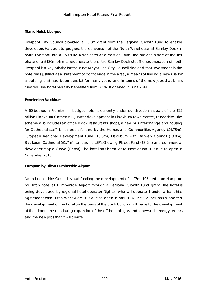#### **Titanic Hotel, Liverpool**

Liverpool City Council provided a £5.5m grant from the Regional Growth Fund to enable developers Harcourt to progress the conversion of the North Warehouse at Stanley Dock in north Liverpool into a 150-suite 4-star hotel at a cost of £30m. The project is part of the first phase of a £130m plan to regenerate the entire Stanley Dock site. The regeneration of north Liverpool is a key priority for the city's Mayor. The City Council decided that investment in the hotel was justified as a statement of confidence in the area, a means of finding a new use for a building that had been derelict for many years, and in terms of the new jobs that it has created. The hotel has also benefitted from BPRA. It opened in June 2014.

#### **Premier Inn Blackburn**

A 60-bedroom Premier Inn budget hotel is currently under construction as part of the £25 million Blackburn Cathedral Quarter development in Blackburn town centre, Lancashire. The scheme also includes an office block, restaurants, shops, a new bus interchange and housing for Cathedral staff. It has been funded by the Homes and Communities Agency (£4.75m), European Regional Development Fund (£3.6m), Blackburn with Darwen Council (£3.8m), Blackburn Cathedral (£1.7m), Lancashire LEP's Growing Places Fund (£3.9m) and commercial developer Maple Grove (£7.8m). The hotel has been let to Premier Inn. It is due to open in November 2015.

#### **Hampton by Hilton Humberside Airport**

North Lincolnshire Council is part funding the development of a £7m, 103-bedroom Hampton by Hilton hotel at Humberside Airport through a Regional Growth Fund grant. The hotel is being developed by regional hotel operator Nightel, who will operate it under a franchise agreement with Hilton Worldwide. It is due to open in mid-2016. The Council has supported the development of the hotel on the basis of the contribution it will make to the development of the airport, the continuing expansion of the offshore oil, gas and renewable energy sectors and the new jobs that it will create.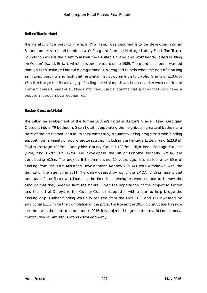#### **Belfast Titanic Hotel**

The derelict office building in which RMS Titanic was designed is to be developed into an 84-bedroom 4 star hotel thanks to a £4.9m grant from the Heritage Lottery Fund. The Titanic Foundation will use the grant to restore the B+ listed Harland and Wolff headquarters building on Queen's Island, Belfast, which has been vacant since 1989. The grant has been awarded through HLF's Heritage Enterprise programme. It is designed to help when the cost of repairing an historic building is so high that restoration is not commercially viable. Grants of £100k to £5million bridge the financial gap, funding the vital repairs and conservation work needed to convert derelict, vacant buildings into new, usable commercial spaces that can have a positive impact on local economies.

#### **Buxton Crescent Hotel**

The £46m redevelopment of the former St Ann's Hotel in Buxton's Grade I listed Georgian Crescent into a 79-bedroom, 5 star hotel incorporating the neighbouring natural baths into a state-of-the-art thermal natural mineral water spa, is currently being progressed with funding support from a variety of public sector sources, including the Heritage Lottery Fund (£23.8m), English Heritage (£0.5m), Derbyshire County Council (£2.7m), High Peak Borough Council (£2m) and D2N2 LEP (£2m). The developers, the Trevor Osborne Property Group, are contributing £15m. The project first commenced 10 years ago, but stalled after £5m of funding from the East Midlands Development Agency (EMDA) was withdrawn with the demise of the agency in 2011. The delay caused by losing the EMDA funding meant that because of the financial climate at the time the developers were unable to borrow the amount that they needed from the banks. Given the importance of the project to Buxton and the rest of Derbyshire the County Council stepped in with a loan to help bridge the funding gap. Further funding was also secured from the D2N2 LEP and HLF awarded an additional £11.3 m for the completion of the project in November 2014. Construction has now restarted with the hotel due to open in 2016. It is projected to generate an additional annual contribution of £4m into Buxton's visitor economy.